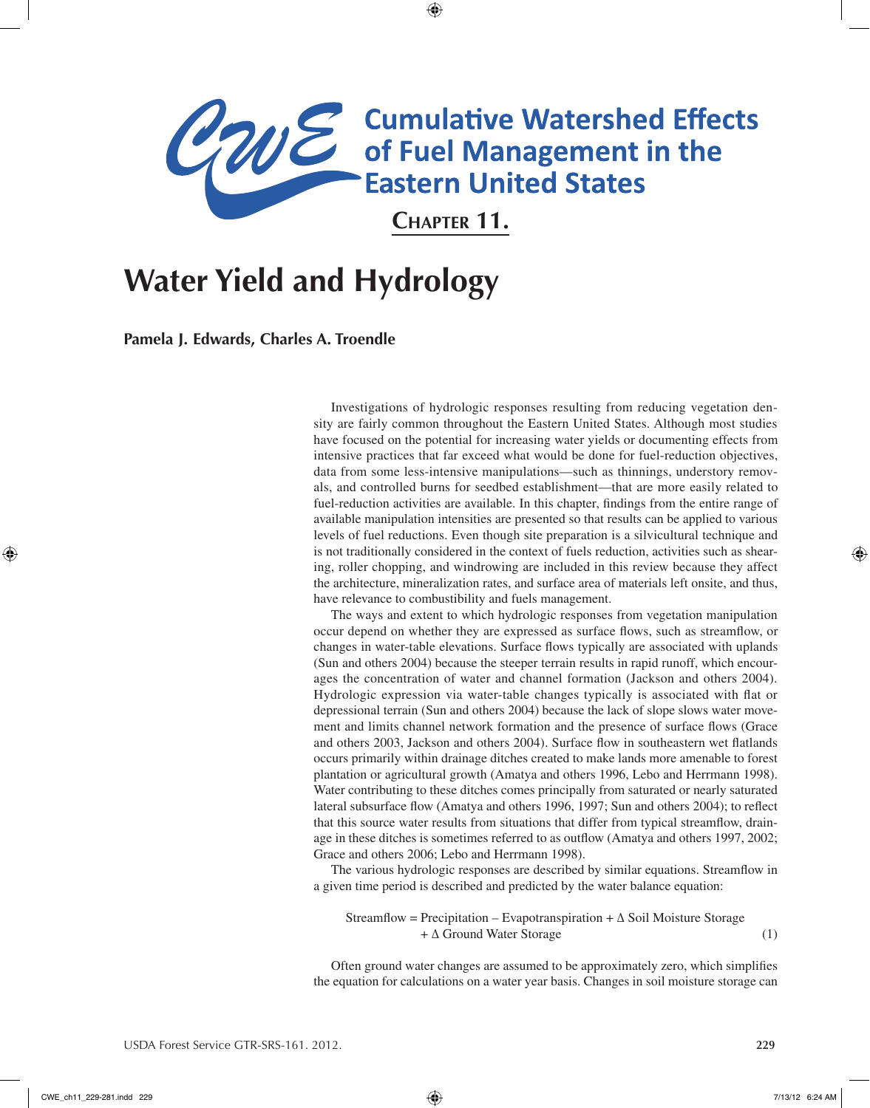# **ANE** Cumulative Watershed Effects<br> **CANE** of Fuel Management in the<br>
Eastern United States

**Chapter 11.** 

⊕

# **Water Yield and Hydrology**

**Pamela J. Edwards, Charles A. Troendle**

Investigations of hydrologic responses resulting from reducing vegetation density are fairly common throughout the Eastern United States. Although most studies have focused on the potential for increasing water yields or documenting effects from intensive practices that far exceed what would be done for fuel-reduction objectives, data from some less-intensive manipulations—such as thinnings, understory removals, and controlled burns for seedbed establishment—that are more easily related to fuel-reduction activities are available. In this chapter, findings from the entire range of available manipulation intensities are presented so that results can be applied to various levels of fuel reductions. Even though site preparation is a silvicultural technique and is not traditionally considered in the context of fuels reduction, activities such as shearing, roller chopping, and windrowing are included in this review because they affect the architecture, mineralization rates, and surface area of materials left onsite, and thus, have relevance to combustibility and fuels management.

The ways and extent to which hydrologic responses from vegetation manipulation occur depend on whether they are expressed as surface flows, such as streamflow, or changes in water-table elevations. Surface flows typically are associated with uplands (Sun and others 2004) because the steeper terrain results in rapid runoff, which encourages the concentration of water and channel formation (Jackson and others 2004). Hydrologic expression via water-table changes typically is associated with flat or depressional terrain (Sun and others 2004) because the lack of slope slows water movement and limits channel network formation and the presence of surface flows (Grace and others 2003, Jackson and others 2004). Surface flow in southeastern wet flatlands occurs primarily within drainage ditches created to make lands more amenable to forest plantation or agricultural growth (Amatya and others 1996, Lebo and Herrmann 1998). Water contributing to these ditches comes principally from saturated or nearly saturated lateral subsurface flow (Amatya and others 1996, 1997; Sun and others 2004); to reflect that this source water results from situations that differ from typical streamflow, drainage in these ditches is sometimes referred to as outflow (Amatya and others 1997, 2002; Grace and others 2006; Lebo and Herrmann 1998).

The various hydrologic responses are described by similar equations. Streamflow in a given time period is described and predicted by the water balance equation:

Streamflow = Precipitation – Evapotranspiration +  $\Delta$  Soil Moisture Storage + ∆ Ground Water Storage (1)

Often ground water changes are assumed to be approximately zero, which simplifies the equation for calculations on a water year basis. Changes in soil moisture storage can

⊕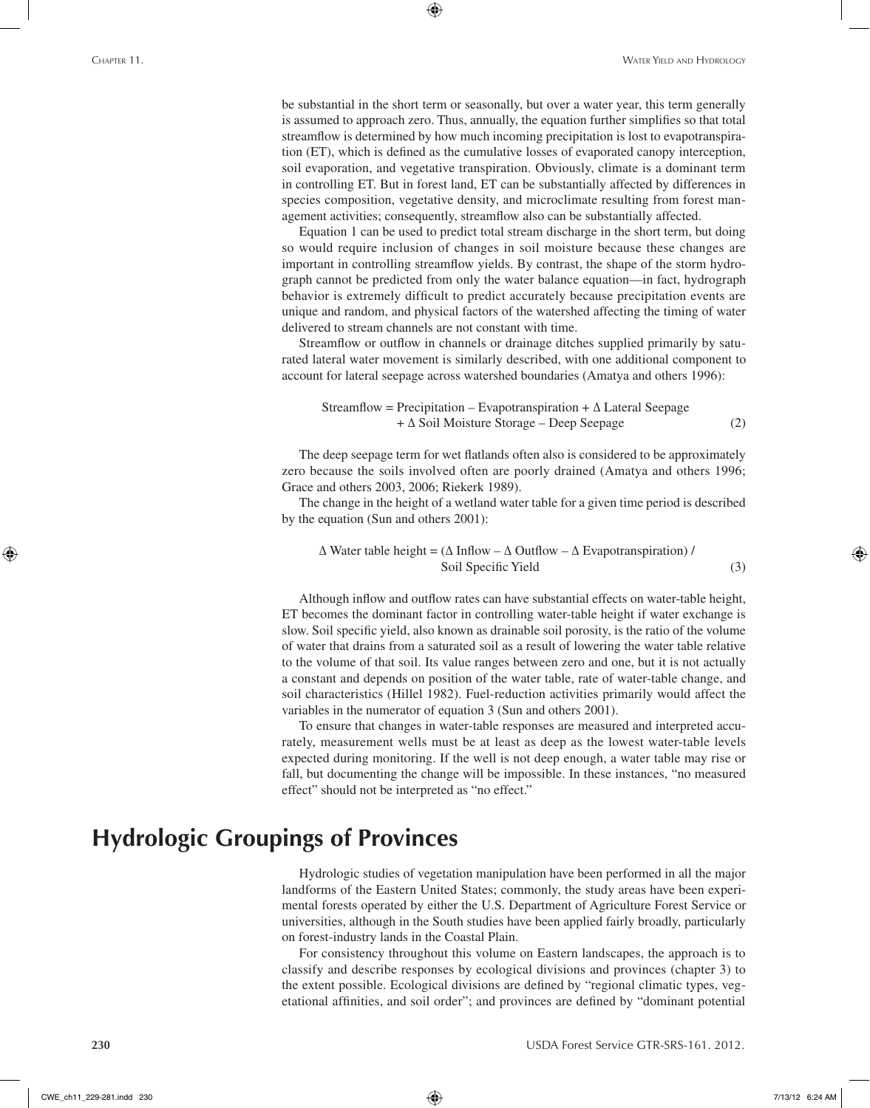be substantial in the short term or seasonally, but over a water year, this term generally is assumed to approach zero. Thus, annually, the equation further simplifies so that total streamflow is determined by how much incoming precipitation is lost to evapotranspiration (ET), which is defined as the cumulative losses of evaporated canopy interception, soil evaporation, and vegetative transpiration. Obviously, climate is a dominant term in controlling ET. But in forest land, ET can be substantially affected by differences in species composition, vegetative density, and microclimate resulting from forest management activities; consequently, streamflow also can be substantially affected.

⊕

Equation 1 can be used to predict total stream discharge in the short term, but doing so would require inclusion of changes in soil moisture because these changes are important in controlling streamflow yields. By contrast, the shape of the storm hydrograph cannot be predicted from only the water balance equation—in fact, hydrograph behavior is extremely difficult to predict accurately because precipitation events are unique and random, and physical factors of the watershed affecting the timing of water delivered to stream channels are not constant with time.

Streamflow or outflow in channels or drainage ditches supplied primarily by saturated lateral water movement is similarly described, with one additional component to account for lateral seepage across watershed boundaries (Amatya and others 1996):

$$
Streamflow = Precision - Evaporanspiration + \Delta \text{ Lateral Seepage} + \Delta \text{Soil Moisture Storage} - Deep Seepage
$$
 (2)

The deep seepage term for wet flatlands often also is considered to be approximately zero because the soils involved often are poorly drained (Amatya and others 1996; Grace and others 2003, 2006; Riekerk 1989).

The change in the height of a wetland water table for a given time period is described by the equation (Sun and others 2001):

 $\Delta$  Water table height = ( $\Delta$  Inflow –  $\Delta$  Outflow –  $\Delta$  Evapotranspiration) / Soil Specific Yield (3)

Although inflow and outflow rates can have substantial effects on water-table height, ET becomes the dominant factor in controlling water-table height if water exchange is slow. Soil specific yield, also known as drainable soil porosity, is the ratio of the volume of water that drains from a saturated soil as a result of lowering the water table relative to the volume of that soil. Its value ranges between zero and one, but it is not actually a constant and depends on position of the water table, rate of water-table change, and soil characteristics (Hillel 1982). Fuel-reduction activities primarily would affect the variables in the numerator of equation 3 (Sun and others 2001).

To ensure that changes in water-table responses are measured and interpreted accurately, measurement wells must be at least as deep as the lowest water-table levels expected during monitoring. If the well is not deep enough, a water table may rise or fall, but documenting the change will be impossible. In these instances, "no measured effect" should not be interpreted as "no effect."

# **Hydrologic Groupings of Provinces**

Hydrologic studies of vegetation manipulation have been performed in all the major landforms of the Eastern United States; commonly, the study areas have been experimental forests operated by either the U.S. Department of Agriculture Forest Service or universities, although in the South studies have been applied fairly broadly, particularly on forest-industry lands in the Coastal Plain.

For consistency throughout this volume on Eastern landscapes, the approach is to classify and describe responses by ecological divisions and provinces (chapter 3) to the extent possible. Ecological divisions are defined by "regional climatic types, vegetational affinities, and soil order"; and provinces are defined by "dominant potential

⊕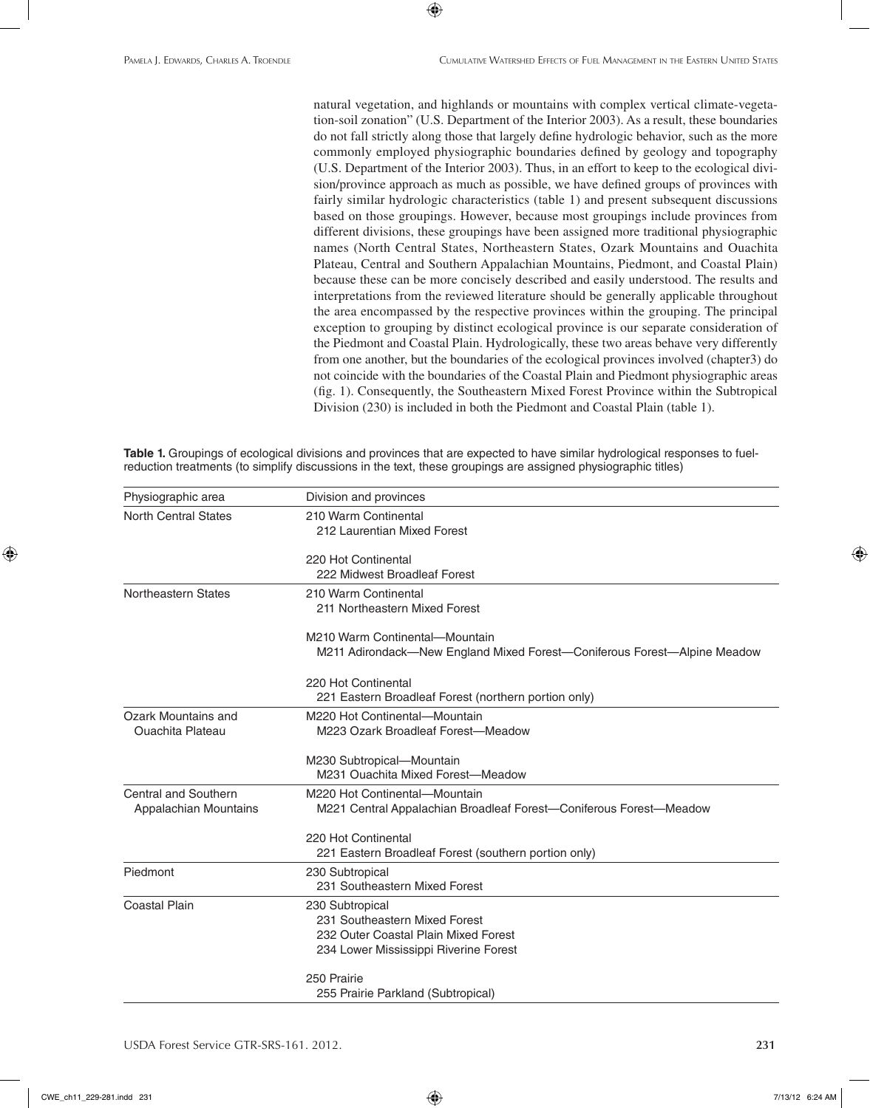natural vegetation, and highlands or mountains with complex vertical climate-vegetation-soil zonation" (U.S. Department of the Interior 2003). As a result, these boundaries do not fall strictly along those that largely define hydrologic behavior, such as the more commonly employed physiographic boundaries defined by geology and topography (U.S. Department of the Interior 2003). Thus, in an effort to keep to the ecological division/province approach as much as possible, we have defined groups of provinces with fairly similar hydrologic characteristics (table 1) and present subsequent discussions based on those groupings. However, because most groupings include provinces from different divisions, these groupings have been assigned more traditional physiographic names (North Central States, Northeastern States, Ozark Mountains and Ouachita Plateau, Central and Southern Appalachian Mountains, Piedmont, and Coastal Plain) because these can be more concisely described and easily understood. The results and interpretations from the reviewed literature should be generally applicable throughout the area encompassed by the respective provinces within the grouping. The principal exception to grouping by distinct ecological province is our separate consideration of the Piedmont and Coastal Plain. Hydrologically, these two areas behave very differently from one another, but the boundaries of the ecological provinces involved (chapter3) do not coincide with the boundaries of the Coastal Plain and Piedmont physiographic areas (fig. 1). Consequently, the Southeastern Mixed Forest Province within the Subtropical Division (230) is included in both the Piedmont and Coastal Plain (table 1).

**Table 1.** Groupings of ecological divisions and provinces that are expected to have similar hydrological responses to fuelreduction treatments (to simplify discussions in the text, these groupings are assigned physiographic titles)

 $\bigoplus$ 

| Physiographic area                             | Division and provinces                                                                                                            |
|------------------------------------------------|-----------------------------------------------------------------------------------------------------------------------------------|
| <b>North Central States</b>                    | 210 Warm Continental<br>212 Laurentian Mixed Forest                                                                               |
|                                                | 220 Hot Continental<br>222 Midwest Broadleaf Forest                                                                               |
| Northeastern States                            | 210 Warm Continental<br>211 Northeastern Mixed Forest                                                                             |
|                                                | M210 Warm Continental-Mountain<br>M211 Adirondack—New England Mixed Forest—Coniferous Forest—Alpine Meadow                        |
|                                                | 220 Hot Continental<br>221 Eastern Broadleaf Forest (northern portion only)                                                       |
| Ozark Mountains and<br><b>Ouachita Plateau</b> | M220 Hot Continental-Mountain<br>M223 Ozark Broadleaf Forest-Meadow                                                               |
|                                                | M230 Subtropical-Mountain<br>M231 Ouachita Mixed Forest-Meadow                                                                    |
| Central and Southern<br>Appalachian Mountains  | M220 Hot Continental-Mountain<br>M221 Central Appalachian Broadleaf Forest—Coniferous Forest—Meadow                               |
|                                                | 220 Hot Continental<br>221 Eastern Broadleaf Forest (southern portion only)                                                       |
| Piedmont                                       | 230 Subtropical<br>231 Southeastern Mixed Forest                                                                                  |
| <b>Coastal Plain</b>                           | 230 Subtropical<br>231 Southeastern Mixed Forest<br>232 Outer Coastal Plain Mixed Forest<br>234 Lower Mississippi Riverine Forest |
|                                                | 250 Prairie<br>255 Prairie Parkland (Subtropical)                                                                                 |

USDA Forest Service GTR-SRS-161. 2012. **231**

⊕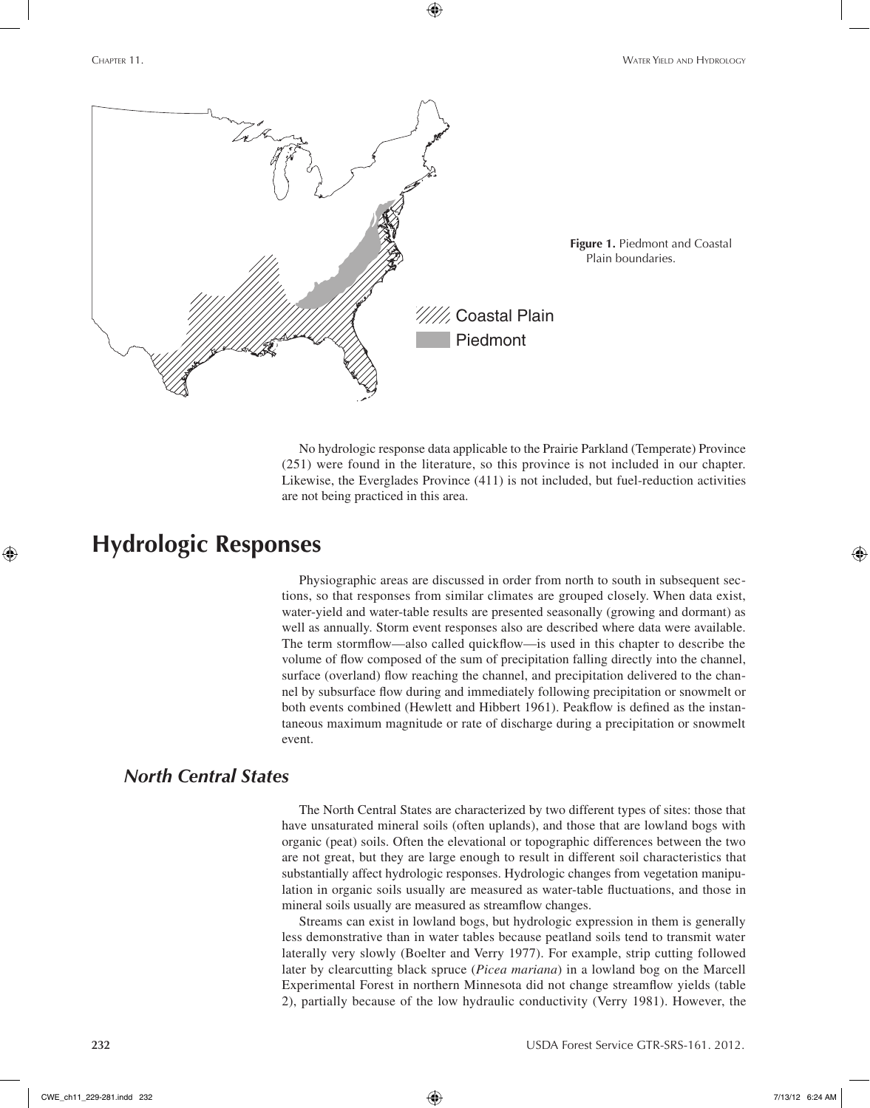

⊕

No hydrologic response data applicable to the Prairie Parkland (Temperate) Province (251) were found in the literature, so this province is not included in our chapter. Likewise, the Everglades Province (411) is not included, but fuel-reduction activities are not being practiced in this area.

## **Hydrologic Responses**

Physiographic areas are discussed in order from north to south in subsequent sections, so that responses from similar climates are grouped closely. When data exist, water-yield and water-table results are presented seasonally (growing and dormant) as well as annually. Storm event responses also are described where data were available. The term stormflow—also called quickflow—is used in this chapter to describe the volume of flow composed of the sum of precipitation falling directly into the channel, surface (overland) flow reaching the channel, and precipitation delivered to the channel by subsurface flow during and immediately following precipitation or snowmelt or both events combined (Hewlett and Hibbert 1961). Peakflow is defined as the instantaneous maximum magnitude or rate of discharge during a precipitation or snowmelt event.

## *North Central States*

The North Central States are characterized by two different types of sites: those that have unsaturated mineral soils (often uplands), and those that are lowland bogs with organic (peat) soils. Often the elevational or topographic differences between the two are not great, but they are large enough to result in different soil characteristics that substantially affect hydrologic responses. Hydrologic changes from vegetation manipulation in organic soils usually are measured as water-table fluctuations, and those in mineral soils usually are measured as streamflow changes.

Streams can exist in lowland bogs, but hydrologic expression in them is generally less demonstrative than in water tables because peatland soils tend to transmit water laterally very slowly (Boelter and Verry 1977). For example, strip cutting followed later by clearcutting black spruce (*Picea mariana*) in a lowland bog on the Marcell Experimental Forest in northern Minnesota did not change streamflow yields (table 2), partially because of the low hydraulic conductivity (Verry 1981). However, the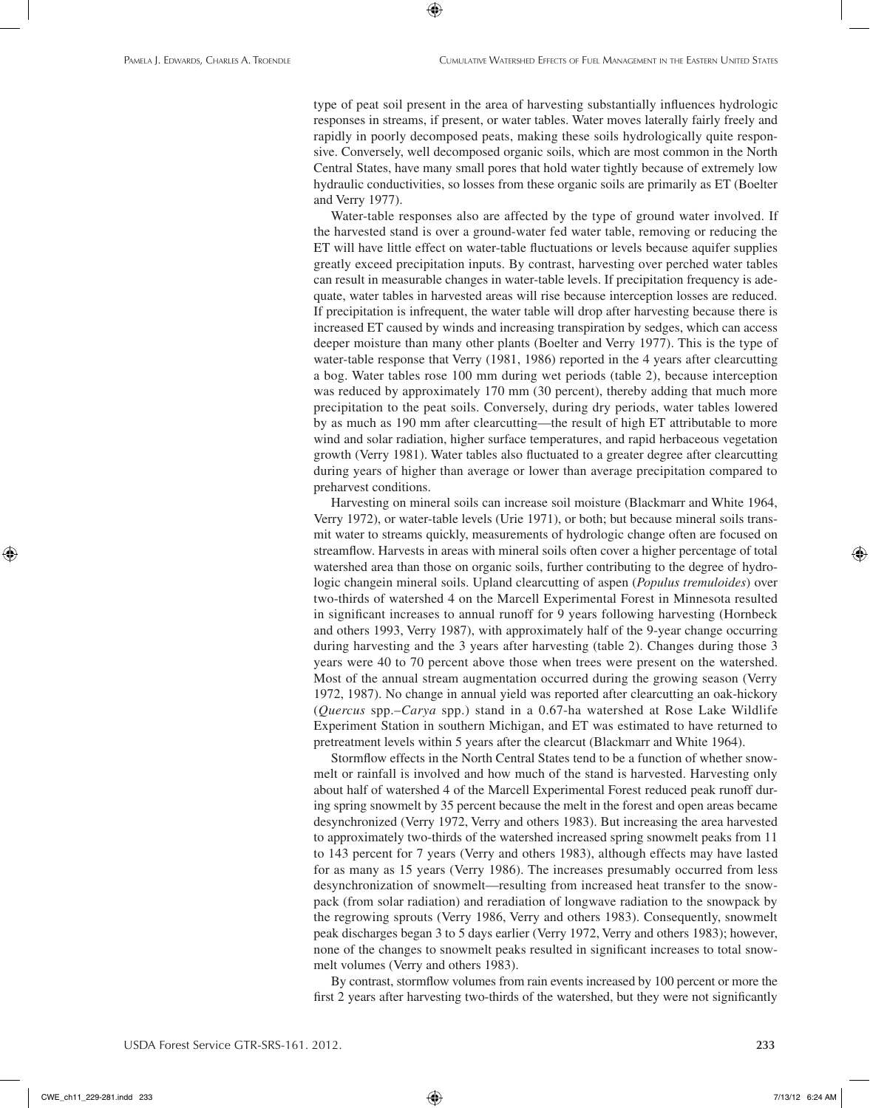type of peat soil present in the area of harvesting substantially influences hydrologic responses in streams, if present, or water tables. Water moves laterally fairly freely and rapidly in poorly decomposed peats, making these soils hydrologically quite responsive. Conversely, well decomposed organic soils, which are most common in the North Central States, have many small pores that hold water tightly because of extremely low hydraulic conductivities, so losses from these organic soils are primarily as ET (Boelter and Verry 1977).

⊕

Water-table responses also are affected by the type of ground water involved. If the harvested stand is over a ground-water fed water table, removing or reducing the ET will have little effect on water-table fluctuations or levels because aquifer supplies greatly exceed precipitation inputs. By contrast, harvesting over perched water tables can result in measurable changes in water-table levels. If precipitation frequency is adequate, water tables in harvested areas will rise because interception losses are reduced. If precipitation is infrequent, the water table will drop after harvesting because there is increased ET caused by winds and increasing transpiration by sedges, which can access deeper moisture than many other plants (Boelter and Verry 1977). This is the type of water-table response that Verry (1981, 1986) reported in the 4 years after clearcutting a bog. Water tables rose 100 mm during wet periods (table 2), because interception was reduced by approximately 170 mm (30 percent), thereby adding that much more precipitation to the peat soils. Conversely, during dry periods, water tables lowered by as much as 190 mm after clearcutting—the result of high ET attributable to more wind and solar radiation, higher surface temperatures, and rapid herbaceous vegetation growth (Verry 1981). Water tables also fluctuated to a greater degree after clearcutting during years of higher than average or lower than average precipitation compared to preharvest conditions.

Harvesting on mineral soils can increase soil moisture (Blackmarr and White 1964, Verry 1972), or water-table levels (Urie 1971), or both; but because mineral soils transmit water to streams quickly, measurements of hydrologic change often are focused on streamflow. Harvests in areas with mineral soils often cover a higher percentage of total watershed area than those on organic soils, further contributing to the degree of hydrologic changein mineral soils. Upland clearcutting of aspen (*Populus tremuloides*) over two-thirds of watershed 4 on the Marcell Experimental Forest in Minnesota resulted in significant increases to annual runoff for 9 years following harvesting (Hornbeck and others 1993, Verry 1987), with approximately half of the 9-year change occurring during harvesting and the 3 years after harvesting (table 2). Changes during those 3 years were 40 to 70 percent above those when trees were present on the watershed. Most of the annual stream augmentation occurred during the growing season (Verry 1972, 1987). No change in annual yield was reported after clearcutting an oak-hickory (*Quercus* spp.–*Carya* spp.) stand in a 0.67-ha watershed at Rose Lake Wildlife Experiment Station in southern Michigan, and ET was estimated to have returned to pretreatment levels within 5 years after the clearcut (Blackmarr and White 1964).

Stormflow effects in the North Central States tend to be a function of whether snowmelt or rainfall is involved and how much of the stand is harvested. Harvesting only about half of watershed 4 of the Marcell Experimental Forest reduced peak runoff during spring snowmelt by 35 percent because the melt in the forest and open areas became desynchronized (Verry 1972, Verry and others 1983). But increasing the area harvested to approximately two-thirds of the watershed increased spring snowmelt peaks from 11 to 143 percent for 7 years (Verry and others 1983), although effects may have lasted for as many as 15 years (Verry 1986). The increases presumably occurred from less desynchronization of snowmelt—resulting from increased heat transfer to the snowpack (from solar radiation) and reradiation of longwave radiation to the snowpack by the regrowing sprouts (Verry 1986, Verry and others 1983). Consequently, snowmelt peak discharges began 3 to 5 days earlier (Verry 1972, Verry and others 1983); however, none of the changes to snowmelt peaks resulted in significant increases to total snowmelt volumes (Verry and others 1983).

By contrast, stormflow volumes from rain events increased by 100 percent or more the first 2 years after harvesting two-thirds of the watershed, but they were not significantly

CWE\_ch11\_229-281.indd 233 7/13/12 6:24 AM

⊕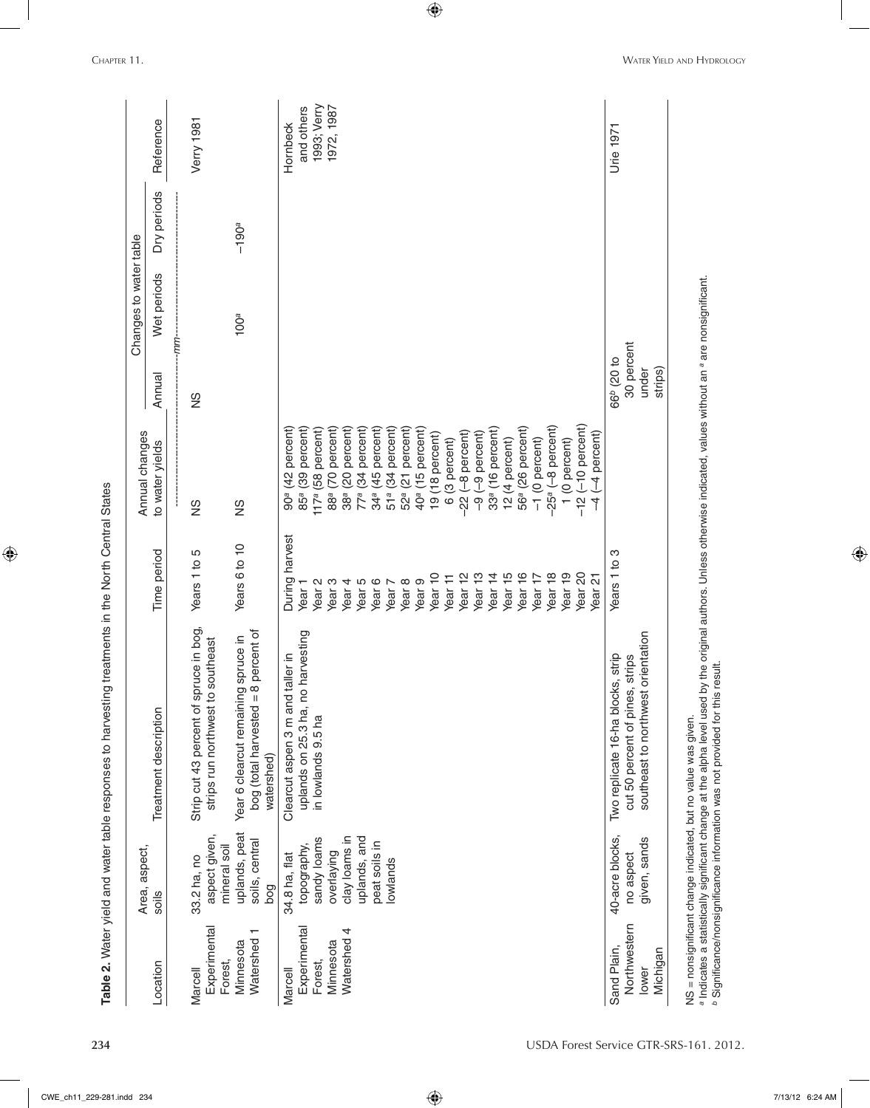|                                                                   | Area, aspect,                                                                                                           |                                                                                                               |                                                                                                                                                                                                                                                                                                                                                                                                                   | Annual changes                                                                                                                                                                                                                                                                                                                                                                                                                                                                                                                                                                                         |                                                          | Changes to water table |             |                                                     |
|-------------------------------------------------------------------|-------------------------------------------------------------------------------------------------------------------------|---------------------------------------------------------------------------------------------------------------|-------------------------------------------------------------------------------------------------------------------------------------------------------------------------------------------------------------------------------------------------------------------------------------------------------------------------------------------------------------------------------------------------------------------|--------------------------------------------------------------------------------------------------------------------------------------------------------------------------------------------------------------------------------------------------------------------------------------------------------------------------------------------------------------------------------------------------------------------------------------------------------------------------------------------------------------------------------------------------------------------------------------------------------|----------------------------------------------------------|------------------------|-------------|-----------------------------------------------------|
| Location                                                          | soils                                                                                                                   | Treatment description                                                                                         | Time period                                                                                                                                                                                                                                                                                                                                                                                                       | to water yields                                                                                                                                                                                                                                                                                                                                                                                                                                                                                                                                                                                        | Annual                                                   | Wet periods            | Dry periods | Reference                                           |
| Experimental<br>Forest,<br>Marcell                                | aspect given,<br>mineral soil<br>33.2 ha, no                                                                            | Strip cut 43 percent of spruce in bog,<br>strips run northwest to southeast                                   | Years 1 to 5                                                                                                                                                                                                                                                                                                                                                                                                      | SN                                                                                                                                                                                                                                                                                                                                                                                                                                                                                                                                                                                                     | SZ                                                       | -mm-                   |             | Verry 1981                                          |
| Watershed<br>Minnesota                                            | uplands, peat<br>soils, central<br>bog                                                                                  | bog (total harvested = 8 percent of<br>Year 6 clearcut remaining spruce in<br>watershed)                      | Years 6 to 10                                                                                                                                                                                                                                                                                                                                                                                                     | SN                                                                                                                                                                                                                                                                                                                                                                                                                                                                                                                                                                                                     |                                                          | 100 <sup>a</sup>       | $-190a$     |                                                     |
| Experimental<br>4<br>Watershed<br>Minnesota<br>Forest,<br>Marcell | clay loams in<br>sandy loams<br>uplands, and<br>peat soils in<br>topography,<br>overlaying<br>34.8 ha, flat<br>lowlands | uplands on 25.3 ha, no harvesting<br>ler in<br>Clearcut aspen 3 m and tal<br>in lowlands 9.5 ha               | During harvest<br>Year <sub>15</sub><br>Year 16<br>Year 18<br>Year <sub>19</sub><br>Year <sub>10</sub><br>Year <sub>12</sub><br>Year <sub>13</sub><br>Year <sub>14</sub><br>Year <sub>20</sub><br>Year 17<br>Year 11<br>Year 21<br>Year <sub>9</sub><br>Year <sub>6</sub><br>Year <sub>8</sub><br>Year <sub>4</sub><br>Year <sub>5</sub><br>Year <sub>2</sub><br>Year <sub>3</sub><br>Year 7<br>Year <sub>1</sub> | $(-10$ percent)<br>-25 <sup>a</sup> (-8 percent)<br>(42 percent)<br>56 <sup>a</sup> (26 percent)<br>(39 percent)<br>51ª (34 percent)<br>(70 percent)<br>(20 percent)<br>(34 percent)<br>(45 percent)<br>52 <sup>a</sup> (21 percent)<br>33ª (16 percent)<br>58 percent)<br>40 <sup>a</sup> (15 percent)<br>(-8 percent)<br>-9 percent)<br>19 (18 percent)<br>$(-4$ percent)<br>1 (0 percent)<br>$-1$ (0 percent)<br>(3 percent)<br>12 (4 percent)<br>88 <sup>a</sup><br>34a<br>85a<br>38 <sup>a</sup><br>77a<br>117a<br>90 <sup>a</sup><br>$-22$<br>$\frac{6}{9}$<br>$-12$<br>$\widetilde{\circ}$<br>4 |                                                          |                        |             | 1993; Verry<br>1972, 1987<br>and others<br>Hornbeck |
| Northwestern<br>Sand Plain,<br>Michigan<br>lower                  | 40-acre blocks,<br>given, sands<br>no aspect                                                                            | southeast to northwest orientation<br>strip<br>cut 50 percent of pines, strips<br>Two replicate 16-ha blocks, | Years 1 to 3                                                                                                                                                                                                                                                                                                                                                                                                      |                                                                                                                                                                                                                                                                                                                                                                                                                                                                                                                                                                                                        | 30 percent<br>66 <sup>b</sup> (20 to<br>strips)<br>under |                        |             | Urie 1971                                           |

 $\bigoplus$ 

 $\bigoplus$ 

a Indicates a statistically significant change at the alpha level used by the original authors. Unless otherwise indicated, values without an <sup>a</sup> are nonsignificant.<br><sup>b</sup> Significance/nonsignificance information was not pro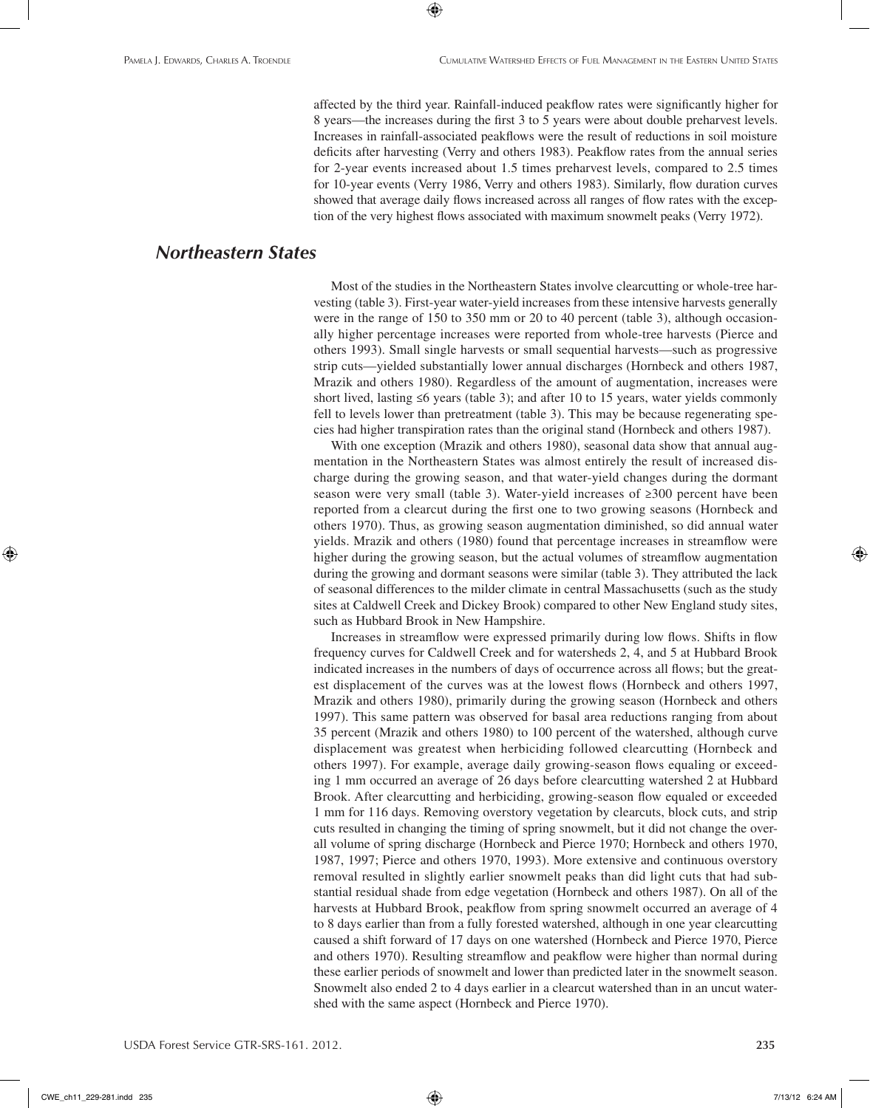affected by the third year. Rainfall-induced peakflow rates were significantly higher for 8 years—the increases during the first 3 to 5 years were about double preharvest levels. Increases in rainfall-associated peakflows were the result of reductions in soil moisture deficits after harvesting (Verry and others 1983). Peakflow rates from the annual series for 2-year events increased about 1.5 times preharvest levels, compared to 2.5 times for 10-year events (Verry 1986, Verry and others 1983). Similarly, flow duration curves showed that average daily flows increased across all ranges of flow rates with the exception of the very highest flows associated with maximum snowmelt peaks (Verry 1972).

⊕

## *Northeastern States*

Most of the studies in the Northeastern States involve clearcutting or whole-tree harvesting (table 3). First-year water-yield increases from these intensive harvests generally were in the range of 150 to 350 mm or 20 to 40 percent (table 3), although occasionally higher percentage increases were reported from whole-tree harvests (Pierce and others 1993). Small single harvests or small sequential harvests—such as progressive strip cuts—yielded substantially lower annual discharges (Hornbeck and others 1987, Mrazik and others 1980). Regardless of the amount of augmentation, increases were short lived, lasting  $\leq 6$  years (table 3); and after 10 to 15 years, water yields commonly fell to levels lower than pretreatment (table 3). This may be because regenerating species had higher transpiration rates than the original stand (Hornbeck and others 1987).

With one exception (Mrazik and others 1980), seasonal data show that annual augmentation in the Northeastern States was almost entirely the result of increased discharge during the growing season, and that water-yield changes during the dormant season were very small (table 3). Water-yield increases of ≥300 percent have been reported from a clearcut during the first one to two growing seasons (Hornbeck and others 1970). Thus, as growing season augmentation diminished, so did annual water yields. Mrazik and others (1980) found that percentage increases in streamflow were higher during the growing season, but the actual volumes of streamflow augmentation during the growing and dormant seasons were similar (table 3). They attributed the lack of seasonal differences to the milder climate in central Massachusetts (such as the study sites at Caldwell Creek and Dickey Brook) compared to other New England study sites, such as Hubbard Brook in New Hampshire.

Increases in streamflow were expressed primarily during low flows. Shifts in flow frequency curves for Caldwell Creek and for watersheds 2, 4, and 5 at Hubbard Brook indicated increases in the numbers of days of occurrence across all flows; but the greatest displacement of the curves was at the lowest flows (Hornbeck and others 1997, Mrazik and others 1980), primarily during the growing season (Hornbeck and others 1997). This same pattern was observed for basal area reductions ranging from about 35 percent (Mrazik and others 1980) to 100 percent of the watershed, although curve displacement was greatest when herbiciding followed clearcutting (Hornbeck and others 1997). For example, average daily growing-season flows equaling or exceeding 1 mm occurred an average of 26 days before clearcutting watershed 2 at Hubbard Brook. After clearcutting and herbiciding, growing-season flow equaled or exceeded 1 mm for 116 days. Removing overstory vegetation by clearcuts, block cuts, and strip cuts resulted in changing the timing of spring snowmelt, but it did not change the overall volume of spring discharge (Hornbeck and Pierce 1970; Hornbeck and others 1970, 1987, 1997; Pierce and others 1970, 1993). More extensive and continuous overstory removal resulted in slightly earlier snowmelt peaks than did light cuts that had substantial residual shade from edge vegetation (Hornbeck and others 1987). On all of the harvests at Hubbard Brook, peakflow from spring snowmelt occurred an average of 4 to 8 days earlier than from a fully forested watershed, although in one year clearcutting caused a shift forward of 17 days on one watershed (Hornbeck and Pierce 1970, Pierce and others 1970). Resulting streamflow and peakflow were higher than normal during these earlier periods of snowmelt and lower than predicted later in the snowmelt season. Snowmelt also ended 2 to 4 days earlier in a clearcut watershed than in an uncut watershed with the same aspect (Hornbeck and Pierce 1970).

CWE\_ch11\_229-281.indd 235 7/13/12 6:24 AM

⊕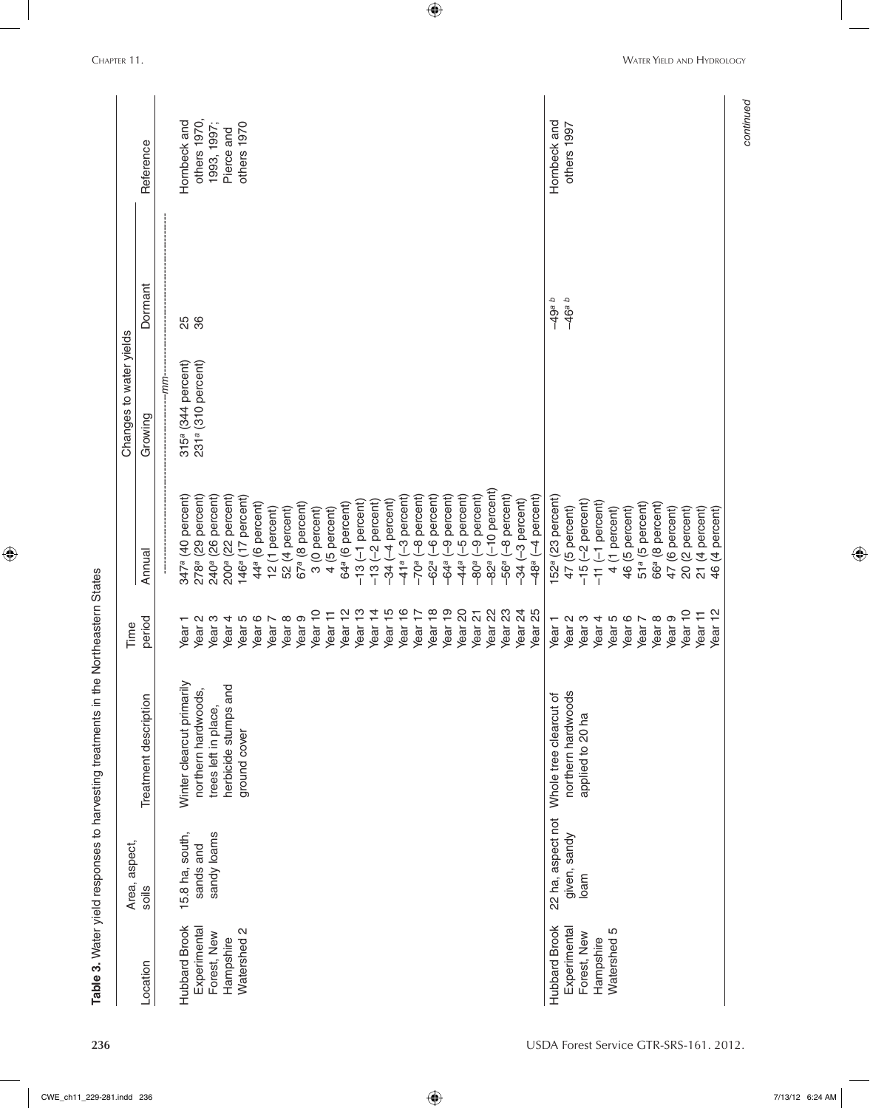|                      | Area, aspect,     |                           | Time               |                                   | Changes to water yields        |          |              |
|----------------------|-------------------|---------------------------|--------------------|-----------------------------------|--------------------------------|----------|--------------|
| Location             | soils             | Treatment description     | period             | Annual                            | Growing                        | Dormant  | Reference    |
|                      |                   |                           |                    |                                   | -mm-                           |          |              |
| <b>Hubbard Brook</b> | 15.8 ha, south,   | Winter clearcut primarily | Year <sub>1</sub>  | 347 <sup>a</sup> (40 percent)     | 315 <sup>a</sup> (344 percent) |          | Hornbeck and |
| Experimental         | sands and         | northern hardwoods,       | Year <sub>2</sub>  | 278 <sup>a</sup> (29 percent)     | 231ª (310 percent)             | 25<br>36 | others 1970, |
| Forest, New          | sandy loams       | trees left in place,      | Year <sub>3</sub>  | 240 <sup>ª</sup> (26 percent)     |                                |          | 1993, 1997;  |
| Hampshire            |                   | herbicide stumps and      | Year <sub>4</sub>  | (22 percent)<br>200ª              |                                |          | Pierce and   |
| Watershed 2          |                   | ground cover              | Year 5             | 146 <sup>a</sup> (17 percent)     |                                |          | others 1970  |
|                      |                   |                           | Year <sub>6</sub>  | 44 <sup>ª</sup> (6 percent)       |                                |          |              |
|                      |                   |                           | Year <sub>7</sub>  | 12 (1 percent)                    |                                |          |              |
|                      |                   |                           | Year <sub>8</sub>  | 52 (4 percent)                    |                                |          |              |
|                      |                   |                           | Year <sub>9</sub>  | 67 <sup>ª</sup> (8 percent)       |                                |          |              |
|                      |                   |                           | Year <sub>10</sub> | 3 (0 percent)                     |                                |          |              |
|                      |                   |                           | Year 11            | 4 (5 percent)                     |                                |          |              |
|                      |                   |                           | Year <sub>12</sub> | 64ª (6 percent)                   |                                |          |              |
|                      |                   |                           | Year <sub>13</sub> | $-13$ $(-1)$ percent)             |                                |          |              |
|                      |                   |                           | Year <sub>14</sub> | -2 percent)<br>$-13($             |                                |          |              |
|                      |                   |                           | Year <sub>15</sub> | -4 percent)<br>$-34$              |                                |          |              |
|                      |                   |                           | Year 16            | $(-3$ percent)<br>$-41a$          |                                |          |              |
|                      |                   |                           | Year <sub>17</sub> | -8 percent)<br>$-70a$             |                                |          |              |
|                      |                   |                           | Year <sub>18</sub> | -6 percent)<br>$-62a$             |                                |          |              |
|                      |                   |                           | Year <sub>19</sub> | -9 percent)<br>$-64a$             |                                |          |              |
|                      |                   |                           | Year <sub>20</sub> | -5 percent)<br>$-44a$             |                                |          |              |
|                      |                   |                           | Year <sub>21</sub> | -9 percent)<br>$-80a$             |                                |          |              |
|                      |                   |                           | Year <sub>22</sub> | $-10$ percent)<br>$-82a$          |                                |          |              |
|                      |                   |                           | Year <sub>23</sub> | $-8$ percent)<br>$-56a$           |                                |          |              |
|                      |                   |                           | Year <sub>24</sub> | -3 percent)<br>$-34($             |                                |          |              |
|                      |                   |                           | Year <sub>25</sub> | $-48$ <sup>a</sup> $(-4$ percent) |                                |          |              |
| <b>Hubbard Brook</b> | 22 ha, aspect not | Whole tree clearcut of    | Year <sub>1</sub>  | 152 <sup>ª</sup> (23 percent)     |                                | $-49a b$ | Hornbeck and |
| Experimental         | given, sandy      | northern hardwoods        | Year <sub>2</sub>  | 47 (5 percent)                    |                                | $-46a b$ | others 1997  |
| Forest, New          | loam              | applied to 20 ha          | Year <sub>3</sub>  | -2 percent)<br>$-15($             |                                |          |              |
| Hampshire            |                   |                           | Year <sub>4</sub>  | $(-1)$ percent)<br>$-11$          |                                |          |              |
| Watershed 5          |                   |                           | Year 5             | 4 (1 percent)                     |                                |          |              |
|                      |                   |                           | Year 6             | 46 (5 percent)                    |                                |          |              |
|                      |                   |                           | Year <sub>7</sub>  | 51ª (5 percent)                   |                                |          |              |
|                      |                   |                           | Year <sub>8</sub>  | 66ª (8 percent)                   |                                |          |              |
|                      |                   |                           | Year <sub>9</sub>  | 47 (6 percent)                    |                                |          |              |
|                      |                   |                           | Year <sub>10</sub> | 20 (2 percent)                    |                                |          |              |
|                      |                   |                           | Year 11            | 21 (4 percent)                    |                                |          |              |
|                      |                   |                           | Year <sub>12</sub> | 46 (4 percent)                    |                                |          |              |

 $\bigoplus$ 

**236** USDA Forest Service GTR-SRS-161. 2012.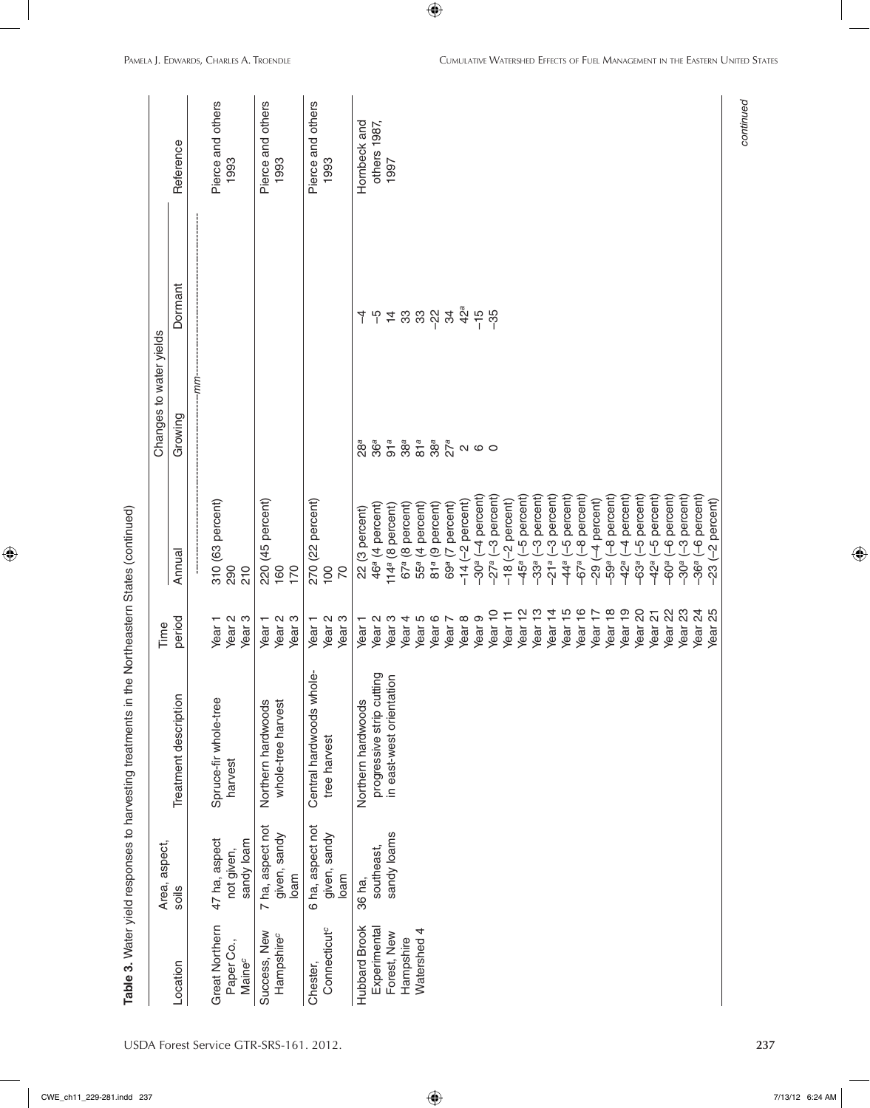| $\sim$ h11. 000.001.inde |  |
|--------------------------|--|
|                          |  |
|                          |  |

| .<br>،                                                                                                                                                                                                                         |  |
|--------------------------------------------------------------------------------------------------------------------------------------------------------------------------------------------------------------------------------|--|
| control of the concerned control of the second control of the concerned concerned in the concerned of the concerned control of the concerned control of the concerned control of the concerned control of the concerned contro |  |
|                                                                                                                                                                                                                                |  |
|                                                                                                                                                                                                                                |  |
| ֧֖֚֞֕֜֕                                                                                                                                                                                                                        |  |
| )<br>2<br>2<br>2<br>2<br>2<br>2                                                                                                                                                                                                |  |
|                                                                                                                                                                                                                                |  |
| )<br>2020<br>2020<br>2020                                                                                                                                                                                                      |  |
|                                                                                                                                                                                                                                |  |
|                                                                                                                                                                                                                                |  |
| -<br>ด 3<br>S<br>S                                                                                                                                                                                                             |  |
|                                                                                                                                                                                                                                |  |

| $(-4$ percent)<br>-5 percent)<br>-5 percent)<br>-8 percent)<br>-3 percent)<br>-3 percent)<br>-3 percent)<br>-4 percent)<br>310 (63 percent)<br>220 (45 percent)<br>$-2$ percent)<br>270 (22 percent)<br>$-14$ $(-2$ percent)<br>46 <sup>ª</sup> (4 percent)<br>67 <sup>ª</sup> (8 percent)<br>55ª (4 percent)<br>(9 percent)<br>(7 percent)<br>114ª (8 percent)<br>22 (3 percent)<br>Annual<br>69ª (<br>$-30a$<br>81a<br>$-27a$<br>$-45a$<br>21a<br>$-67a$<br>$-33a$<br>44 <sup>a</sup><br>$-29$<br>$-18$<br>210<br>170<br>100<br>290<br>160<br>$\overline{70}$<br>Year <sub>13</sub><br>Year 16<br>Year <sub>12</sub><br>Year <sub>14</sub><br>Year <sub>15</sub><br>Year <sub>10</sub><br>Year 17<br>Year <sub>11</sub><br>Year <sub>9</sub><br>Year <sub>3</sub><br>Year <sub>5</sub><br>Year <sub>6</sub><br>Year <sub>8</sub><br>Year <sub>3</sub><br>Year <sub>2</sub><br>Year <sub>3</sub><br>Year <sub>2</sub><br>Year <sub>3</sub><br>Year <sub>4</sub><br>period<br>Year <sub>2</sub><br>Year <sub>2</sub><br>Year <sub>1</sub><br>Year 7<br>Year <sub>1</sub><br>Year <sub>1</sub><br>Year <sub>1</sub><br>Time<br>Central hardwoods whole-<br>progressive strip cutting<br>in east-west orientation<br>Treatment description<br>Spruce-fir whole-tree<br>Northern hardwoods<br>Northern hardwoods<br>whole-tree harvest<br>tree harvest<br>harvest<br>7 ha, aspect not<br>6 ha, aspect not<br>sandy loams<br>given, sandy<br>given, sandy<br>47 ha, aspect<br>sandy loam<br>Area, aspect,<br>southeast,<br>not given,<br>loam<br>loam<br>36 ha,<br>soils<br>Great Northern<br>Hubbard Brook<br>Experimental<br>Connecticut <sup>c</sup><br>Watershed 4<br>Success, New<br>Forest, New<br>Hampshire <sup>c</sup><br>Hampshire<br>Paper Co.,<br><b>Maine</b> <sup>c</sup><br>.ocation<br>Chester, |  | --mm----<br>Growing<br>91a<br>36a<br>38a<br>81a<br>28ª | Dormant<br>33.88<br>4h4 | Pierce and others<br>Pierce and others<br>Pierce and others<br>Hornbeck and<br>others 1987,<br>Reference<br>1993<br>1993<br>1993<br>1997 |
|-------------------------------------------------------------------------------------------------------------------------------------------------------------------------------------------------------------------------------------------------------------------------------------------------------------------------------------------------------------------------------------------------------------------------------------------------------------------------------------------------------------------------------------------------------------------------------------------------------------------------------------------------------------------------------------------------------------------------------------------------------------------------------------------------------------------------------------------------------------------------------------------------------------------------------------------------------------------------------------------------------------------------------------------------------------------------------------------------------------------------------------------------------------------------------------------------------------------------------------------------------------------------------------------------------------------------------------------------------------------------------------------------------------------------------------------------------------------------------------------------------------------------------------------------------------------------------------------------------------------------------------------------------------------------------------------------------------------------------------------------------------------------------------------------------------|--|--------------------------------------------------------|-------------------------|------------------------------------------------------------------------------------------------------------------------------------------|
|                                                                                                                                                                                                                                                                                                                                                                                                                                                                                                                                                                                                                                                                                                                                                                                                                                                                                                                                                                                                                                                                                                                                                                                                                                                                                                                                                                                                                                                                                                                                                                                                                                                                                                                                                                                                             |  |                                                        |                         |                                                                                                                                          |
|                                                                                                                                                                                                                                                                                                                                                                                                                                                                                                                                                                                                                                                                                                                                                                                                                                                                                                                                                                                                                                                                                                                                                                                                                                                                                                                                                                                                                                                                                                                                                                                                                                                                                                                                                                                                             |  |                                                        |                         |                                                                                                                                          |
|                                                                                                                                                                                                                                                                                                                                                                                                                                                                                                                                                                                                                                                                                                                                                                                                                                                                                                                                                                                                                                                                                                                                                                                                                                                                                                                                                                                                                                                                                                                                                                                                                                                                                                                                                                                                             |  |                                                        |                         |                                                                                                                                          |
|                                                                                                                                                                                                                                                                                                                                                                                                                                                                                                                                                                                                                                                                                                                                                                                                                                                                                                                                                                                                                                                                                                                                                                                                                                                                                                                                                                                                                                                                                                                                                                                                                                                                                                                                                                                                             |  |                                                        |                         |                                                                                                                                          |
|                                                                                                                                                                                                                                                                                                                                                                                                                                                                                                                                                                                                                                                                                                                                                                                                                                                                                                                                                                                                                                                                                                                                                                                                                                                                                                                                                                                                                                                                                                                                                                                                                                                                                                                                                                                                             |  |                                                        |                         |                                                                                                                                          |
|                                                                                                                                                                                                                                                                                                                                                                                                                                                                                                                                                                                                                                                                                                                                                                                                                                                                                                                                                                                                                                                                                                                                                                                                                                                                                                                                                                                                                                                                                                                                                                                                                                                                                                                                                                                                             |  |                                                        |                         |                                                                                                                                          |
|                                                                                                                                                                                                                                                                                                                                                                                                                                                                                                                                                                                                                                                                                                                                                                                                                                                                                                                                                                                                                                                                                                                                                                                                                                                                                                                                                                                                                                                                                                                                                                                                                                                                                                                                                                                                             |  |                                                        |                         |                                                                                                                                          |
|                                                                                                                                                                                                                                                                                                                                                                                                                                                                                                                                                                                                                                                                                                                                                                                                                                                                                                                                                                                                                                                                                                                                                                                                                                                                                                                                                                                                                                                                                                                                                                                                                                                                                                                                                                                                             |  |                                                        |                         |                                                                                                                                          |
|                                                                                                                                                                                                                                                                                                                                                                                                                                                                                                                                                                                                                                                                                                                                                                                                                                                                                                                                                                                                                                                                                                                                                                                                                                                                                                                                                                                                                                                                                                                                                                                                                                                                                                                                                                                                             |  |                                                        |                         |                                                                                                                                          |
|                                                                                                                                                                                                                                                                                                                                                                                                                                                                                                                                                                                                                                                                                                                                                                                                                                                                                                                                                                                                                                                                                                                                                                                                                                                                                                                                                                                                                                                                                                                                                                                                                                                                                                                                                                                                             |  |                                                        |                         |                                                                                                                                          |
|                                                                                                                                                                                                                                                                                                                                                                                                                                                                                                                                                                                                                                                                                                                                                                                                                                                                                                                                                                                                                                                                                                                                                                                                                                                                                                                                                                                                                                                                                                                                                                                                                                                                                                                                                                                                             |  |                                                        |                         |                                                                                                                                          |
|                                                                                                                                                                                                                                                                                                                                                                                                                                                                                                                                                                                                                                                                                                                                                                                                                                                                                                                                                                                                                                                                                                                                                                                                                                                                                                                                                                                                                                                                                                                                                                                                                                                                                                                                                                                                             |  |                                                        |                         |                                                                                                                                          |
|                                                                                                                                                                                                                                                                                                                                                                                                                                                                                                                                                                                                                                                                                                                                                                                                                                                                                                                                                                                                                                                                                                                                                                                                                                                                                                                                                                                                                                                                                                                                                                                                                                                                                                                                                                                                             |  |                                                        |                         |                                                                                                                                          |
|                                                                                                                                                                                                                                                                                                                                                                                                                                                                                                                                                                                                                                                                                                                                                                                                                                                                                                                                                                                                                                                                                                                                                                                                                                                                                                                                                                                                                                                                                                                                                                                                                                                                                                                                                                                                             |  |                                                        |                         |                                                                                                                                          |
|                                                                                                                                                                                                                                                                                                                                                                                                                                                                                                                                                                                                                                                                                                                                                                                                                                                                                                                                                                                                                                                                                                                                                                                                                                                                                                                                                                                                                                                                                                                                                                                                                                                                                                                                                                                                             |  |                                                        |                         |                                                                                                                                          |
|                                                                                                                                                                                                                                                                                                                                                                                                                                                                                                                                                                                                                                                                                                                                                                                                                                                                                                                                                                                                                                                                                                                                                                                                                                                                                                                                                                                                                                                                                                                                                                                                                                                                                                                                                                                                             |  |                                                        |                         |                                                                                                                                          |
|                                                                                                                                                                                                                                                                                                                                                                                                                                                                                                                                                                                                                                                                                                                                                                                                                                                                                                                                                                                                                                                                                                                                                                                                                                                                                                                                                                                                                                                                                                                                                                                                                                                                                                                                                                                                             |  | $38a$<br>$27a$                                         | 34                      |                                                                                                                                          |
|                                                                                                                                                                                                                                                                                                                                                                                                                                                                                                                                                                                                                                                                                                                                                                                                                                                                                                                                                                                                                                                                                                                                                                                                                                                                                                                                                                                                                                                                                                                                                                                                                                                                                                                                                                                                             |  |                                                        | $42^a$                  |                                                                                                                                          |
|                                                                                                                                                                                                                                                                                                                                                                                                                                                                                                                                                                                                                                                                                                                                                                                                                                                                                                                                                                                                                                                                                                                                                                                                                                                                                                                                                                                                                                                                                                                                                                                                                                                                                                                                                                                                             |  | QQ                                                     | $-15$<br>-35            |                                                                                                                                          |
|                                                                                                                                                                                                                                                                                                                                                                                                                                                                                                                                                                                                                                                                                                                                                                                                                                                                                                                                                                                                                                                                                                                                                                                                                                                                                                                                                                                                                                                                                                                                                                                                                                                                                                                                                                                                             |  |                                                        |                         |                                                                                                                                          |
|                                                                                                                                                                                                                                                                                                                                                                                                                                                                                                                                                                                                                                                                                                                                                                                                                                                                                                                                                                                                                                                                                                                                                                                                                                                                                                                                                                                                                                                                                                                                                                                                                                                                                                                                                                                                             |  |                                                        |                         |                                                                                                                                          |
|                                                                                                                                                                                                                                                                                                                                                                                                                                                                                                                                                                                                                                                                                                                                                                                                                                                                                                                                                                                                                                                                                                                                                                                                                                                                                                                                                                                                                                                                                                                                                                                                                                                                                                                                                                                                             |  |                                                        |                         |                                                                                                                                          |
|                                                                                                                                                                                                                                                                                                                                                                                                                                                                                                                                                                                                                                                                                                                                                                                                                                                                                                                                                                                                                                                                                                                                                                                                                                                                                                                                                                                                                                                                                                                                                                                                                                                                                                                                                                                                             |  |                                                        |                         |                                                                                                                                          |
|                                                                                                                                                                                                                                                                                                                                                                                                                                                                                                                                                                                                                                                                                                                                                                                                                                                                                                                                                                                                                                                                                                                                                                                                                                                                                                                                                                                                                                                                                                                                                                                                                                                                                                                                                                                                             |  |                                                        |                         |                                                                                                                                          |
|                                                                                                                                                                                                                                                                                                                                                                                                                                                                                                                                                                                                                                                                                                                                                                                                                                                                                                                                                                                                                                                                                                                                                                                                                                                                                                                                                                                                                                                                                                                                                                                                                                                                                                                                                                                                             |  |                                                        |                         |                                                                                                                                          |
|                                                                                                                                                                                                                                                                                                                                                                                                                                                                                                                                                                                                                                                                                                                                                                                                                                                                                                                                                                                                                                                                                                                                                                                                                                                                                                                                                                                                                                                                                                                                                                                                                                                                                                                                                                                                             |  |                                                        |                         |                                                                                                                                          |
|                                                                                                                                                                                                                                                                                                                                                                                                                                                                                                                                                                                                                                                                                                                                                                                                                                                                                                                                                                                                                                                                                                                                                                                                                                                                                                                                                                                                                                                                                                                                                                                                                                                                                                                                                                                                             |  |                                                        |                         |                                                                                                                                          |
| -8 percent)<br>.59 <sup>a</sup><br>Year <sub>18</sub>                                                                                                                                                                                                                                                                                                                                                                                                                                                                                                                                                                                                                                                                                                                                                                                                                                                                                                                                                                                                                                                                                                                                                                                                                                                                                                                                                                                                                                                                                                                                                                                                                                                                                                                                                       |  |                                                        |                         |                                                                                                                                          |
| -4 percent)<br>42 <sup>a</sup><br>Year <sub>19</sub>                                                                                                                                                                                                                                                                                                                                                                                                                                                                                                                                                                                                                                                                                                                                                                                                                                                                                                                                                                                                                                                                                                                                                                                                                                                                                                                                                                                                                                                                                                                                                                                                                                                                                                                                                        |  |                                                        |                         |                                                                                                                                          |
| percent)<br>ပှ<br>$-63a$<br>Year <sub>20</sub>                                                                                                                                                                                                                                                                                                                                                                                                                                                                                                                                                                                                                                                                                                                                                                                                                                                                                                                                                                                                                                                                                                                                                                                                                                                                                                                                                                                                                                                                                                                                                                                                                                                                                                                                                              |  |                                                        |                         |                                                                                                                                          |
| percent)<br>$\frac{1}{2}$<br>42 <sup>a</sup><br>Year <sub>21</sub>                                                                                                                                                                                                                                                                                                                                                                                                                                                                                                                                                                                                                                                                                                                                                                                                                                                                                                                                                                                                                                                                                                                                                                                                                                                                                                                                                                                                                                                                                                                                                                                                                                                                                                                                          |  |                                                        |                         |                                                                                                                                          |
| -6 percent)<br>-60 <sup>a</sup><br>Year <sub>22</sub>                                                                                                                                                                                                                                                                                                                                                                                                                                                                                                                                                                                                                                                                                                                                                                                                                                                                                                                                                                                                                                                                                                                                                                                                                                                                                                                                                                                                                                                                                                                                                                                                                                                                                                                                                       |  |                                                        |                         |                                                                                                                                          |
| -3 percent)<br>$-30a$<br>Year <sub>23</sub>                                                                                                                                                                                                                                                                                                                                                                                                                                                                                                                                                                                                                                                                                                                                                                                                                                                                                                                                                                                                                                                                                                                                                                                                                                                                                                                                                                                                                                                                                                                                                                                                                                                                                                                                                                 |  |                                                        |                         |                                                                                                                                          |
| -6 percent)<br>$-36a$<br>Year <sub>24</sub>                                                                                                                                                                                                                                                                                                                                                                                                                                                                                                                                                                                                                                                                                                                                                                                                                                                                                                                                                                                                                                                                                                                                                                                                                                                                                                                                                                                                                                                                                                                                                                                                                                                                                                                                                                 |  |                                                        |                         |                                                                                                                                          |
| $-2$ percent)<br>$-23$<br>Year <sub>25</sub>                                                                                                                                                                                                                                                                                                                                                                                                                                                                                                                                                                                                                                                                                                                                                                                                                                                                                                                                                                                                                                                                                                                                                                                                                                                                                                                                                                                                                                                                                                                                                                                                                                                                                                                                                                |  |                                                        |                         |                                                                                                                                          |

 $\bigoplus$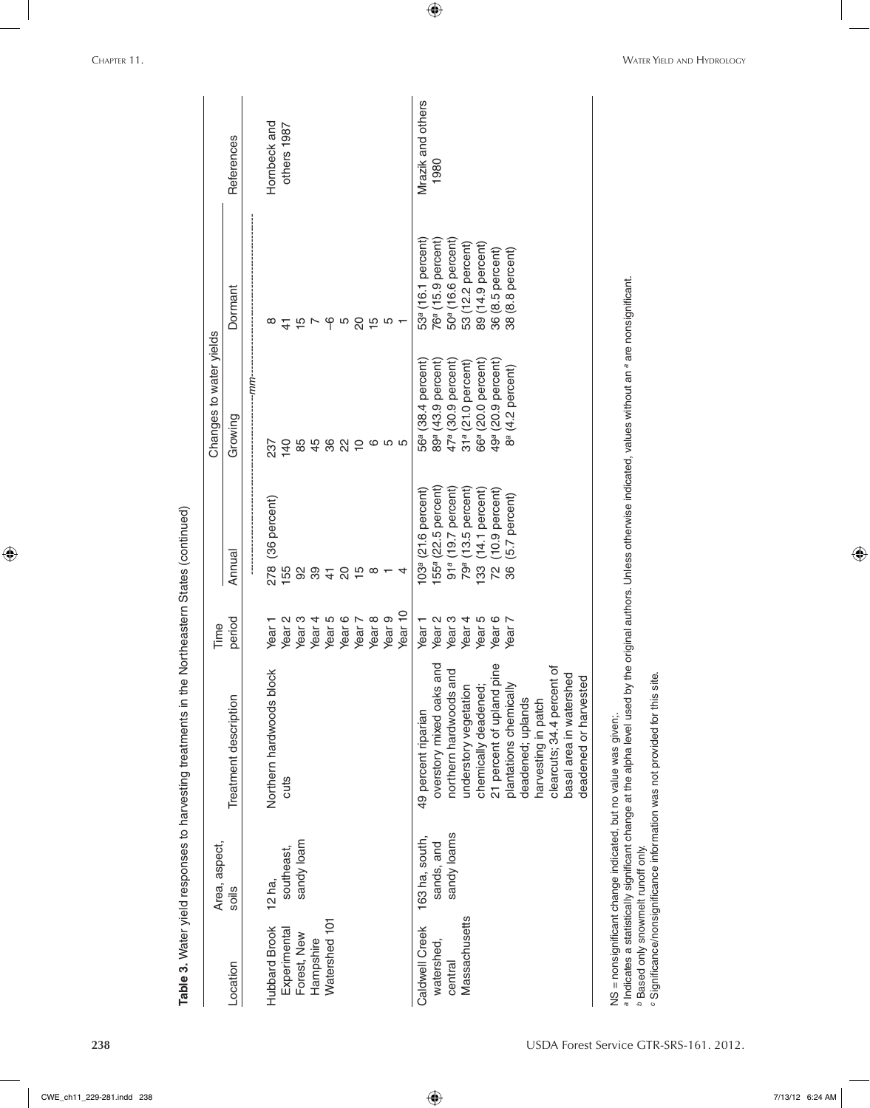|                              | Area, aspect,             |                                                       | Time                                   |                                                                   | Changes to water yields                                               |                                                                  |                           |
|------------------------------|---------------------------|-------------------------------------------------------|----------------------------------------|-------------------------------------------------------------------|-----------------------------------------------------------------------|------------------------------------------------------------------|---------------------------|
| Location                     | soils                     | Treatment description                                 | period                                 | Annual                                                            | Growing                                                               | Dormant                                                          | References                |
| <b>Hubbard Brook</b>         | 12 ha,                    | Northern hardwoods block                              | Year <sub>1</sub>                      | (36 percent)<br>278                                               | $-mm-$<br>237                                                         | $\infty$                                                         | Hornbeck and              |
| Experimental<br>Forest, New  | sandy loam<br>southeast,  | cuts                                                  | Year <sub>3</sub><br>Year <sub>2</sub> | 155<br>92                                                         | 140                                                                   | $\frac{4}{5}$                                                    | others 1987               |
| Hampshire                    |                           |                                                       | Year <sub>4</sub>                      | 89                                                                | 848                                                                   | $\frac{15}{2}$                                                   |                           |
| Watershed 101                |                           |                                                       | Year <sub>6</sub><br>Year <sub>5</sub> | $\rm _{20}$<br>$\frac{4}{5}$                                      | $\mathcal{S}^2$                                                       |                                                                  |                           |
|                              |                           |                                                       | Year 7                                 |                                                                   | $\overline{C}$                                                        |                                                                  |                           |
|                              |                           |                                                       | Year <sub>8</sub>                      | $\frac{1}{10}$<br>so $-$                                          |                                                                       |                                                                  |                           |
|                              |                           |                                                       | Year 10<br>Year <sub>9</sub>           | 4                                                                 | 655<br>6                                                              | $\frac{1}{6}$ ro $\frac{1}{6}$ ro $\frac{1}{6}$ ro $\frac{1}{6}$ |                           |
| Caldwell Creek<br>watershed, | 163 ha, south,            | 49 percent riparian                                   | Year <sub>2</sub><br>Year <sub>1</sub> | $(21.6$ percent)<br>103 <sup>a</sup>                              | $(38.4$ percent)<br>56а                                               | 53 <sup>ª</sup> (16.1 percent)<br>76 <sup>а</sup> (              | Mrazik and others<br>1980 |
| central                      | sandy loams<br>sands, and | overstory mixed oaks and<br>northern hardwoods and    | Year <sub>3</sub>                      | 155 <sup>a</sup> (22.5 percent)<br>91 <sup>ª</sup> (19.7 percent) | $(43.9$ percent)<br>47 <sup>ª</sup> (30.9 percent)<br>89 <sup>a</sup> | $(15.9$ percent)<br>$(16.6$ percent)<br>50 <sup>a</sup> (        |                           |
| Massachusetts                |                           | understory vegetation                                 | Year <sub>4</sub>                      | $(13.5$ percent)<br>79 <sup>a</sup>                               | 31ª (21.0 percent)                                                    | 53 (12.2 percent)                                                |                           |
|                              |                           | chemically deadened;                                  | Year <sub>5</sub>                      | 14.1 percent)<br>133                                              | 66 <sup>ª</sup> (20.0 percent)                                        | (14.9 percent)<br>$\frac{89}{6}$                                 |                           |
|                              |                           | 21 percent of upland pine                             | Year 6<br>Year 7                       | $(10.9$ percent)<br>72                                            | 49 <sup>a</sup> (20.9 percent)                                        | $(8.5$ percent)<br>$(8.8$ percent)<br>36 <sub>0</sub>            |                           |
|                              |                           | plantations chemically<br>deadened; uplands           |                                        | $(5.7$ percent)<br>36                                             | $(4.2$ percent)<br>æ<br>8                                             | $\overline{38}$                                                  |                           |
|                              |                           | harvesting in patch                                   |                                        |                                                                   |                                                                       |                                                                  |                           |
|                              |                           | clearcuts; 34.4 percent of<br>basal area in watershed |                                        |                                                                   |                                                                       |                                                                  |                           |
|                              |                           | deadened or harvested                                 |                                        |                                                                   |                                                                       |                                                                  |                           |

 $\bigoplus$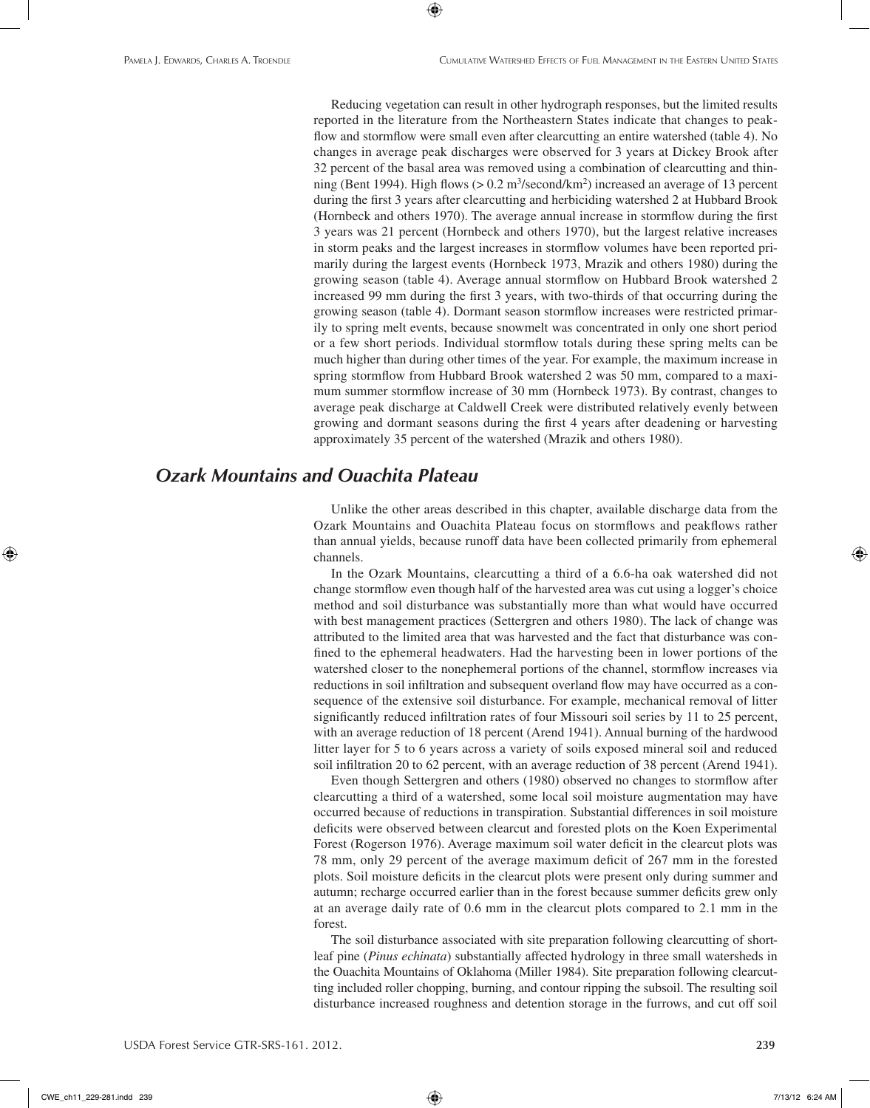Reducing vegetation can result in other hydrograph responses, but the limited results reported in the literature from the Northeastern States indicate that changes to peakflow and stormflow were small even after clearcutting an entire watershed (table 4). No changes in average peak discharges were observed for 3 years at Dickey Brook after 32 percent of the basal area was removed using a combination of clearcutting and thinning (Bent 1994). High flows ( $> 0.2$  m<sup>3</sup>/second/km<sup>2</sup>) increased an average of 13 percent during the first 3 years after clearcutting and herbiciding watershed 2 at Hubbard Brook (Hornbeck and others 1970). The average annual increase in stormflow during the first 3 years was 21 percent (Hornbeck and others 1970), but the largest relative increases in storm peaks and the largest increases in stormflow volumes have been reported primarily during the largest events (Hornbeck 1973, Mrazik and others 1980) during the growing season (table 4). Average annual stormflow on Hubbard Brook watershed 2 increased 99 mm during the first 3 years, with two-thirds of that occurring during the growing season (table 4). Dormant season stormflow increases were restricted primarily to spring melt events, because snowmelt was concentrated in only one short period or a few short periods. Individual stormflow totals during these spring melts can be much higher than during other times of the year. For example, the maximum increase in spring stormflow from Hubbard Brook watershed 2 was 50 mm, compared to a maximum summer stormflow increase of 30 mm (Hornbeck 1973). By contrast, changes to average peak discharge at Caldwell Creek were distributed relatively evenly between growing and dormant seasons during the first 4 years after deadening or harvesting approximately 35 percent of the watershed (Mrazik and others 1980).

⊕

## *Ozark Mountains and Ouachita Plateau*

Unlike the other areas described in this chapter, available discharge data from the Ozark Mountains and Ouachita Plateau focus on stormflows and peakflows rather than annual yields, because runoff data have been collected primarily from ephemeral channels.

In the Ozark Mountains, clearcutting a third of a 6.6-ha oak watershed did not change stormflow even though half of the harvested area was cut using a logger's choice method and soil disturbance was substantially more than what would have occurred with best management practices (Settergren and others 1980). The lack of change was attributed to the limited area that was harvested and the fact that disturbance was confined to the ephemeral headwaters. Had the harvesting been in lower portions of the watershed closer to the nonephemeral portions of the channel, stormflow increases via reductions in soil infiltration and subsequent overland flow may have occurred as a consequence of the extensive soil disturbance. For example, mechanical removal of litter significantly reduced infiltration rates of four Missouri soil series by 11 to 25 percent, with an average reduction of 18 percent (Arend 1941). Annual burning of the hardwood litter layer for 5 to 6 years across a variety of soils exposed mineral soil and reduced soil infiltration 20 to 62 percent, with an average reduction of 38 percent (Arend 1941).

Even though Settergren and others (1980) observed no changes to stormflow after clearcutting a third of a watershed, some local soil moisture augmentation may have occurred because of reductions in transpiration. Substantial differences in soil moisture deficits were observed between clearcut and forested plots on the Koen Experimental Forest (Rogerson 1976). Average maximum soil water deficit in the clearcut plots was 78 mm, only 29 percent of the average maximum deficit of 267 mm in the forested plots. Soil moisture deficits in the clearcut plots were present only during summer and autumn; recharge occurred earlier than in the forest because summer deficits grew only at an average daily rate of 0.6 mm in the clearcut plots compared to 2.1 mm in the forest.

The soil disturbance associated with site preparation following clearcutting of shortleaf pine (*Pinus echinata*) substantially affected hydrology in three small watersheds in the Ouachita Mountains of Oklahoma (Miller 1984). Site preparation following clearcutting included roller chopping, burning, and contour ripping the subsoil. The resulting soil disturbance increased roughness and detention storage in the furrows, and cut off soil

CWE\_ch11\_229-281.indd 239 7/13/12 6:24 AM

⊕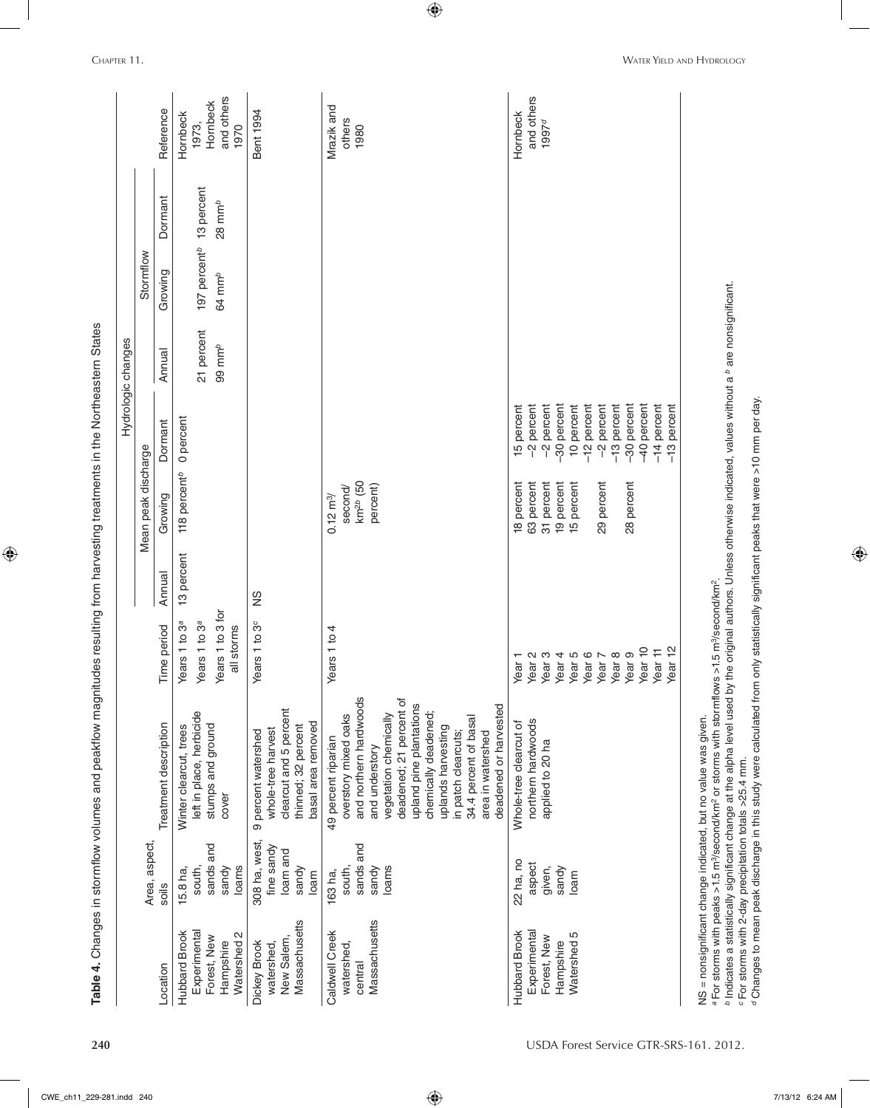|                                                                                 |                                                          |                                                                                                                                                                                                                                                                                                                                                                                                                                                                                                                                        |                                                                                                                                                                                                                 |            |                                                                                                |                                                                                                                                                                              | Hydrologic changes                                                                                  |                                                |                                 |                                                     |
|---------------------------------------------------------------------------------|----------------------------------------------------------|----------------------------------------------------------------------------------------------------------------------------------------------------------------------------------------------------------------------------------------------------------------------------------------------------------------------------------------------------------------------------------------------------------------------------------------------------------------------------------------------------------------------------------------|-----------------------------------------------------------------------------------------------------------------------------------------------------------------------------------------------------------------|------------|------------------------------------------------------------------------------------------------|------------------------------------------------------------------------------------------------------------------------------------------------------------------------------|-----------------------------------------------------------------------------------------------------|------------------------------------------------|---------------------------------|-----------------------------------------------------|
|                                                                                 | Area, aspect,                                            |                                                                                                                                                                                                                                                                                                                                                                                                                                                                                                                                        |                                                                                                                                                                                                                 |            | Mean peak discharge                                                                            |                                                                                                                                                                              |                                                                                                     | Stormflow                                      |                                 |                                                     |
| Location                                                                        | soils                                                    | Treatment description                                                                                                                                                                                                                                                                                                                                                                                                                                                                                                                  | Time period                                                                                                                                                                                                     | Annual     | Growing                                                                                        | Dormant                                                                                                                                                                      | Annual                                                                                              | Growing                                        | Dormant                         | Reference                                           |
| <b>Hubbard Brook</b><br>Experimental<br>Watershed 2<br>Forest, New<br>Hampshire | sands and<br>loams<br>south,<br>15.8 ha,<br>sandy        | left in place, herbicide<br>stumps and ground<br>Winter clearcut, trees<br>cover                                                                                                                                                                                                                                                                                                                                                                                                                                                       | Years 1 to 3 for<br>fears 1 to 3 <sup>a</sup><br>fears 1 to 3 <sup>ª</sup><br>all storms                                                                                                                        | 13 percent | 118 percent <sup>b</sup>                                                                       | 0 percent                                                                                                                                                                    | 21 percent<br>$99 \text{ mm}^b$                                                                     | 197 percent <sup>b</sup><br>64 mm <sup>b</sup> | 13 percent<br>$28 \text{ mm}^b$ | and others<br>Hornbeck<br>Hornbeck<br>1973,<br>1970 |
| Massachusetts<br>New Salem<br>Dickey Brook<br>watershed,                        | 308 ha, west,<br>fine sandy<br>loam and<br>sandy<br>loam | clearcut and 5 percent<br>basal area removed<br>thinned; 32 percent<br>whole-tree harvest<br>9 percent watershed                                                                                                                                                                                                                                                                                                                                                                                                                       | ears 1 to 3 <sup>c</sup>                                                                                                                                                                                        | SZ         |                                                                                                |                                                                                                                                                                              |                                                                                                     |                                                |                                 | Bent 1994                                           |
| Massachusetts<br>Caldwell Creek<br>watershed<br>central                         | sands and<br>sandy<br>loams<br>south,<br>163 ha,         | and northern hardwoods<br>deadened; 21 percent of<br>upland pine plantations<br>deadened or harvested<br>vegetation chemically<br>chemically deadened;<br>overstory mixed oaks<br>34.4 percent of basal<br>uplands harvesting<br>in patch clearcuts;<br>area in watershed<br>49 percent riparian<br>and understory                                                                                                                                                                                                                     | $f$ ears 1 to 4                                                                                                                                                                                                 |            | km <sup>2b</sup> (50<br>percent)<br>second/<br>$0.12 \, m^{3}$                                 |                                                                                                                                                                              |                                                                                                     |                                                |                                 | Mrazik and<br>others<br>1980                        |
| Experimental<br>Hubbard Brook<br>Watershed 5<br>Forest, New<br>Hampshire        | 22 ha, no<br>aspect<br>given,<br>sandy<br>loam           | northern hardwoods<br>Whole-tree clearcut of<br>applied to 20 ha                                                                                                                                                                                                                                                                                                                                                                                                                                                                       | Year 10<br>Year 12<br>Year 11<br>Year 6<br>Year <sub>9</sub><br>Year <sub>3</sub><br>Year <sub>4</sub><br>Year <sub>5</sub><br>Year <sub>8</sub><br>Year <sub>2</sub><br>Year <sub>7</sub><br>Year <sub>1</sub> |            | 63 percent<br>31 percent<br>19 percent<br>29 percent<br>28 percent<br>18 percent<br>15 percent | -30 percent<br>-30 percent<br>40 percent<br>-2 percent<br>-2 percent<br>-13 percent<br>-2 percent<br>-12 percent<br>$-14$ percent<br>-13 percent<br>10 percent<br>15 percent |                                                                                                     |                                                |                                 | and others<br>Hornbeck<br>1997 <sup>d</sup>         |
| c For storms with 2-day precipitation totals >25.4 mm.                          |                                                          | a For storms with peaks >1.5 m <sup>3</sup> /second/km <sup>2</sup> or storms with stormflows >1.5 m <sup>3</sup> /second/km <sup>2</sup><br><sup>b</sup> Indicates a statistically significant change at the alpha level used by<br>ייל לא האי היילי להתקופה לא האי היילי להתקופה להתקופה להתקופה להתקופה להתקופה הייליה להתקופה להתקופה להתקופה ל<br>הייליה להתקופה להתקופה להתקופה להתקופה להתקופה להתקופה להתקופה להתקופה להתקופה להתקופה להתקופה להתקופה המוניקה<br>NS = nonsignificant change indicated, but no value was given. | calu atatiotilo alianificant popla thoi                                                                                                                                                                         |            |                                                                                                |                                                                                                                                                                              | the original authors. Unless otherwise indicated, values without a <sup>b</sup> are nonsignificant. |                                                |                                 |                                                     |

 $\bigoplus$ 

**240** USDA Forest Service GTR-SRS-161. 2012.

Changes to mean peak discharge in this study were calculated from only statistically significant peaks that were >10 mm per day.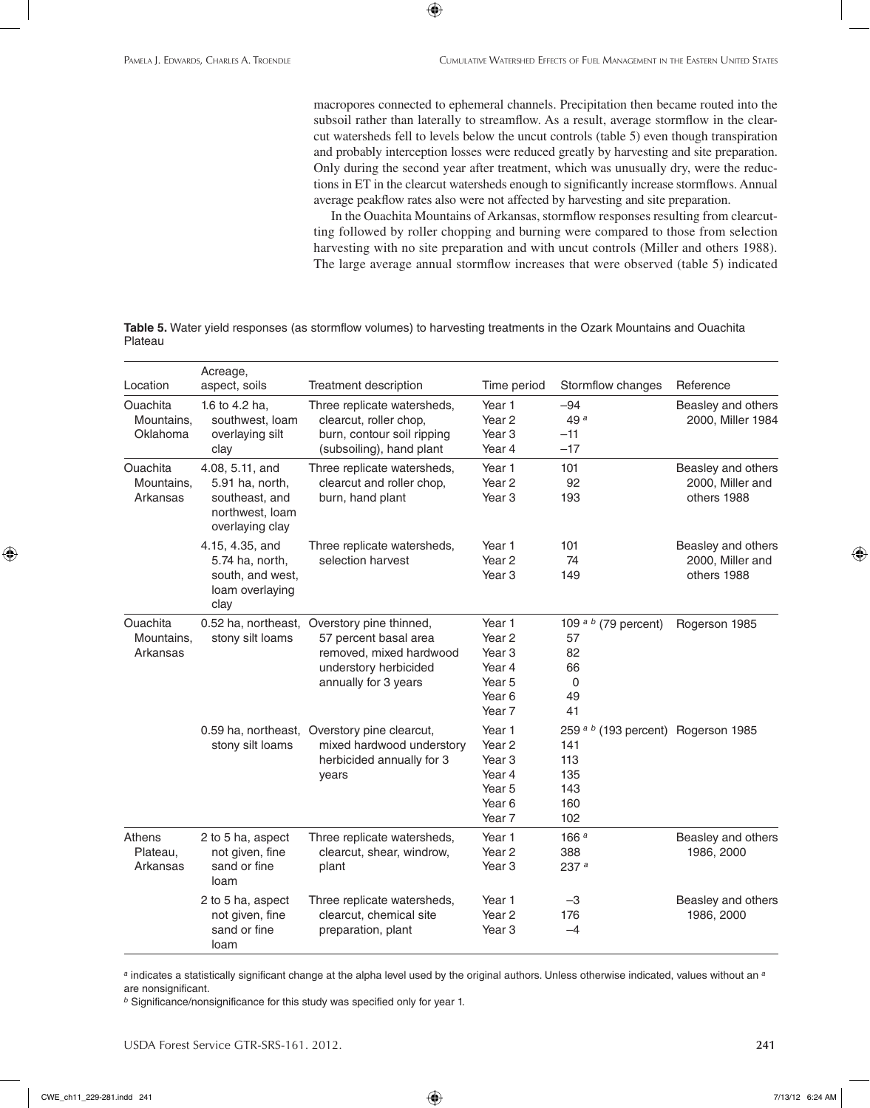macropores connected to ephemeral channels. Precipitation then became routed into the subsoil rather than laterally to streamflow. As a result, average stormflow in the clearcut watersheds fell to levels below the uncut controls (table 5) even though transpiration and probably interception losses were reduced greatly by harvesting and site preparation. Only during the second year after treatment, which was unusually dry, were the reductions in ET in the clearcut watersheds enough to significantly increase stormflows. Annual average peakflow rates also were not affected by harvesting and site preparation.

In the Ouachita Mountains of Arkansas, stormflow responses resulting from clearcutting followed by roller chopping and burning were compared to those from selection harvesting with no site preparation and with uncut controls (Miller and others 1988). The large average annual stormflow increases that were observed (table 5) indicated

**Table 5.** Water yield responses (as stormflow volumes) to harvesting treatments in the Ozark Mountains and Ouachita Plateau

 $\bigoplus$ 

|                                           | Acreage,                                                                                   |                                                                                                                                                  |                                                                                                                           |                                                                                          |                                                       |
|-------------------------------------------|--------------------------------------------------------------------------------------------|--------------------------------------------------------------------------------------------------------------------------------------------------|---------------------------------------------------------------------------------------------------------------------------|------------------------------------------------------------------------------------------|-------------------------------------------------------|
| Location                                  | aspect, soils                                                                              | Treatment description                                                                                                                            | Time period                                                                                                               | Stormflow changes                                                                        | Reference                                             |
| <b>Ouachita</b><br>Mountains,<br>Oklahoma | 1.6 to 4.2 ha,<br>southwest, loam<br>overlaying silt<br>clay                               | Three replicate watersheds,<br>clearcut, roller chop,<br>burn, contour soil ripping<br>(subsoiling), hand plant                                  | Year 1<br>Year <sub>2</sub><br>Year <sub>3</sub><br>Year 4                                                                | $-94$<br>49 <sup>a</sup><br>$-11$<br>$-17$                                               | Beasley and others<br>2000, Miller 1984               |
| <b>Ouachita</b><br>Mountains,<br>Arkansas | 4.08, 5.11, and<br>5.91 ha, north,<br>southeast, and<br>northwest, loam<br>overlaying clay | Three replicate watersheds,<br>clearcut and roller chop.<br>burn, hand plant                                                                     | Year 1<br>Year <sub>2</sub><br>Year <sub>3</sub>                                                                          | 101<br>92<br>193                                                                         | Beasley and others<br>2000, Miller and<br>others 1988 |
|                                           | 4.15, 4.35, and<br>5.74 ha, north,<br>south, and west,<br>loam overlaying<br>clay          | Three replicate watersheds,<br>selection harvest                                                                                                 | Year 1<br>Year <sub>2</sub><br>Year <sub>3</sub>                                                                          | 101<br>74<br>149                                                                         | Beasley and others<br>2000, Miller and<br>others 1988 |
| Ouachita<br>Mountains,<br>Arkansas        | stony silt loams                                                                           | 0.52 ha, northeast, Overstory pine thinned,<br>57 percent basal area<br>removed, mixed hardwood<br>understory herbicided<br>annually for 3 years | Year 1<br>Year <sub>2</sub><br>Year <sub>3</sub><br>Year 4<br>Year <sub>5</sub><br>Year <sub>6</sub><br>Year <sub>7</sub> | 109 $a b$ (79 percent)<br>57<br>82<br>66<br>0<br>49<br>41                                | Rogerson 1985                                         |
|                                           | stony silt loams                                                                           | 0.59 ha, northeast, Overstory pine clearcut,<br>mixed hardwood understory<br>herbicided annually for 3<br>years                                  | Year 1<br>Year 2<br>Year <sub>3</sub><br>Year 4<br>Year <sub>5</sub><br>Year <sub>6</sub><br>Year <sub>7</sub>            | 259 <sup>a b</sup> (193 percent) Rogerson 1985<br>141<br>113<br>135<br>143<br>160<br>102 |                                                       |
| Athens<br>Plateau,<br>Arkansas            | 2 to 5 ha, aspect<br>not given, fine<br>sand or fine<br>loam                               | Three replicate watersheds,<br>clearcut, shear, windrow,<br>plant                                                                                | Year 1<br>Year <sub>2</sub><br>Year <sub>3</sub>                                                                          | 166 <sup>a</sup><br>388<br>237a                                                          | Beasley and others<br>1986, 2000                      |
|                                           | 2 to 5 ha, aspect<br>not given, fine<br>sand or fine<br>loam                               | Three replicate watersheds,<br>clearcut, chemical site<br>preparation, plant                                                                     | Year 1<br>Year <sub>2</sub><br>Year <sub>3</sub>                                                                          | -3<br>176<br>$-4$                                                                        | Beasley and others<br>1986, 2000                      |

*<sup>a</sup>* indicates a statistically significant change at the alpha level used by the original authors. Unless otherwise indicated, values without an *<sup>a</sup>* are nonsignificant.

*<sup>b</sup>* Significance/nonsignificance for this study was specified only for year 1.

USDA Forest Service GTR-SRS-161. 2012. **241**

CWE\_ch11\_229-281.indd 241 7/13/12 6:24 AM

⊕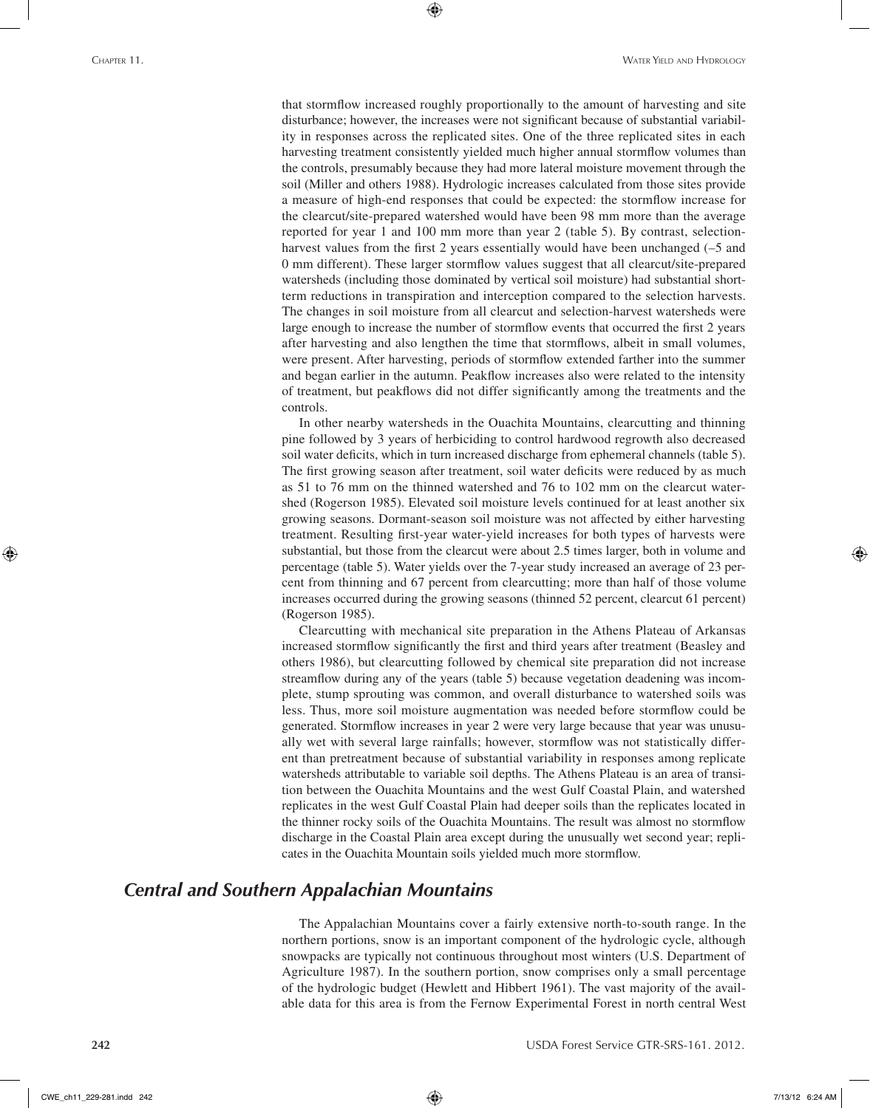that stormflow increased roughly proportionally to the amount of harvesting and site disturbance; however, the increases were not significant because of substantial variability in responses across the replicated sites. One of the three replicated sites in each harvesting treatment consistently yielded much higher annual stormflow volumes than the controls, presumably because they had more lateral moisture movement through the soil (Miller and others 1988). Hydrologic increases calculated from those sites provide a measure of high-end responses that could be expected: the stormflow increase for the clearcut/site-prepared watershed would have been 98 mm more than the average reported for year 1 and 100 mm more than year 2 (table 5). By contrast, selectionharvest values from the first 2 years essentially would have been unchanged (–5 and 0 mm different). These larger stormflow values suggest that all clearcut/site-prepared watersheds (including those dominated by vertical soil moisture) had substantial shortterm reductions in transpiration and interception compared to the selection harvests. The changes in soil moisture from all clearcut and selection-harvest watersheds were large enough to increase the number of stormflow events that occurred the first 2 years after harvesting and also lengthen the time that stormflows, albeit in small volumes, were present. After harvesting, periods of stormflow extended farther into the summer and began earlier in the autumn. Peakflow increases also were related to the intensity of treatment, but peakflows did not differ significantly among the treatments and the controls.

⊕

In other nearby watersheds in the Ouachita Mountains, clearcutting and thinning pine followed by 3 years of herbiciding to control hardwood regrowth also decreased soil water deficits, which in turn increased discharge from ephemeral channels (table 5). The first growing season after treatment, soil water deficits were reduced by as much as 51 to 76 mm on the thinned watershed and 76 to 102 mm on the clearcut watershed (Rogerson 1985). Elevated soil moisture levels continued for at least another six growing seasons. Dormant-season soil moisture was not affected by either harvesting treatment. Resulting first-year water-yield increases for both types of harvests were substantial, but those from the clearcut were about 2.5 times larger, both in volume and percentage (table 5). Water yields over the 7-year study increased an average of 23 percent from thinning and 67 percent from clearcutting; more than half of those volume increases occurred during the growing seasons (thinned 52 percent, clearcut 61 percent) (Rogerson 1985).

Clearcutting with mechanical site preparation in the Athens Plateau of Arkansas increased stormflow significantly the first and third years after treatment (Beasley and others 1986), but clearcutting followed by chemical site preparation did not increase streamflow during any of the years (table 5) because vegetation deadening was incomplete, stump sprouting was common, and overall disturbance to watershed soils was less. Thus, more soil moisture augmentation was needed before stormflow could be generated. Stormflow increases in year 2 were very large because that year was unusually wet with several large rainfalls; however, stormflow was not statistically different than pretreatment because of substantial variability in responses among replicate watersheds attributable to variable soil depths. The Athens Plateau is an area of transition between the Ouachita Mountains and the west Gulf Coastal Plain, and watershed replicates in the west Gulf Coastal Plain had deeper soils than the replicates located in the thinner rocky soils of the Ouachita Mountains. The result was almost no stormflow discharge in the Coastal Plain area except during the unusually wet second year; replicates in the Ouachita Mountain soils yielded much more stormflow.

### *Central and Southern Appalachian Mountains*

The Appalachian Mountains cover a fairly extensive north-to-south range. In the northern portions, snow is an important component of the hydrologic cycle, although snowpacks are typically not continuous throughout most winters (U.S. Department of Agriculture 1987). In the southern portion, snow comprises only a small percentage of the hydrologic budget (Hewlett and Hibbert 1961). The vast majority of the available data for this area is from the Fernow Experimental Forest in north central West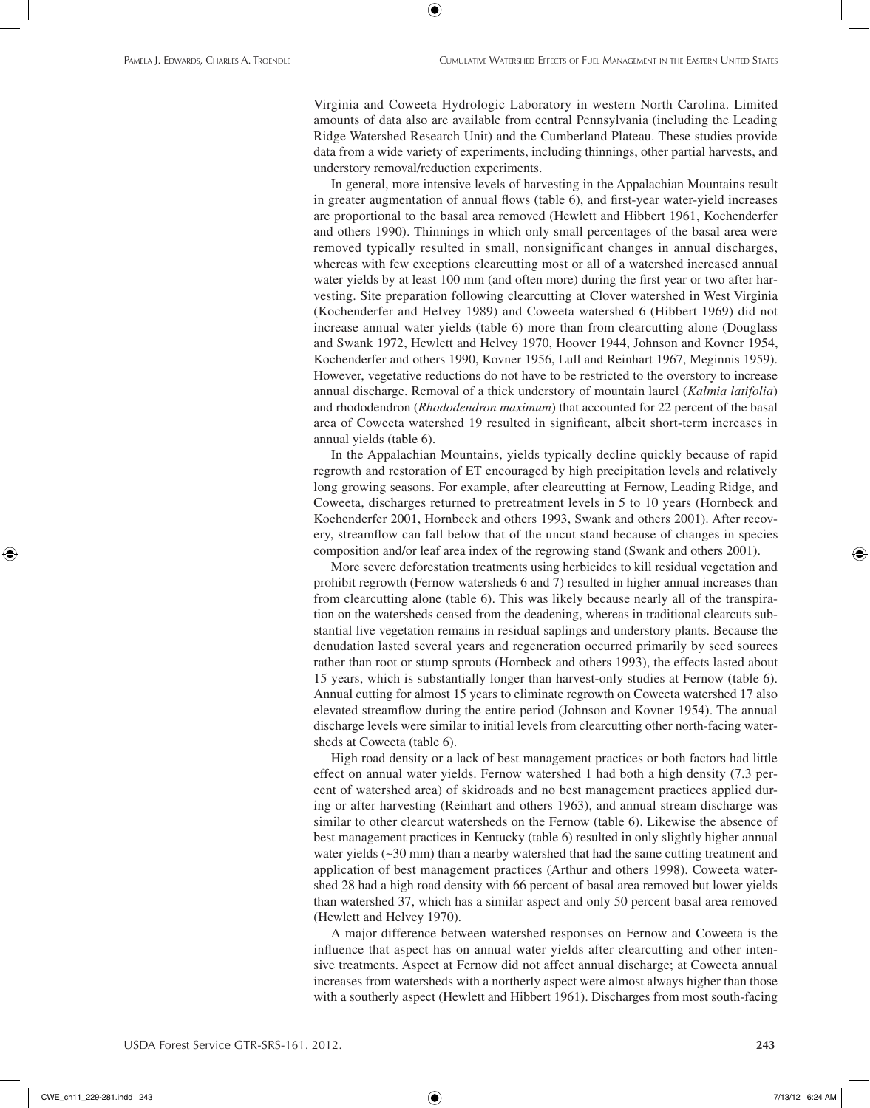Virginia and Coweeta Hydrologic Laboratory in western North Carolina. Limited amounts of data also are available from central Pennsylvania (including the Leading Ridge Watershed Research Unit) and the Cumberland Plateau. These studies provide data from a wide variety of experiments, including thinnings, other partial harvests, and understory removal/reduction experiments.

⊕

In general, more intensive levels of harvesting in the Appalachian Mountains result in greater augmentation of annual flows (table 6), and first-year water-yield increases are proportional to the basal area removed (Hewlett and Hibbert 1961, Kochenderfer and others 1990). Thinnings in which only small percentages of the basal area were removed typically resulted in small, nonsignificant changes in annual discharges, whereas with few exceptions clearcutting most or all of a watershed increased annual water yields by at least 100 mm (and often more) during the first year or two after harvesting. Site preparation following clearcutting at Clover watershed in West Virginia (Kochenderfer and Helvey 1989) and Coweeta watershed 6 (Hibbert 1969) did not increase annual water yields (table 6) more than from clearcutting alone (Douglass and Swank 1972, Hewlett and Helvey 1970, Hoover 1944, Johnson and Kovner 1954, Kochenderfer and others 1990, Kovner 1956, Lull and Reinhart 1967, Meginnis 1959). However, vegetative reductions do not have to be restricted to the overstory to increase annual discharge. Removal of a thick understory of mountain laurel (*Kalmia latifolia*) and rhododendron (*Rhododendron maximum*) that accounted for 22 percent of the basal area of Coweeta watershed 19 resulted in significant, albeit short-term increases in annual yields (table 6).

In the Appalachian Mountains, yields typically decline quickly because of rapid regrowth and restoration of ET encouraged by high precipitation levels and relatively long growing seasons. For example, after clearcutting at Fernow, Leading Ridge, and Coweeta, discharges returned to pretreatment levels in 5 to 10 years (Hornbeck and Kochenderfer 2001, Hornbeck and others 1993, Swank and others 2001). After recovery, streamflow can fall below that of the uncut stand because of changes in species composition and/or leaf area index of the regrowing stand (Swank and others 2001).

More severe deforestation treatments using herbicides to kill residual vegetation and prohibit regrowth (Fernow watersheds 6 and 7) resulted in higher annual increases than from clearcutting alone (table 6). This was likely because nearly all of the transpiration on the watersheds ceased from the deadening, whereas in traditional clearcuts substantial live vegetation remains in residual saplings and understory plants. Because the denudation lasted several years and regeneration occurred primarily by seed sources rather than root or stump sprouts (Hornbeck and others 1993), the effects lasted about 15 years, which is substantially longer than harvest-only studies at Fernow (table 6). Annual cutting for almost 15 years to eliminate regrowth on Coweeta watershed 17 also elevated streamflow during the entire period (Johnson and Kovner 1954). The annual discharge levels were similar to initial levels from clearcutting other north-facing watersheds at Coweeta (table 6).

High road density or a lack of best management practices or both factors had little effect on annual water yields. Fernow watershed 1 had both a high density (7.3 percent of watershed area) of skidroads and no best management practices applied during or after harvesting (Reinhart and others 1963), and annual stream discharge was similar to other clearcut watersheds on the Fernow (table 6). Likewise the absence of best management practices in Kentucky (table 6) resulted in only slightly higher annual water yields  $(\sim 30 \text{ mm})$  than a nearby watershed that had the same cutting treatment and application of best management practices (Arthur and others 1998). Coweeta watershed 28 had a high road density with 66 percent of basal area removed but lower yields than watershed 37, which has a similar aspect and only 50 percent basal area removed (Hewlett and Helvey 1970).

A major difference between watershed responses on Fernow and Coweeta is the influence that aspect has on annual water yields after clearcutting and other intensive treatments. Aspect at Fernow did not affect annual discharge; at Coweeta annual increases from watersheds with a northerly aspect were almost always higher than those with a southerly aspect (Hewlett and Hibbert 1961). Discharges from most south-facing

CWE\_ch11\_229-281.indd 243 7/13/12 6:24 AM

⊕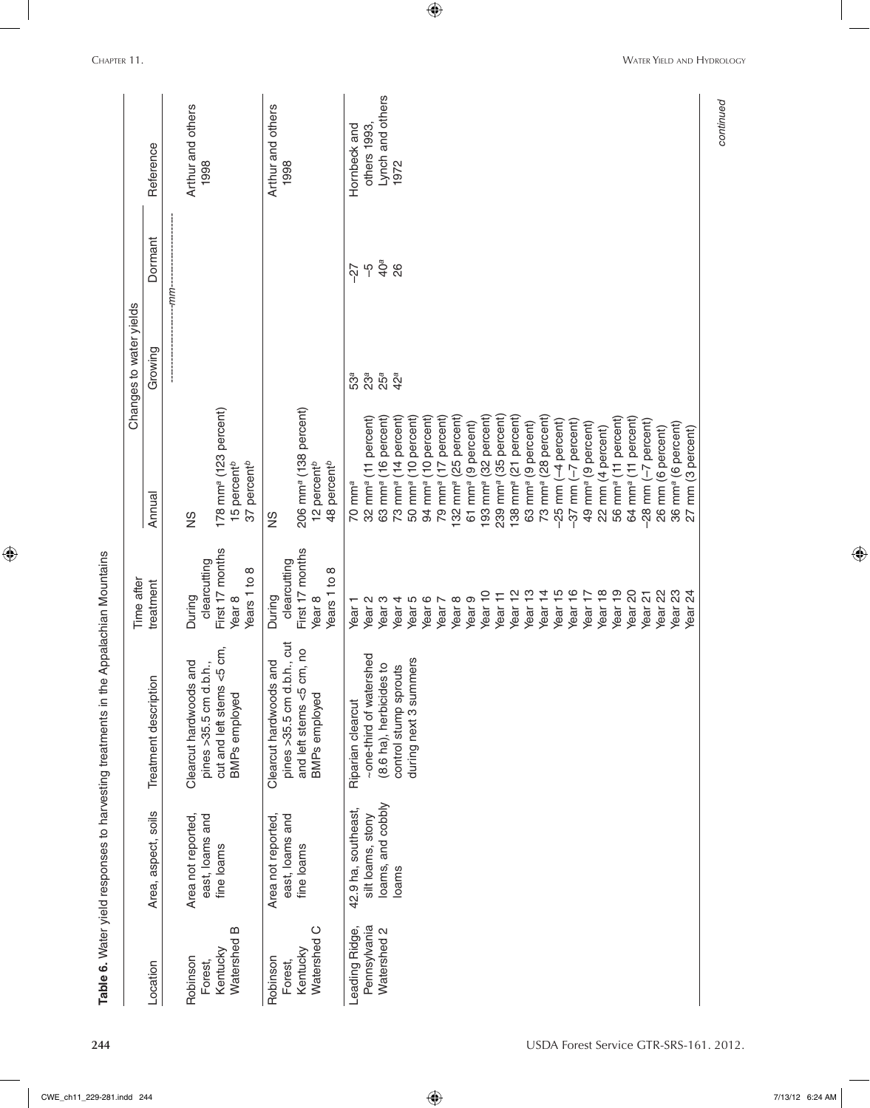|                                    |                                      |                                                                                   | Time after                                                                     |                                                                                            | Changes to water yields |                 |                           |
|------------------------------------|--------------------------------------|-----------------------------------------------------------------------------------|--------------------------------------------------------------------------------|--------------------------------------------------------------------------------------------|-------------------------|-----------------|---------------------------|
| Location                           | Area, aspect, soils                  | Treatment description                                                             | treatment                                                                      | Annual                                                                                     | Growing                 | Dormant         | Reference                 |
|                                    |                                      |                                                                                   |                                                                                |                                                                                            |                         | $-mm-$          |                           |
| Robinson                           | Area not reported,                   | Clearcut hardwoods and                                                            | During                                                                         | $\frac{8}{2}$                                                                              |                         |                 | Arthur and others         |
| Watershed B<br>Kentucky<br>Forest, | east, loams and<br>fine loams        | cm,<br>pines >35.5 cm d.b.h.,<br>cut and left stems $<$ 5<br><b>BMPs</b> employed | First 17 months<br>clearcutting<br>$\infty$<br>Years 1 to<br>Year <sub>8</sub> | 178 mm <sup>a</sup> (123 percent)<br>percent <sup>b</sup><br>15 percent <sup>b</sup><br>37 |                         |                 | 1998                      |
| Robinson<br>Forest,                | east, loams and<br>Area not reported | pines >35.5 cm d.b.h., cut<br>Clearcut hardwoods and                              | clearcutting<br>During                                                         | SN                                                                                         |                         |                 | Arthur and others<br>1998 |
| Watershed C<br>Kentucky            | fine loams                           | and left stems <5 cm, no<br><b>BMPs</b> employed                                  | First 17 months<br>Year <sub>8</sub>                                           | 206 mm <sup>a</sup> (138 percent)<br>12 percent <sup>b</sup>                               |                         |                 |                           |
|                                    |                                      |                                                                                   | Years 1 to 8                                                                   | percent <sup>b</sup><br>48                                                                 |                         |                 |                           |
| Leading Ridge,                     | 42.9 ha, southeast,                  | Riparian clearcut                                                                 | Year <sub>1</sub>                                                              | $70 \text{ mm}^a$                                                                          | 53а                     | -27             | Hornbeck and              |
| Pennsylvania                       | silt loams, stony                    | ~one-third of watershed                                                           | Year <sub>2</sub>                                                              | $(11$ percent)<br>$32$ mm $a$                                                              | 23 <sup>a</sup>         | ပှ              | others 1993.              |
| Watershed 2                        | loams, and cobbly                    | (8.6 ha), herbicides to                                                           | Year <sub>3</sub>                                                              | 16 percent)<br>63 mm <sup>a</sup>                                                          | $25^a$                  | 40 <sup>a</sup> | Lynch and others          |
|                                    | loams                                | control stump sprouts                                                             | Year <sub>4</sub>                                                              | 14 percent)<br>73 mm <sup>a</sup>                                                          | $42^a$                  | 26              | 1972                      |
|                                    |                                      | during next 3 summers                                                             | Year <sub>5</sub>                                                              | 10 percent)<br>50 mm <sup>a</sup>                                                          |                         |                 |                           |
|                                    |                                      |                                                                                   | Year <sub>6</sub>                                                              | (10 percent)<br>94 mm <sup>a</sup>                                                         |                         |                 |                           |
|                                    |                                      |                                                                                   | Year 7                                                                         | 17 percent)<br>79 mm <sup>a</sup>                                                          |                         |                 |                           |
|                                    |                                      |                                                                                   | Year <sub>8</sub>                                                              | (25 percent)<br>132 mm <sup>a</sup>                                                        |                         |                 |                           |
|                                    |                                      |                                                                                   | Year <sub>9</sub>                                                              | (9 percent)<br>$61$ mm <sup>a</sup>                                                        |                         |                 |                           |
|                                    |                                      |                                                                                   | Year 10                                                                        | (32 percent)<br>$193$ mm $a$                                                               |                         |                 |                           |
|                                    |                                      |                                                                                   | Ξ<br>Year <sup>-</sup>                                                         | (35 percent)<br>239 mm <sup>a</sup>                                                        |                         |                 |                           |
|                                    |                                      |                                                                                   | Year <sub>12</sub>                                                             | mm <sup>a</sup> (21 percent)<br>138 <sub>1</sub>                                           |                         |                 |                           |
|                                    |                                      |                                                                                   | ဗ္<br>Year                                                                     | (9 percent)<br>mm <sup>a</sup><br>$\overline{63}$                                          |                         |                 |                           |
|                                    |                                      |                                                                                   | Year <sub>14</sub>                                                             | mm <sup>a</sup> (28 percent)<br>73                                                         |                         |                 |                           |
|                                    |                                      |                                                                                   | Year 15                                                                        | $(-4$ percent)<br>$-25$ mm                                                                 |                         |                 |                           |
|                                    |                                      |                                                                                   | Year 16                                                                        | (-7 percent)<br>$-37$ mm                                                                   |                         |                 |                           |
|                                    |                                      |                                                                                   | Year 17                                                                        | 49 mm <sup>a</sup> (9 percent)                                                             |                         |                 |                           |
|                                    |                                      |                                                                                   | Year <sub>18</sub>                                                             | 22 mm (4 percent)                                                                          |                         |                 |                           |
|                                    |                                      |                                                                                   | Year <sub>19</sub>                                                             | $(11$ percent)<br>56 mm <sup>a</sup>                                                       |                         |                 |                           |
|                                    |                                      |                                                                                   | Year <sub>20</sub>                                                             | 64 mm <sup>a</sup> (11 percent)                                                            |                         |                 |                           |
|                                    |                                      |                                                                                   | Year <sub>21</sub>                                                             | (-7 percent)<br>$-28$ mm                                                                   |                         |                 |                           |
|                                    |                                      |                                                                                   | Year <sub>22</sub>                                                             | 26 mm (6 percent)                                                                          |                         |                 |                           |
|                                    |                                      |                                                                                   | Year <sub>23</sub>                                                             | 36 mm <sup>a</sup> (6 percent)                                                             |                         |                 |                           |
|                                    |                                      |                                                                                   | 24<br>Year                                                                     | 27 mm (3 percent)                                                                          |                         |                 |                           |

 $\bigoplus$ 

**CHAPTER 11.** WATER YIELD AND HYDROLOGY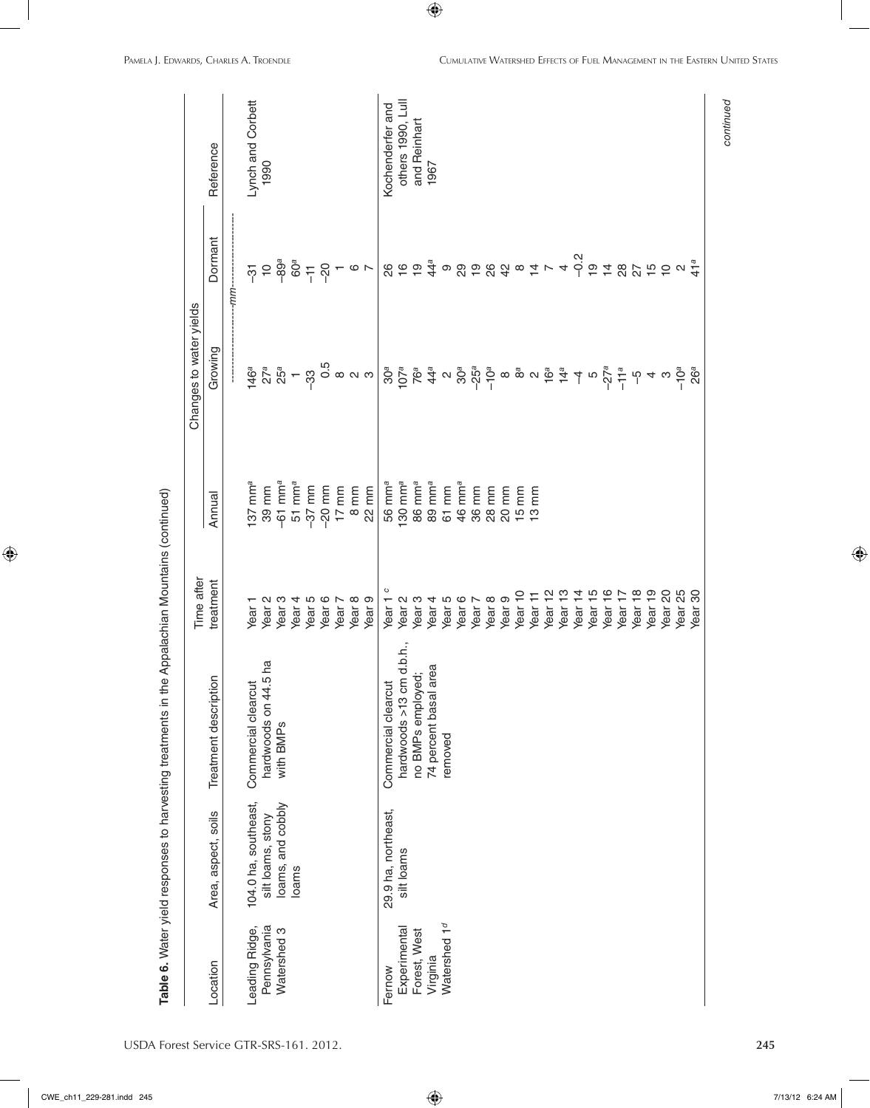| Location                 |                      |                          | Time after         |                                             | Changes to water yields                                                                                                                                                                                                                                                                                                                                                                                                                         |                                                                                                                                                                                                                                                                                                                                                                                      |                   |
|--------------------------|----------------------|--------------------------|--------------------|---------------------------------------------|-------------------------------------------------------------------------------------------------------------------------------------------------------------------------------------------------------------------------------------------------------------------------------------------------------------------------------------------------------------------------------------------------------------------------------------------------|--------------------------------------------------------------------------------------------------------------------------------------------------------------------------------------------------------------------------------------------------------------------------------------------------------------------------------------------------------------------------------------|-------------------|
|                          | Area, aspect, soils  | Treatment description    | treatment          | Annual                                      | Growing                                                                                                                                                                                                                                                                                                                                                                                                                                         | Dormant                                                                                                                                                                                                                                                                                                                                                                              | Reference         |
|                          |                      |                          |                    |                                             |                                                                                                                                                                                                                                                                                                                                                                                                                                                 | -mm-                                                                                                                                                                                                                                                                                                                                                                                 |                   |
| Leading Ridge,           | 104.0 ha, southeast, | Commercial clearcut      | Year <sub>1</sub>  | $137 \text{ mm}^a$                          |                                                                                                                                                                                                                                                                                                                                                                                                                                                 |                                                                                                                                                                                                                                                                                                                                                                                      | Lynch and Corbett |
| Pennsylvania             | silt loams, stony    | hardwoods on 44.5 ha     | Year <sub>2</sub>  | 39 mm                                       |                                                                                                                                                                                                                                                                                                                                                                                                                                                 |                                                                                                                                                                                                                                                                                                                                                                                      | 1990              |
| Watershed 3              | loams, and cobbly    | with BMPs                | Year <sub>3</sub>  | $-61$ mm <sup>a</sup><br>51 mm <sup>a</sup> |                                                                                                                                                                                                                                                                                                                                                                                                                                                 |                                                                                                                                                                                                                                                                                                                                                                                      |                   |
|                          | loams                |                          | Year <sub>4</sub>  |                                             |                                                                                                                                                                                                                                                                                                                                                                                                                                                 |                                                                                                                                                                                                                                                                                                                                                                                      |                   |
|                          |                      |                          | Year <sub>5</sub>  | $-37$ mm                                    |                                                                                                                                                                                                                                                                                                                                                                                                                                                 |                                                                                                                                                                                                                                                                                                                                                                                      |                   |
|                          |                      |                          | Year <sub>6</sub>  | $-20$ mm                                    |                                                                                                                                                                                                                                                                                                                                                                                                                                                 |                                                                                                                                                                                                                                                                                                                                                                                      |                   |
|                          |                      |                          | Year 7             | $17$ mm                                     |                                                                                                                                                                                                                                                                                                                                                                                                                                                 |                                                                                                                                                                                                                                                                                                                                                                                      |                   |
|                          |                      |                          | Year <sub>8</sub>  | $8 \text{ mm}$                              |                                                                                                                                                                                                                                                                                                                                                                                                                                                 |                                                                                                                                                                                                                                                                                                                                                                                      |                   |
|                          |                      |                          | Year <sub>9</sub>  | 22 mm                                       | $\begin{array}{l} \frac{5}{4} \left( \frac{1}{2} \right)^{2} \left( \frac{1}{2} \right)^{2} \left( \frac{1}{2} \right)^{2} \left( \frac{1}{2} \right)^{2} \left( \frac{1}{2} \right)^{2} \left( \frac{1}{2} \right)^{2} \left( \frac{1}{2} \right)^{2} \left( \frac{1}{2} \right)^{2} \left( \frac{1}{2} \right)^{2} \left( \frac{1}{2} \right)^{2} \left( \frac{1}{2} \right)^{2} \left( \frac{1}{2} \right)^{2} \left( \frac{1}{2} \right)^{$ | $\overline{p}$ $\overline{p}$ $\overline{p}$ $\overline{p}$ $\overline{p}$ $\overline{p}$ $\overline{p}$ $\overline{p}$ $\overline{p}$ $\overline{p}$ $\overline{p}$ $\overline{p}$ $\overline{p}$ $\overline{p}$ $\overline{p}$ $\overline{p}$ $\overline{p}$ $\overline{p}$ $\overline{p}$ $\overline{p}$ $\overline{p}$ $\overline{p}$ $\overline{p}$ $\overline{p}$ $\overline{$ |                   |
| Fernow                   | 29.9 ha, northeast,  | Commercial clearcut      | Year <sub>1</sub>  | 56 mm <sup>a</sup>                          |                                                                                                                                                                                                                                                                                                                                                                                                                                                 |                                                                                                                                                                                                                                                                                                                                                                                      | Kochenderfer and  |
| Experimental             | silt loams           | hardwoods >13 cm d.b.h., | Year <sub>2</sub>  | $130 \text{ mm}^a$                          |                                                                                                                                                                                                                                                                                                                                                                                                                                                 |                                                                                                                                                                                                                                                                                                                                                                                      | others 1990, Lull |
| Forest, West             |                      | no BMPs employed;        | Year <sub>3</sub>  | 86 mm <sup>a</sup>                          |                                                                                                                                                                                                                                                                                                                                                                                                                                                 |                                                                                                                                                                                                                                                                                                                                                                                      | and Reinhart      |
| Virginia                 |                      | area<br>74 percent basal | Year <sub>4</sub>  | 89 mm <sup>a</sup>                          |                                                                                                                                                                                                                                                                                                                                                                                                                                                 | $\begin{array}{c} 66 \overline{6} \\ 6 \overline{6} \\ 6 \overline{6} \\ \end{array}$                                                                                                                                                                                                                                                                                                | 1967              |
| Watershed 1 <sup>d</sup> |                      | removed                  | Year <sub>5</sub>  | 61 mm                                       | န္တိုင္တြဲ အာလံတိုင္တဲ့ အစ္က အစ္က အိမ္ အက်င့္ အစား<br>မွာ အစ္က အစားသိုင္း အစားသိုင္း အစားသိုင္း အစားသိုင္း အစားသိ                                                                                                                                                                                                                                                                                                                               |                                                                                                                                                                                                                                                                                                                                                                                      |                   |
|                          |                      |                          | Year <sub>6</sub>  | 46 mm <sup>a</sup>                          |                                                                                                                                                                                                                                                                                                                                                                                                                                                 |                                                                                                                                                                                                                                                                                                                                                                                      |                   |
|                          |                      |                          | Year:              | 36 mm                                       |                                                                                                                                                                                                                                                                                                                                                                                                                                                 |                                                                                                                                                                                                                                                                                                                                                                                      |                   |
|                          |                      |                          | Year <sub>8</sub>  | 28 mm                                       |                                                                                                                                                                                                                                                                                                                                                                                                                                                 |                                                                                                                                                                                                                                                                                                                                                                                      |                   |
|                          |                      |                          | Year <sub>9</sub>  | 20 mm                                       |                                                                                                                                                                                                                                                                                                                                                                                                                                                 |                                                                                                                                                                                                                                                                                                                                                                                      |                   |
|                          |                      |                          | Year 10            | $15 \text{ mm}$<br>$13 \text{ mm}$          |                                                                                                                                                                                                                                                                                                                                                                                                                                                 |                                                                                                                                                                                                                                                                                                                                                                                      |                   |
|                          |                      |                          | Year 11            |                                             |                                                                                                                                                                                                                                                                                                                                                                                                                                                 |                                                                                                                                                                                                                                                                                                                                                                                      |                   |
|                          |                      |                          | Year <sub>12</sub> |                                             |                                                                                                                                                                                                                                                                                                                                                                                                                                                 |                                                                                                                                                                                                                                                                                                                                                                                      |                   |
|                          |                      |                          | Year <sub>13</sub> |                                             |                                                                                                                                                                                                                                                                                                                                                                                                                                                 |                                                                                                                                                                                                                                                                                                                                                                                      |                   |
|                          |                      |                          | Year <sub>14</sub> |                                             |                                                                                                                                                                                                                                                                                                                                                                                                                                                 |                                                                                                                                                                                                                                                                                                                                                                                      |                   |
|                          |                      |                          | Year <sub>15</sub> |                                             |                                                                                                                                                                                                                                                                                                                                                                                                                                                 |                                                                                                                                                                                                                                                                                                                                                                                      |                   |
|                          |                      |                          | Year 16            |                                             |                                                                                                                                                                                                                                                                                                                                                                                                                                                 |                                                                                                                                                                                                                                                                                                                                                                                      |                   |
|                          |                      |                          | Year 17            |                                             |                                                                                                                                                                                                                                                                                                                                                                                                                                                 |                                                                                                                                                                                                                                                                                                                                                                                      |                   |
|                          |                      |                          | Year <sub>18</sub> |                                             |                                                                                                                                                                                                                                                                                                                                                                                                                                                 |                                                                                                                                                                                                                                                                                                                                                                                      |                   |
|                          |                      |                          | Year <sub>19</sub> |                                             |                                                                                                                                                                                                                                                                                                                                                                                                                                                 |                                                                                                                                                                                                                                                                                                                                                                                      |                   |
|                          |                      |                          | ସ<br>Year          |                                             |                                                                                                                                                                                                                                                                                                                                                                                                                                                 |                                                                                                                                                                                                                                                                                                                                                                                      |                   |
|                          |                      |                          | 25<br>Year         |                                             |                                                                                                                                                                                                                                                                                                                                                                                                                                                 |                                                                                                                                                                                                                                                                                                                                                                                      |                   |
|                          |                      |                          | 8<br>Year          |                                             | 26 <sup>a</sup>                                                                                                                                                                                                                                                                                                                                                                                                                                 | 41a                                                                                                                                                                                                                                                                                                                                                                                  |                   |

USDA Forest Service GTR-SRS-161. 2012. **245**

 $\bigoplus$ 

*continued*

continued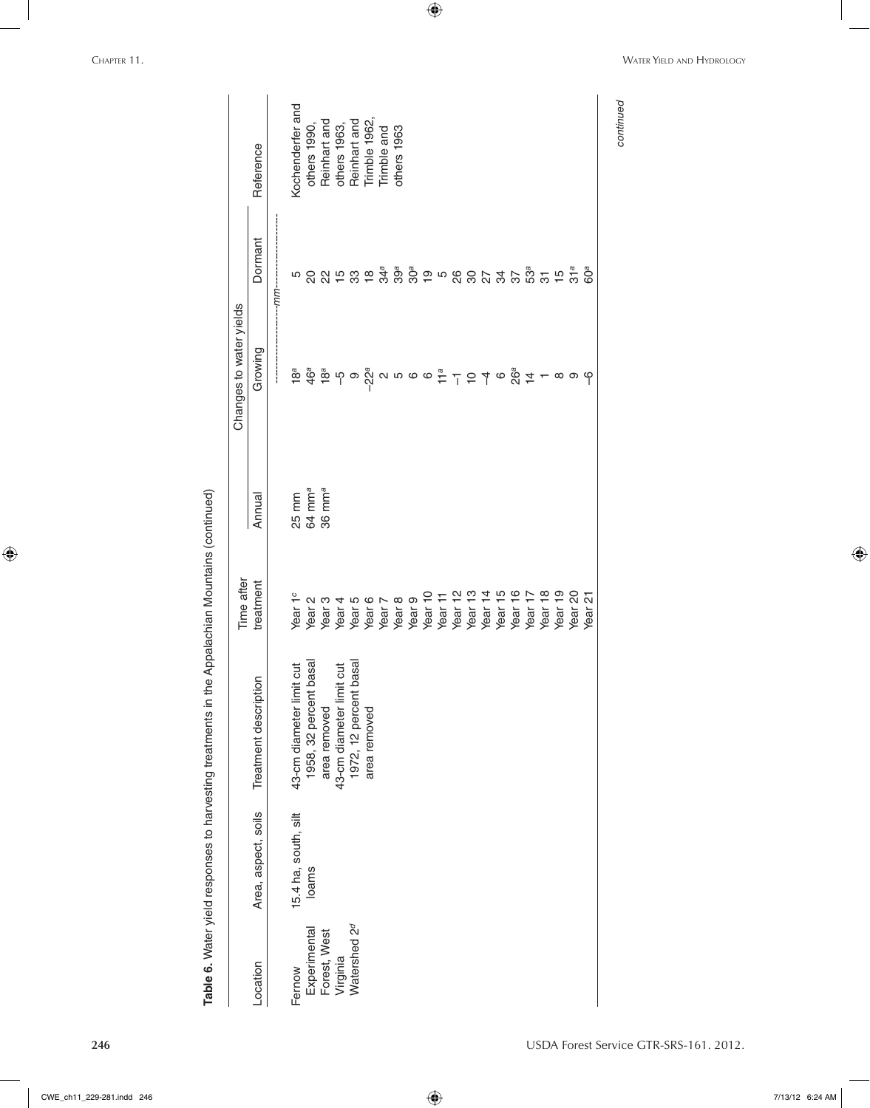$\bigoplus$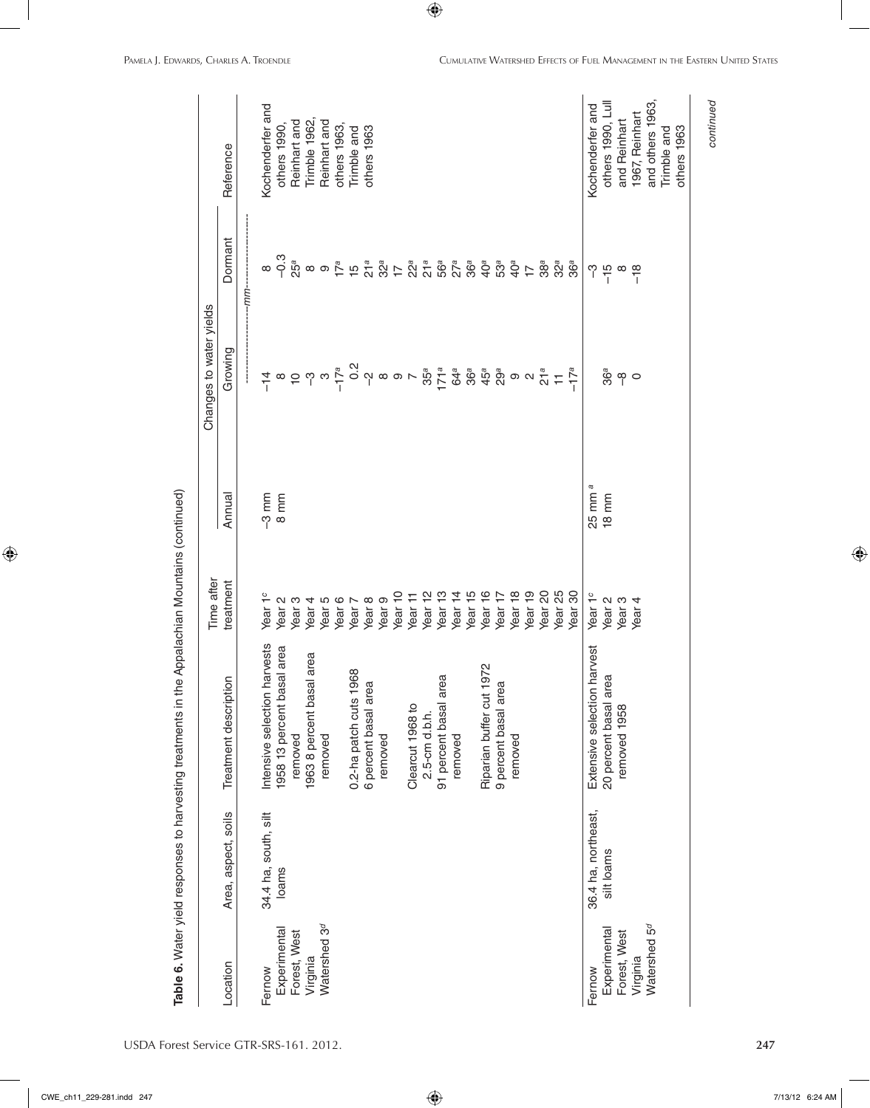| USDA Forest Service GTR-SRS-161. 2012. |  |
|----------------------------------------|--|
|----------------------------------------|--|

*continued*

continued

| , Water vield resonses to harvesting treatments in the Appalachian Mountains (continu<br>אי אייני אייני אייני אייני אייני אייני אייני אייני אייני אייני אייני אייני אייני אייני אייני אייני אייני אייני<br>אייני אייני אייני אייני אייני אייני אייני אייני אייני אייני אייני אייני אייני אייני אייני אייני אייני אייני א<br>)<br>5<br>5<br>5<br>le 6. Water vield respo |  |
|-------------------------------------------------------------------------------------------------------------------------------------------------------------------------------------------------------------------------------------------------------------------------------------------------------------------------------------------------------------------------|--|
|                                                                                                                                                                                                                                                                                                                                                                         |  |
|                                                                                                                                                                                                                                                                                                                                                                         |  |
|                                                                                                                                                                                                                                                                                                                                                                         |  |
|                                                                                                                                                                                                                                                                                                                                                                         |  |
|                                                                                                                                                                                                                                                                                                                                                                         |  |
|                                                                                                                                                                                                                                                                                                                                                                         |  |
|                                                                                                                                                                                                                                                                                                                                                                         |  |
|                                                                                                                                                                                                                                                                                                                                                                         |  |

|                          |                      |                                                | Time after          |                   | Changes to water yields                                                                                                                                                                                                                                                                                                                                                                                                                                                                                                                                                                                                                                |                                                   |                   |
|--------------------------|----------------------|------------------------------------------------|---------------------|-------------------|--------------------------------------------------------------------------------------------------------------------------------------------------------------------------------------------------------------------------------------------------------------------------------------------------------------------------------------------------------------------------------------------------------------------------------------------------------------------------------------------------------------------------------------------------------------------------------------------------------------------------------------------------------|---------------------------------------------------|-------------------|
| Location                 | Area, aspect, soils  | Treatment description                          | treatment           | Annual            | Growing                                                                                                                                                                                                                                                                                                                                                                                                                                                                                                                                                                                                                                                | Dormant                                           | Reference         |
|                          |                      |                                                |                     |                   |                                                                                                                                                                                                                                                                                                                                                                                                                                                                                                                                                                                                                                                        | -nnn-                                             |                   |
| Fernow                   | 34.4 ha, south, silt | harvests<br>Intensive selection                | Year 1 <sup>c</sup> |                   |                                                                                                                                                                                                                                                                                                                                                                                                                                                                                                                                                                                                                                                        |                                                   | Kochenderfer and  |
| Experimental             | loams                | 1958 13 percent basal area                     | Year <sub>2</sub>   | $-3$ mm<br>8 mm   | $\frac{1}{4} \omega \stackrel{\sim}{=} \omega \stackrel{\sim}{=} \omega \stackrel{\sim}{=} \omega \stackrel{\sim}{=} \omega \stackrel{\sim}{=} \omega \stackrel{\sim}{=} \omega \stackrel{\sim}{=} \omega \stackrel{\sim}{=} \omega \stackrel{\sim}{=} \omega \stackrel{\sim}{=} \omega \stackrel{\sim}{=} \omega \stackrel{\sim}{=} \omega \stackrel{\sim}{=} \omega \stackrel{\sim}{=} \omega \stackrel{\sim}{=} \omega \stackrel{\sim}{=} \omega \stackrel{\sim}{=} \omega \stackrel{\sim}{=} \omega \stackrel{\sim}{=} \omega \stackrel{\sim}{=} \omega \stackrel{\sim}{=} \omega \stackrel{\sim}{=} \omega \stackrel{\sim}{=} \omega \stackrel{\$ | ၜၣၛၟၜၜၣႍႜၣႍႜၟၛၟၣၛၟၟႍႜၟၜၟၟၜ<br>ၜၣၛၜၜၣႍၣႍႜၣၛၟၣၛၟၣၜၟ | others 1990,      |
| Forest, West             |                      | removed                                        | Year <sub>3</sub>   |                   |                                                                                                                                                                                                                                                                                                                                                                                                                                                                                                                                                                                                                                                        |                                                   | Reinhart and      |
| Virginia                 |                      | 1963 8 percent basal area                      | Year <sub>4</sub>   |                   |                                                                                                                                                                                                                                                                                                                                                                                                                                                                                                                                                                                                                                                        |                                                   | Trimble 1962      |
| Watershed 3 <sup>d</sup> |                      | removed                                        | Year <sub>5</sub>   |                   |                                                                                                                                                                                                                                                                                                                                                                                                                                                                                                                                                                                                                                                        |                                                   | Reinhart and      |
|                          |                      |                                                | Year <sub>6</sub>   |                   |                                                                                                                                                                                                                                                                                                                                                                                                                                                                                                                                                                                                                                                        |                                                   | others 1963,      |
|                          |                      | 0.2-ha patch cuts 1968<br>6 percent basal area | Year 7              |                   |                                                                                                                                                                                                                                                                                                                                                                                                                                                                                                                                                                                                                                                        |                                                   | Trimble and       |
|                          |                      |                                                | Year <sub>8</sub>   |                   |                                                                                                                                                                                                                                                                                                                                                                                                                                                                                                                                                                                                                                                        |                                                   | others 1963       |
|                          |                      | removed                                        | Year <sub>9</sub>   |                   |                                                                                                                                                                                                                                                                                                                                                                                                                                                                                                                                                                                                                                                        |                                                   |                   |
|                          |                      |                                                | Year 10             |                   |                                                                                                                                                                                                                                                                                                                                                                                                                                                                                                                                                                                                                                                        |                                                   |                   |
|                          |                      | Clearcut 1968 to                               | Year 11             |                   |                                                                                                                                                                                                                                                                                                                                                                                                                                                                                                                                                                                                                                                        |                                                   |                   |
|                          |                      | 2.5-cm d.b.h.                                  | Year <sub>12</sub>  |                   |                                                                                                                                                                                                                                                                                                                                                                                                                                                                                                                                                                                                                                                        |                                                   |                   |
|                          |                      | 91 percent basal area                          | Year <sub>13</sub>  |                   |                                                                                                                                                                                                                                                                                                                                                                                                                                                                                                                                                                                                                                                        |                                                   |                   |
|                          |                      | removed                                        | Year <sub>14</sub>  |                   |                                                                                                                                                                                                                                                                                                                                                                                                                                                                                                                                                                                                                                                        |                                                   |                   |
|                          |                      |                                                | Year 15             |                   |                                                                                                                                                                                                                                                                                                                                                                                                                                                                                                                                                                                                                                                        |                                                   |                   |
|                          |                      | 1972<br>Riparian buffer cut                    | Year 16             |                   |                                                                                                                                                                                                                                                                                                                                                                                                                                                                                                                                                                                                                                                        | 40 <sup>a</sup>                                   |                   |
|                          |                      | 9 percent basal area                           | Year 17             |                   |                                                                                                                                                                                                                                                                                                                                                                                                                                                                                                                                                                                                                                                        | 5За                                               |                   |
|                          |                      | removed                                        | Year <sub>18</sub>  |                   |                                                                                                                                                                                                                                                                                                                                                                                                                                                                                                                                                                                                                                                        | 40 <sup>a</sup>                                   |                   |
|                          |                      |                                                | Year <sub>19</sub>  |                   |                                                                                                                                                                                                                                                                                                                                                                                                                                                                                                                                                                                                                                                        | $\overline{1}$                                    |                   |
|                          |                      |                                                | Year <sub>20</sub>  |                   |                                                                                                                                                                                                                                                                                                                                                                                                                                                                                                                                                                                                                                                        | 38 <sup>a</sup>                                   |                   |
|                          |                      |                                                | Year <sub>25</sub>  |                   |                                                                                                                                                                                                                                                                                                                                                                                                                                                                                                                                                                                                                                                        | $32^a$                                            |                   |
|                          |                      |                                                | Year <sub>30</sub>  |                   |                                                                                                                                                                                                                                                                                                                                                                                                                                                                                                                                                                                                                                                        | 36 <sup>a</sup>                                   |                   |
| Fernow                   | 36.4 ha, northeast,  | harvest<br>Extensive selection                 | Year 1°             | 25 mm             |                                                                                                                                                                                                                                                                                                                                                                                                                                                                                                                                                                                                                                                        | ကု                                                | Kochenderfer and  |
| Experimental             | silt loams           | ea<br>20 percent basal ar                      | Year <sub>2</sub>   | $18 \, \text{mm}$ |                                                                                                                                                                                                                                                                                                                                                                                                                                                                                                                                                                                                                                                        | $-15$                                             | others 1990, Lull |
| Forest, West             |                      | removed 1958                                   | Year <sub>3</sub>   |                   | ဖွဳ စု ဝ                                                                                                                                                                                                                                                                                                                                                                                                                                                                                                                                                                                                                                               | $\infty$                                          | and Reinhart      |
| Virginia                 |                      |                                                | Year <sub>4</sub>   |                   |                                                                                                                                                                                                                                                                                                                                                                                                                                                                                                                                                                                                                                                        | $-18$                                             | 1967, Reinhart    |
| Watershed 5 <sup>d</sup> |                      |                                                |                     |                   |                                                                                                                                                                                                                                                                                                                                                                                                                                                                                                                                                                                                                                                        |                                                   | and others 1963   |
|                          |                      |                                                |                     |                   |                                                                                                                                                                                                                                                                                                                                                                                                                                                                                                                                                                                                                                                        |                                                   | Trimble and       |
|                          |                      |                                                |                     |                   |                                                                                                                                                                                                                                                                                                                                                                                                                                                                                                                                                                                                                                                        |                                                   | others 1963       |

 $\bigoplus$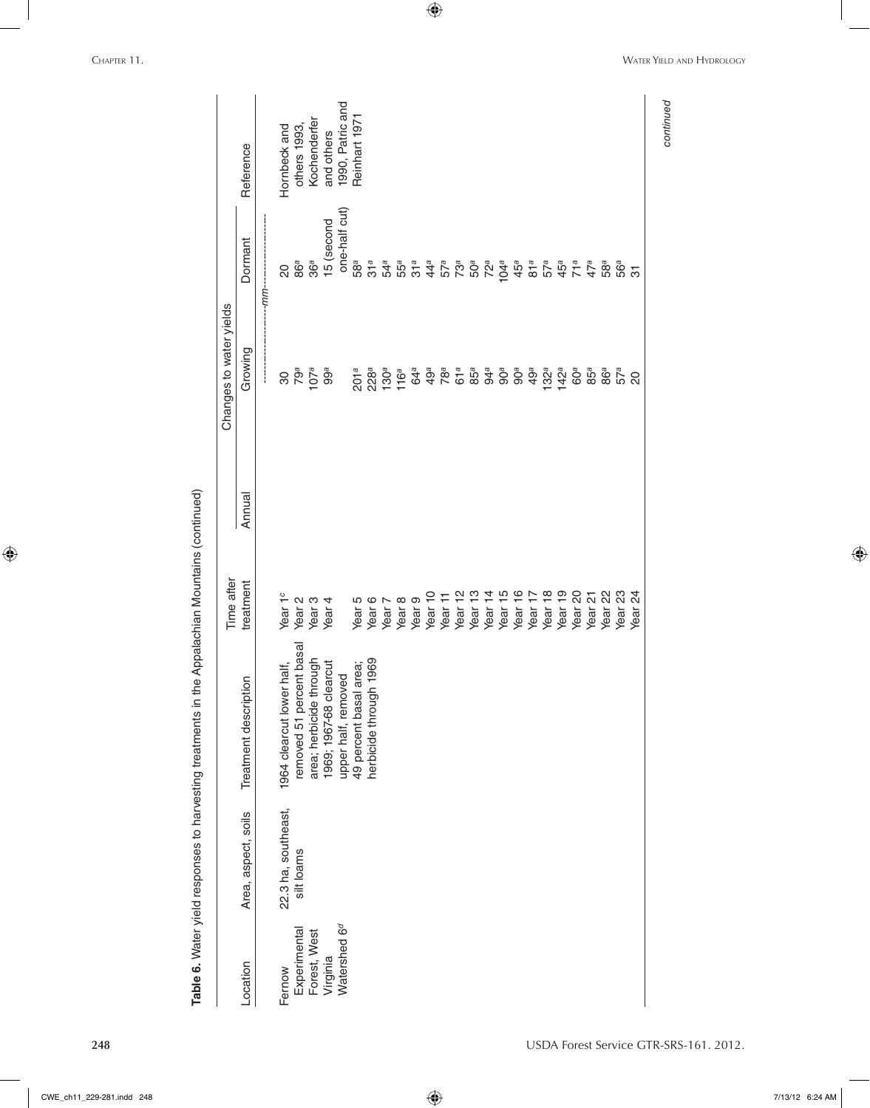|                          |                     |                           | Time after         |        | Changes to water yields                                                                                                                      |                                 |                  |
|--------------------------|---------------------|---------------------------|--------------------|--------|----------------------------------------------------------------------------------------------------------------------------------------------|---------------------------------|------------------|
| Location                 | Area, aspect, soils | Treatment description     | treatment          | Annual | Growing                                                                                                                                      | Dormant                         | Reference        |
|                          |                     |                           |                    |        |                                                                                                                                              | -mm-                            |                  |
| Fernow                   | 22.3 ha, southeast, | 1964 clearcut lower half, | Year 1°            |        | $\infty$                                                                                                                                     | $\overline{c}$                  | Hornbeck and     |
| Experimental             | silt loams          | removed 51 percent basal  | Year <sub>2</sub>  |        | 79a                                                                                                                                          | 86ª                             | others 1993      |
| Forest, West             |                     | area; herbicide through   | Year <sub>3</sub>  |        | 107a                                                                                                                                         | 36a                             | Kochenderfer     |
| Virginia                 |                     | 1969; 1967-68 clearcut    | Year <sub>4</sub>  |        | 99a                                                                                                                                          | 15 (second                      | and others       |
| Watershed 6 <sup>d</sup> |                     | upper half, removed       |                    |        |                                                                                                                                              | one-half cut)                   | 1990, Patric and |
|                          |                     | 49 percent basal area;    | Year <sub>5</sub>  |        | 201a                                                                                                                                         | 58а                             | Reinhart 1971    |
|                          |                     | herbicide through 1969    | Year <sub>6</sub>  |        | 228ª<br>130ª<br>116ª                                                                                                                         |                                 |                  |
|                          |                     |                           | Year <sub>7</sub>  |        |                                                                                                                                              |                                 |                  |
|                          |                     |                           | Year <sub>8</sub>  |        |                                                                                                                                              |                                 |                  |
|                          |                     |                           | Year <sub>9</sub>  |        | 64a                                                                                                                                          | $31a$ $31a$ $31a$               |                  |
|                          |                     |                           | Year <sub>10</sub> |        |                                                                                                                                              |                                 |                  |
|                          |                     |                           | Year 11            |        |                                                                                                                                              |                                 |                  |
|                          |                     |                           | Year 12            |        |                                                                                                                                              |                                 |                  |
|                          |                     |                           | Year <sub>13</sub> |        |                                                                                                                                              |                                 |                  |
|                          |                     |                           | Year <sub>14</sub> |        |                                                                                                                                              |                                 |                  |
|                          |                     |                           | Year <sub>15</sub> |        | $\begin{array}{cccccc} \Phi & \Phi & \Phi & \Phi & \Phi \\ \Phi & \Phi & \Phi & \Phi & \Phi \\ \Phi & \Phi & \Phi & \Phi & \Phi \end{array}$ |                                 |                  |
|                          |                     |                           | Year <sub>16</sub> |        | 90 <sup>a</sup>                                                                                                                              |                                 |                  |
|                          |                     |                           | Year <sub>17</sub> |        | 49ª                                                                                                                                          |                                 |                  |
|                          |                     |                           | Year <sub>18</sub> |        | $132^a$                                                                                                                                      |                                 |                  |
|                          |                     |                           | Year <sub>19</sub> |        | $142^a$                                                                                                                                      | $45^a$                          |                  |
|                          |                     |                           | Year 20            |        |                                                                                                                                              |                                 |                  |
|                          |                     |                           | Year <sub>21</sub> |        | 60ª<br>85ª                                                                                                                                   | $71a$<br>47a                    |                  |
|                          |                     |                           | Year <sub>22</sub> |        |                                                                                                                                              |                                 |                  |
|                          |                     |                           | Year <sub>23</sub> |        | 86ª<br>57ª<br>20                                                                                                                             | 5<br>5<br>5<br>5<br>5<br>5<br>5 |                  |
|                          |                     |                           | Year <sub>24</sub> |        |                                                                                                                                              |                                 |                  |

 $\bigoplus$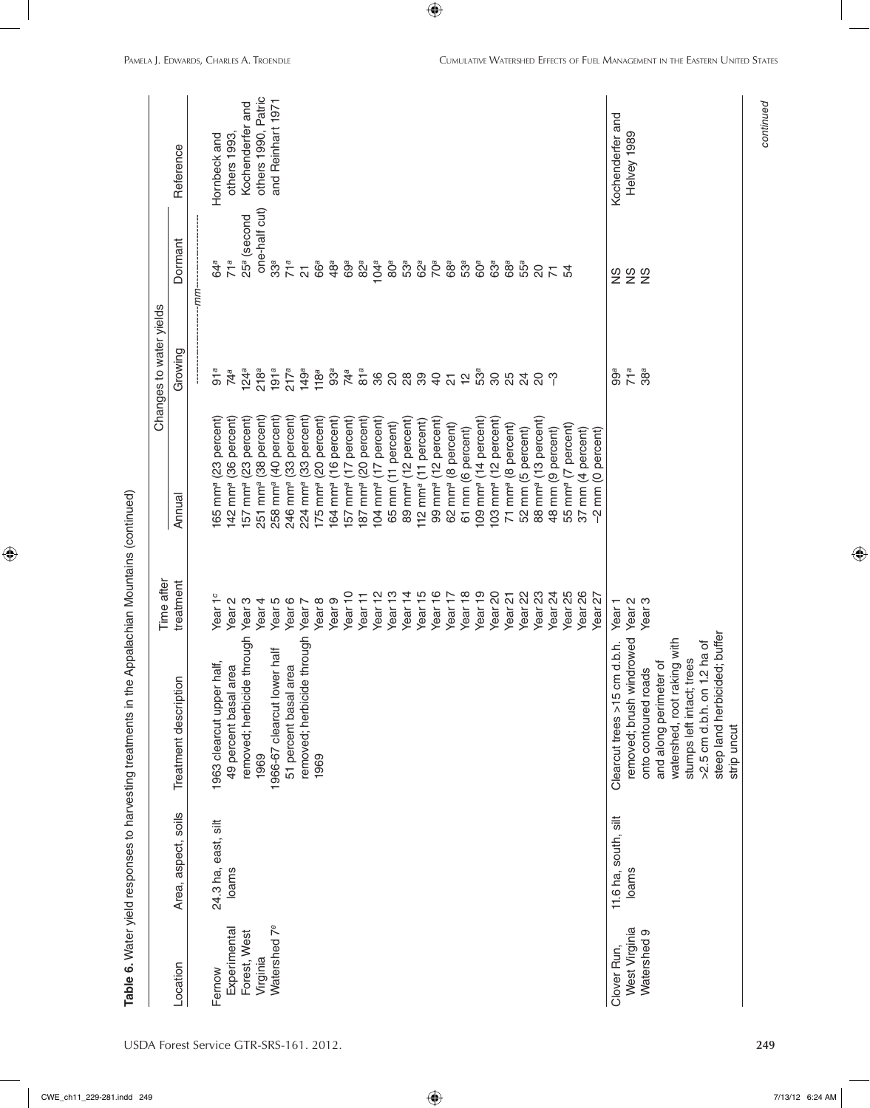|                          |                      |                               | Time after         |                                       | Changes to water yields  |                          |                     |
|--------------------------|----------------------|-------------------------------|--------------------|---------------------------------------|--------------------------|--------------------------|---------------------|
| Location                 | Area, aspect, soils  | Treatment description         | treatment          | Annual                                | Growing                  | Dormant                  | Reference           |
|                          |                      |                               |                    |                                       |                          | --mm--                   |                     |
| Fernow                   | 24.3 ha, east, silt  | 1963 clearcut upper half,     | Year 1°            | 165 mm <sup>a</sup> (23 percent)      | 91a                      | 64a                      | Hornbeck and        |
| Experimental             | loams                | 49 percent basal area         | Year <sub>2</sub>  | 142 mm <sup>a</sup> (36 percent)      | 74 <sup>a</sup>          | 71a                      | others 1993,        |
| Forest, West             |                      | removed; herbicide through    | Year <sub>3</sub>  | 157 mm <sup>a</sup> (23 percent)      | 124a                     | 25 <sup>a</sup> (second  | Kochenderfer and    |
| Virginia                 |                      | 1969                          | Year <sub>4</sub>  | mm <sup>a</sup> (38 percent)<br>251   | 218a                     | one-half cut)            | others 1990, Patric |
| Watershed 7 <sup>e</sup> |                      | 1966-67 clearcut lower half   | Year 5             | 258 mm <sup>a</sup> (40 percent)      | 191a                     | $33^a$                   | and Reinhart 1971   |
|                          |                      | 51 percent basal area         | Year 6             | 246 mm <sup>a</sup> (33 percent)      | 217a                     | 71a                      |                     |
|                          |                      | removed; herbicide through    | Year 7             | (33 percent)<br>$224$ mm <sup>a</sup> | 149a                     | $\overline{\mathcal{L}}$ |                     |
|                          |                      | 1969                          | Year 8             | 175 mm <sup>a</sup> (20 percent)      | 118a                     | 66ª                      |                     |
|                          |                      |                               | Year <sub>9</sub>  | (16 percent)<br>$164$ mm <sup>a</sup> | 93 <sup>a</sup>          | $48^a$                   |                     |
|                          |                      |                               | Year <sub>10</sub> | 157 mm <sup>a</sup> (17 percent)      | 74 <sup>a</sup>          | 69 <sup>a</sup>          |                     |
|                          |                      |                               | Year 11            | 187 mm <sup>a</sup> (20 percent)      | 81a                      | 82a                      |                     |
|                          |                      |                               | Year <sub>12</sub> | 104 mm <sup>a</sup> (17 percent)      | 36                       | 104a                     |                     |
|                          |                      |                               | Year <sub>13</sub> | 65 mm (11 percent)                    | $\overline{\mathcal{S}}$ | $80^a$                   |                     |
|                          |                      |                               | Year <sub>14</sub> | 89 mm <sup>a</sup> (12 percent)       | <b>88</b>                | 53а                      |                     |
|                          |                      |                               | Year 15            | (11 percent)<br>$112 \text{ mm}^a$    |                          | 62ª                      |                     |
|                          |                      |                               | Year 16            | 99 mm <sup>a</sup> (12 percent)       | $\overline{4}$           | 70 <sup>a</sup>          |                     |
|                          |                      |                               | Year 17            | mm <sup>a</sup> (8 percent)<br>62     | $\overline{\Omega}$      | 68ª                      |                     |
|                          |                      |                               | Year 18            | 61 mm (6 percent)                     | $\overline{5}$           | 53ª                      |                     |
|                          |                      |                               | Year <sub>19</sub> | 109 mm <sup>a</sup> (14 percent)      | 5За                      | 60 <sup>a</sup>          |                     |
|                          |                      |                               | Year <sub>20</sub> | 103 mm <sup>a</sup> (12 percent)      | $\infty$                 | 63a                      |                     |
|                          |                      |                               | Year 21            | 71 mm <sup>a</sup> (8 percent)        | 25                       | 68 <sup>a</sup>          |                     |
|                          |                      |                               | Year 22            | mm (5 percent)<br>$\overline{52}$     | $\overline{2}$           | 55а                      |                     |
|                          |                      |                               | Year <sub>23</sub> | 88 mm <sup>a</sup> (13 percent)       | ္လ ကု                    | $\rm ^{20}$              |                     |
|                          |                      |                               | Year <sub>24</sub> | 48 mm (9 percent)                     |                          | 57                       |                     |
|                          |                      |                               | Year <sub>25</sub> | 55 mm <sup>a</sup> (7 percent)        |                          |                          |                     |
|                          |                      |                               | Year 26            | 37 mm (4 percent)                     |                          |                          |                     |
|                          |                      |                               | Year <sub>27</sub> | mm (0 percent)<br>$\gamma$            |                          |                          |                     |
| Clover Run,              | 11.6 ha, south, silt | Clearcut trees >15 cm d.b.h.  | Year <sub>1</sub>  |                                       | 99a                      |                          | Kochenderfer and    |
| West Virginia            | loams                | removed; brush windrowed      | Year 2<br>Year 3   |                                       | 71a                      | <b>SSS</b>               | Helvey 1989         |
| Watershed 9              |                      | onto contoured roads          |                    |                                       | 38 <sup>a</sup>          |                          |                     |
|                          |                      | and along perimeter of        |                    |                                       |                          |                          |                     |
|                          |                      | watershed, root raking with   |                    |                                       |                          |                          |                     |
|                          |                      | stumps left intact; trees     |                    |                                       |                          |                          |                     |
|                          |                      | >2.5 cm d.b.h. on 1.2 ha of   |                    |                                       |                          |                          |                     |
|                          |                      | steep land herbicided; buffer |                    |                                       |                          |                          |                     |
|                          |                      | strip uncut                   |                    |                                       |                          |                          |                     |

USDA Forest Service GTR-SRS-161. 2012. **249**

 $\bigoplus$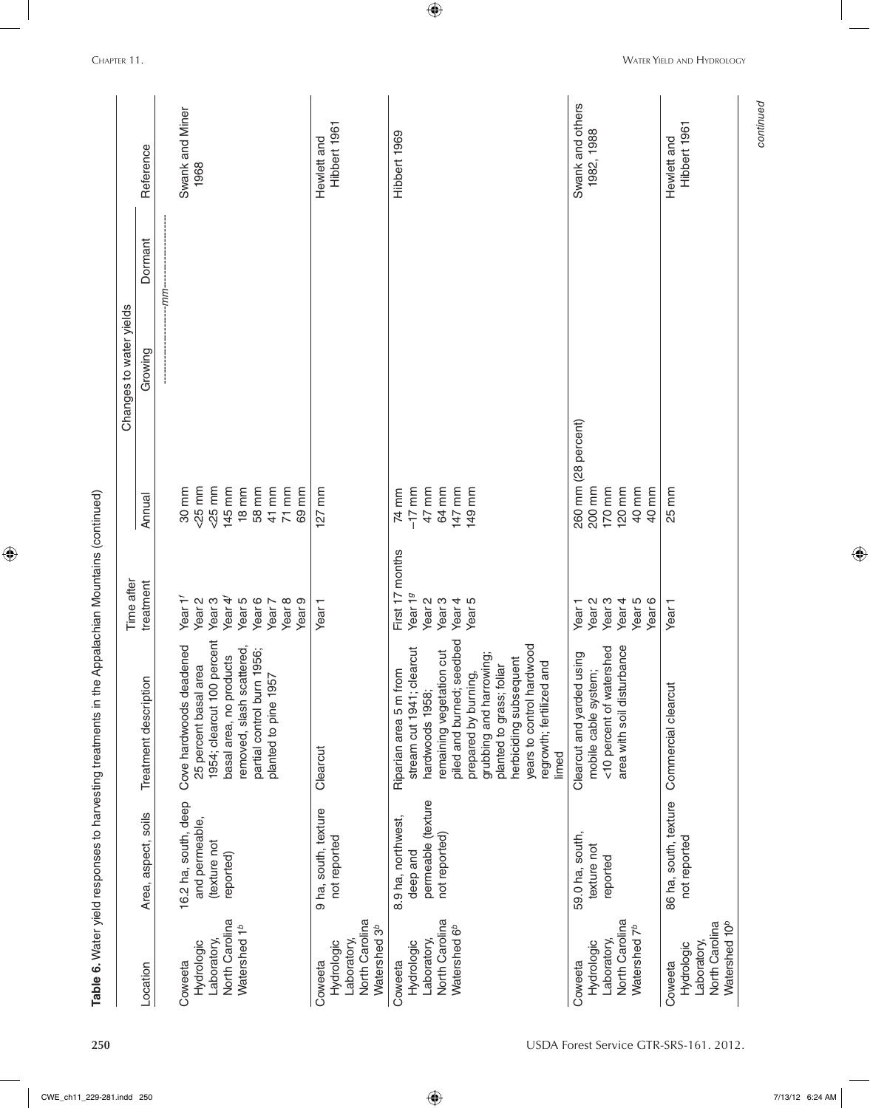| Coweeta<br>Location                                                                |                                      |                                   | Time after          |                     | Changes to water yields |         |                             |
|------------------------------------------------------------------------------------|--------------------------------------|-----------------------------------|---------------------|---------------------|-------------------------|---------|-----------------------------|
|                                                                                    | Area, aspect, soils                  | Treatment description             | treatment           | Annual              | Growing                 | Dormant | Reference                   |
|                                                                                    |                                      |                                   |                     |                     |                         | mm-     |                             |
|                                                                                    | 16.2 ha, south, deep                 | Cove hardwoods deadened           | Year 1 <sup>1</sup> | 30 mm               |                         |         | Swank and Miner             |
| Hydrologic                                                                         | and permeable,                       | 25 percent basal area             | Year <sub>2</sub>   | $25$ mm             |                         |         | 1968                        |
| Laboratory,                                                                        | (texture not                         | 1954; clearcut 100 percent        | Year <sub>3</sub>   | $25$ mm             |                         |         |                             |
| North Carolina                                                                     | reported)                            | basal area, no products           | Year 4              | 145 mm              |                         |         |                             |
| Watershed 1 <sup>b</sup>                                                           |                                      | removed, slash scattered,         | Year 5              | $18 \, \text{mm}$   |                         |         |                             |
|                                                                                    |                                      | partial control burn 1956;        | Year 6              | 58 mm               |                         |         |                             |
|                                                                                    |                                      | planted to pine 1957              | Year 7              | 41 mm               |                         |         |                             |
|                                                                                    |                                      |                                   | Year 8              | $71$ mm             |                         |         |                             |
|                                                                                    |                                      |                                   | Year <sub>9</sub>   | 69 mm               |                         |         |                             |
| North Carolina<br>Watershed 3 <sup>b</sup><br>Laboratory,<br>Hydrologic<br>Coweeta | 9 ha, south, texture<br>not reported | Clearcut                          | Year <sub>1</sub>   | 127 mm              |                         |         | Hibbert 1961<br>Hewlett and |
| Coweeta                                                                            |                                      | Riparian area 5 m from            | First 17 months     | 74 mm               |                         |         | Hibbert 1969                |
|                                                                                    | 8.9 ha, northwest,                   | stream cut 1941; clearcut         | Year 19             | $-17$ mm            |                         |         |                             |
| Laboratory,<br>Hydrologic                                                          | permeable (texture<br>deep and       | hardwoods 1958;                   | Year <sub>2</sub>   | 47 mm               |                         |         |                             |
| North Carolina                                                                     | not reported)                        | remaining vegetation cut          | Year <sub>3</sub>   | 64 mm               |                         |         |                             |
| Watershed 6 <sup>b</sup>                                                           |                                      | piled and burned; seedbed         | Year <sub>4</sub>   | 147 mm              |                         |         |                             |
|                                                                                    |                                      | prepared by burning,              | Year 5              | 149 mm              |                         |         |                             |
|                                                                                    |                                      | grubbing and harrowing;           |                     |                     |                         |         |                             |
|                                                                                    |                                      | planted to grass; foliar          |                     |                     |                         |         |                             |
|                                                                                    |                                      | herbiciding subsequent            |                     |                     |                         |         |                             |
|                                                                                    |                                      | years to control hardwood         |                     |                     |                         |         |                             |
|                                                                                    |                                      | regrowth; fertilized and<br>limed |                     |                     |                         |         |                             |
| Coweeta                                                                            | 59.0 ha, south,                      | Clearcut and yarded using         | Year <sub>1</sub>   | 260 mm (28 percent) |                         |         | Swank and others            |
| Hydrologic                                                                         | texture not                          | mobile cable system;              | Year <sub>2</sub>   | 200 mm              |                         |         | 1982, 1988                  |
| Laboratory,                                                                        | reported                             | <10 percent of watershed          | Year <sub>3</sub>   | 170 mm              |                         |         |                             |
| North Carolina                                                                     |                                      | area with soil disturbance        | Year <sub>4</sub>   | $120$ mm            |                         |         |                             |
| Watershed 7 <sup>b</sup>                                                           |                                      |                                   |                     | 40 mm               |                         |         |                             |
|                                                                                    |                                      |                                   | Year 5<br>Year 6    | 40 mm               |                         |         |                             |
| Coweeta                                                                            | 86 ha, south, texture                | Commercial clearcut               | Year <sub>1</sub>   | 25 mm               |                         |         | Hewlett and                 |
| Hydrologic                                                                         | not reported                         |                                   |                     |                     |                         |         | Hibbert 1961                |
| North Carolina<br>Laboratory,                                                      |                                      |                                   |                     |                     |                         |         |                             |
| Watershed 10 <sup>b</sup>                                                          |                                      |                                   |                     |                     |                         |         |                             |

 $\bigoplus$ 

*continued*

continued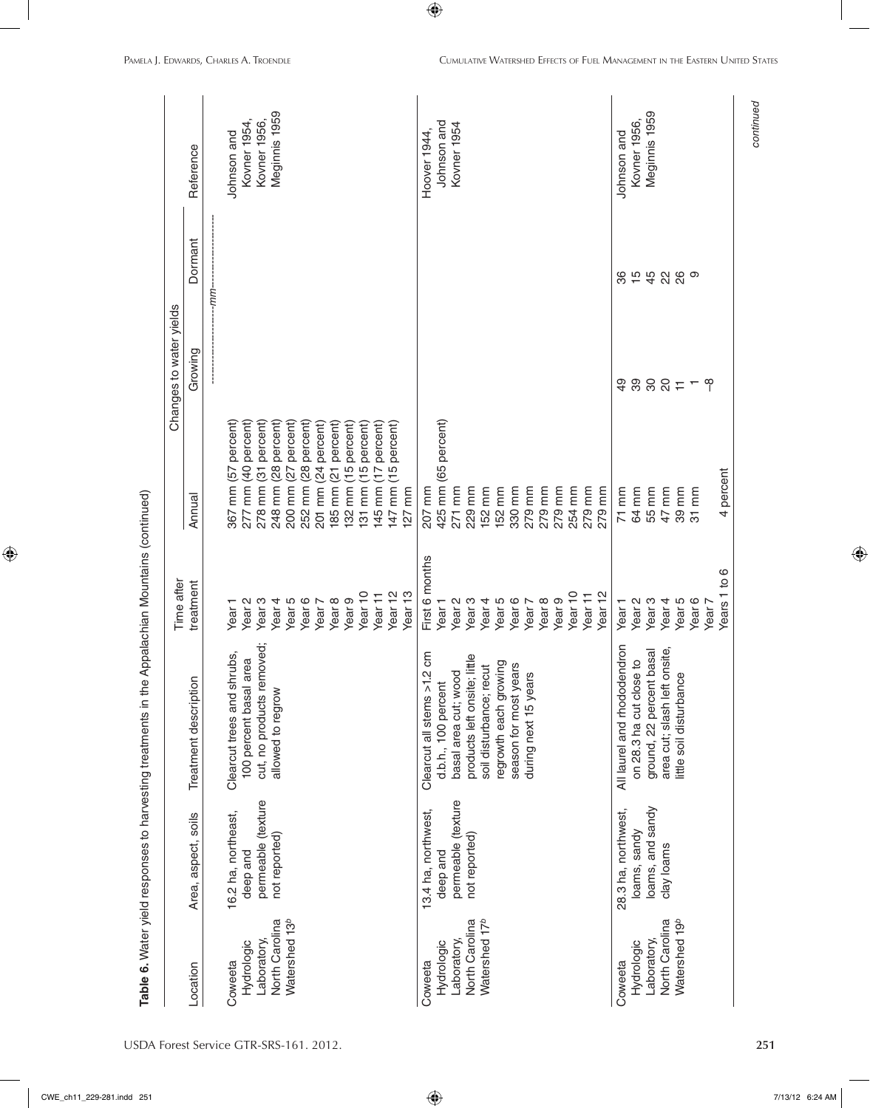|                           |                     |                              | Time after         |                                                       | Changes to water yields |               |               |
|---------------------------|---------------------|------------------------------|--------------------|-------------------------------------------------------|-------------------------|---------------|---------------|
| Location                  | Area, aspect, soils | Treatment description        | treatment          | Annual                                                | Growing                 | Dormant       | Reference     |
|                           |                     |                              |                    |                                                       |                         | -mm-          |               |
| Coweeta                   | 16.2 ha, northeast, | Clearcut trees and shrubs,   | Year <sub>1</sub>  | 367 mm (57 percent)                                   |                         |               | Johnson and   |
| Hydrologic                | deep and            | 100 percent basal area       | Year <sub>2</sub>  | percent)<br>277 mm (40                                |                         |               | Kovner 1954,  |
| Laboratory,               | permeable (texture  | cut, no products removed;    | Year <sub>3</sub>  | percent)<br>278 mm (31                                |                         |               | Kovner 1956,  |
| North Carolina            | not reported)       | allowed to regrow            | Year <sub>4</sub>  | percent)<br>(28)<br>248 mm                            |                         |               | Meginnis 1959 |
| Watershed 13 <sup>b</sup> |                     |                              | Year <sub>5</sub>  | percent)<br>(27)<br>200 mm                            |                         |               |               |
|                           |                     |                              | Year 6             | percent)<br>$\overline{28}$<br>$\overline{mn}$<br>252 |                         |               |               |
|                           |                     |                              | Year 7             | percent)<br>$\overline{24}$<br>201 mm                 |                         |               |               |
|                           |                     |                              | Year <sub>8</sub>  | percent)<br>$\overline{21}$<br>185 mm                 |                         |               |               |
|                           |                     |                              | Year <sub>9</sub>  | percent)<br>$\frac{5}{1}$<br>mm<br>132                |                         |               |               |
|                           |                     |                              | Year <sub>10</sub> | percent)<br>$\frac{5}{1}$<br>131 mm                   |                         |               |               |
|                           |                     |                              | Year 11            | percent)<br>(17)<br>145 mm                            |                         |               |               |
|                           |                     |                              | Year <sub>12</sub> | percent)<br>147 mm (15                                |                         |               |               |
|                           |                     |                              | Year <sub>13</sub> | $127$ mm                                              |                         |               |               |
| Coweeta                   | 13.4 ha, northwest, | Clearcut all stems >1.2 cm   | First 6 months     | 207 mm                                                |                         |               | Hoover 1944,  |
| Hydrologic                | deep and            | d.b.h., 100 percent          | Year <sub>1</sub>  | 425 mm (65 percent)                                   |                         |               | Johnson and   |
| Laboratory,               | permeable (texture  | basal area cut; wood         | Year <sub>2</sub>  | 271 mm                                                |                         |               | Kovner 1954   |
| North Carolina            | not reported)       | products left onsite; little | Year <sub>3</sub>  | mm<br>229                                             |                         |               |               |
| Watershed 17 <sup>b</sup> |                     | soil disturbance; recut      | Year <sub>4</sub>  | 152 mm                                                |                         |               |               |
|                           |                     | regrowth each growing        | Year 5             | mm<br>152 <sub>1</sub>                                |                         |               |               |
|                           |                     | season for most years        | Year 6             | mm<br>330 <sub>1</sub>                                |                         |               |               |
|                           |                     | during next 15 years         | Year 7             | mm<br>279                                             |                         |               |               |
|                           |                     |                              | Year <sub>8</sub>  | mm<br>279                                             |                         |               |               |
|                           |                     |                              | Year <sub>9</sub>  | 279 mm                                                |                         |               |               |
|                           |                     |                              | Year <sub>10</sub> | 254 mm                                                |                         |               |               |
|                           |                     |                              | Year 11            | 279 mm                                                |                         |               |               |
|                           |                     |                              | Year <sub>12</sub> | 279 mm                                                |                         |               |               |
| Coweeta                   | 28.3 ha, northwest, | All laurel and rhododendron  | Year <sub>1</sub>  | $71$ mm                                               | QÞ                      | 86            | Johnson and   |
| Hydrologic                | loams, sandy        | on 28.3 ha cut close to      | Year <sub>2</sub>  | 64 mm                                                 |                         | $\frac{5}{4}$ | Kovner 1956,  |
| Laboratory,               | loams, and sandy    | ground, 22 percent basal     | Year <sub>3</sub>  | 55 mm                                                 |                         |               | Meginnis 1959 |
| North Carolina            | clay loams          | area cut; slash left onsite, | Year <sub>4</sub>  | 47 mm                                                 | $-7.888$                | 28            |               |
| Watershed 19 <sup>b</sup> |                     | little soil disturbance      | Year <sub>5</sub>  | 39 mm                                                 |                         |               |               |
|                           |                     |                              | Year <sub>6</sub>  | $31$ mm                                               |                         | ၜ             |               |
|                           |                     |                              | Year 7             |                                                       | ၛ                       |               |               |
|                           |                     |                              | Years 1 to 6       | 4 percent                                             |                         |               |               |

USDA Forest Service GTR-SRS-161. 2012. **251**

 $\bigoplus$ 

*continued*

continued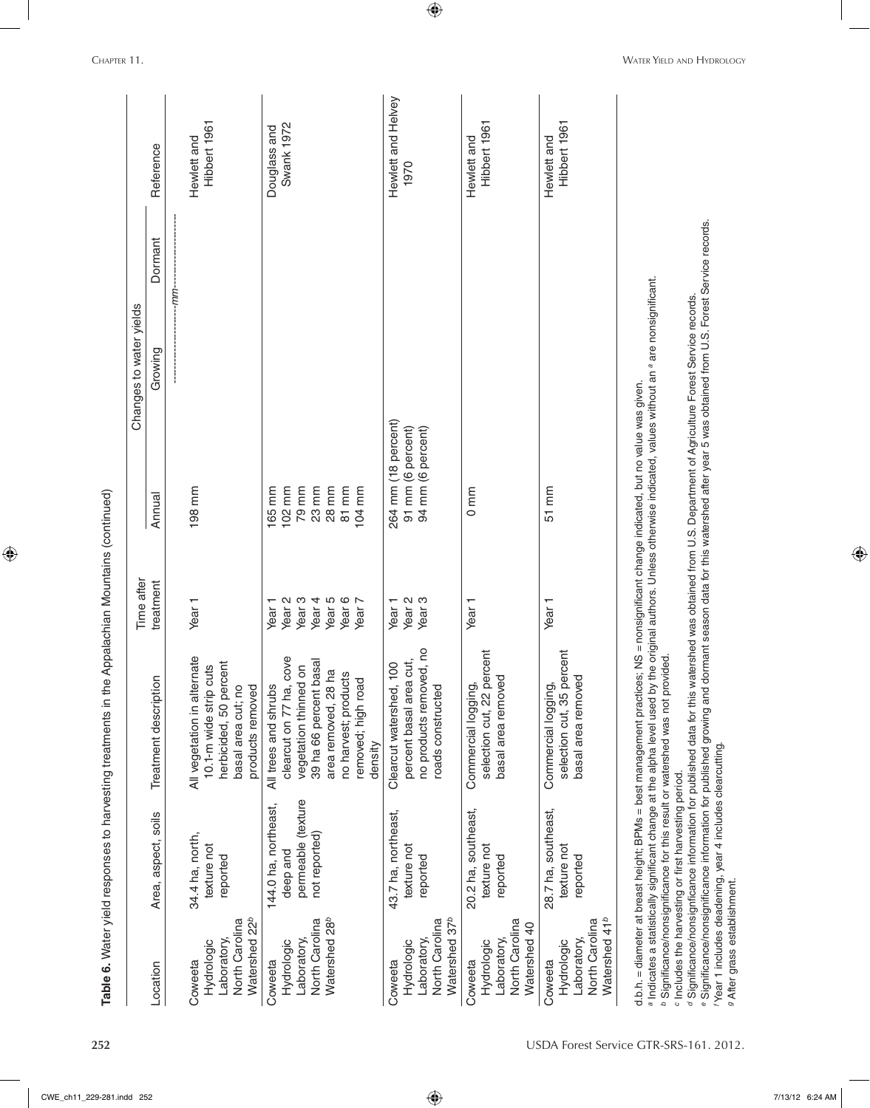|                                                                                                                  |                                                                                                                    |                                                                                                                                                                                                                                                                                                                                                                                                                                                                                                                                                                                                                                                                                                                                                           | Time after                                                                                                                |                                                                | Changes to water yields |         |                             |
|------------------------------------------------------------------------------------------------------------------|--------------------------------------------------------------------------------------------------------------------|-----------------------------------------------------------------------------------------------------------------------------------------------------------------------------------------------------------------------------------------------------------------------------------------------------------------------------------------------------------------------------------------------------------------------------------------------------------------------------------------------------------------------------------------------------------------------------------------------------------------------------------------------------------------------------------------------------------------------------------------------------------|---------------------------------------------------------------------------------------------------------------------------|----------------------------------------------------------------|-------------------------|---------|-----------------------------|
| Location                                                                                                         | Area, aspect, soils                                                                                                | $\overline{5}$<br>Treatment descripti                                                                                                                                                                                                                                                                                                                                                                                                                                                                                                                                                                                                                                                                                                                     | treatment                                                                                                                 | Annual                                                         | Growing                 | Dormant | Reference                   |
| North Carolina<br>Laboratory,<br>Hydrologic<br>Coweeta                                                           | 34.4 ha, north,<br>texture not<br>reported                                                                         | ernate<br>herbicided, 50 percent<br>cuts<br>products removed<br>basal area cut; no<br>All vegetation in alt<br>10.1-m wide strip                                                                                                                                                                                                                                                                                                                                                                                                                                                                                                                                                                                                                          | Year <sub>1</sub>                                                                                                         | 198 mm                                                         |                         | :uu-    | Hibbert 1961<br>Hewlett and |
| Watershed 22 <sup>b</sup><br>Watershed 28 <sup>b</sup><br>North Carolina<br>Laboratory,<br>Hydrologic<br>Coweeta | permeable (texture<br>144.0 ha, northeast,<br>not reported)<br>deep and                                            | clearcut on 77 ha, cove<br>t basal<br>vegetation thinned on<br>area removed, 28 ha<br>no harvest; products<br>removed; high road<br>All trees and shrubs<br>39 ha 66 percent<br>density                                                                                                                                                                                                                                                                                                                                                                                                                                                                                                                                                                   | Year 6<br>Year <sub>3</sub><br>Year <sub>4</sub><br>Year 5<br>Year <sub>2</sub><br>Year <sub>7</sub><br>Year <sub>1</sub> | 23 mm<br>28 mm<br>81 mm<br>102 mm<br>79 mm<br>165 mm<br>104 mm |                         |         | Swank 1972<br>Douglass and  |
| Watershed 37 <sup>b</sup><br>North Carolina<br>Laboratory,<br>Hydrologic<br>Coweeta                              | 43.7 ha, northeast,<br>texture not<br>reported                                                                     | no products removed, no<br>percent basal area cut,<br>Clearcut watershed, 100<br>roads constructed                                                                                                                                                                                                                                                                                                                                                                                                                                                                                                                                                                                                                                                        | Year 2<br>Year 3<br>Year <sub>1</sub>                                                                                     | 264 mm (18 percent)<br>94 mm (6 percent)<br>91 mm (6 percent)  |                         |         | Hewlett and Helvey<br>1970  |
| North Carolina<br>Watershed 40<br>Laboratory,<br>Hydrologic<br>Coweeta                                           | 20.2 ha, southeast,<br>texture not<br>reported                                                                     | selection cut, 22 percent<br>basal area removed<br>Commercial logging,                                                                                                                                                                                                                                                                                                                                                                                                                                                                                                                                                                                                                                                                                    | Year <sub>1</sub>                                                                                                         | $0 \text{ mm}$                                                 |                         |         | Hibbert 1961<br>Hewlett and |
| Watershed 41 <sup>b</sup><br>North Carolina<br>Laboratory,<br>Hydrologic<br>Coweeta                              | 28.7 ha, southeast,<br>texture not<br>reported                                                                     | selection cut, 35 percent<br>basal area removed<br>Commercial logging,                                                                                                                                                                                                                                                                                                                                                                                                                                                                                                                                                                                                                                                                                    | Year <sub>1</sub>                                                                                                         | $51$ mm                                                        |                         |         | Hibbert 1961<br>Hewlett and |
| g After grass establishment.                                                                                     | 'Year 1 includes deadening, year 4 includes clearcutting.<br>c Includes the harvesting or first harvesting period. | e Significance/nonsignificance information for published growing and dormant season data for this watershed after year 5 was obtained from U.S. Forest Service records.<br>a Indicates a statistically significant change at the alpha level used by the original authors. Unless otherwise indicated, values without an <sup>a</sup> are nonsignificant.<br>d Significance/nonsignificance information for published data for this watershed was obtained from U.S. Department of Agriculture Forest Service records.<br>d.b.h. = diameter at breast height; BPMs = best management practices; NS = nonsignificant change indicated, but no value was given.<br><sup>b</sup> Significance/nonsignificance for this result or watershed was not provided. |                                                                                                                           |                                                                |                         |         |                             |

 $\bigoplus$ 

**252** USDA Forest Service GTR-SRS-161. 2012.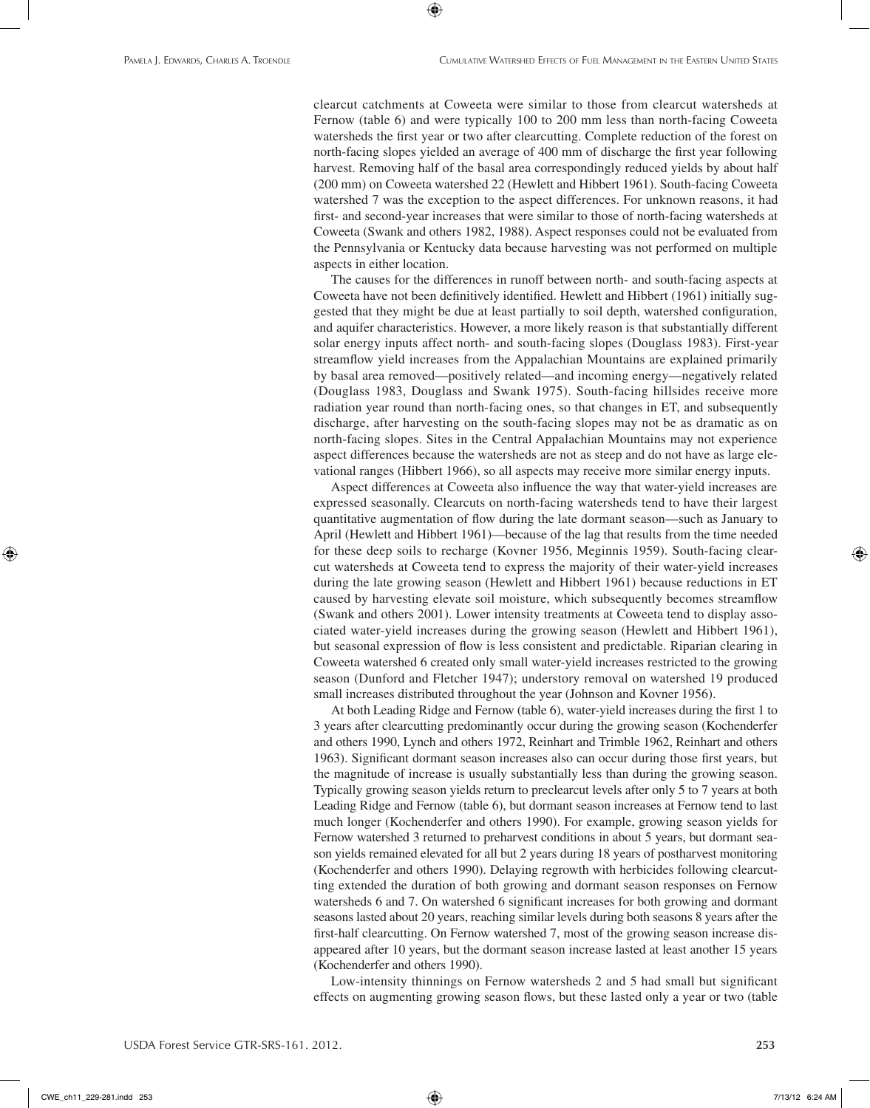clearcut catchments at Coweeta were similar to those from clearcut watersheds at Fernow (table 6) and were typically 100 to 200 mm less than north-facing Coweeta watersheds the first year or two after clearcutting. Complete reduction of the forest on north-facing slopes yielded an average of 400 mm of discharge the first year following harvest. Removing half of the basal area correspondingly reduced yields by about half (200 mm) on Coweeta watershed 22 (Hewlett and Hibbert 1961). South-facing Coweeta watershed 7 was the exception to the aspect differences. For unknown reasons, it had first- and second-year increases that were similar to those of north-facing watersheds at Coweeta (Swank and others 1982, 1988). Aspect responses could not be evaluated from the Pennsylvania or Kentucky data because harvesting was not performed on multiple aspects in either location.

⊕

The causes for the differences in runoff between north- and south-facing aspects at Coweeta have not been definitively identified. Hewlett and Hibbert (1961) initially suggested that they might be due at least partially to soil depth, watershed configuration, and aquifer characteristics. However, a more likely reason is that substantially different solar energy inputs affect north- and south-facing slopes (Douglass 1983). First-year streamflow yield increases from the Appalachian Mountains are explained primarily by basal area removed—positively related—and incoming energy—negatively related (Douglass 1983, Douglass and Swank 1975). South-facing hillsides receive more radiation year round than north-facing ones, so that changes in ET, and subsequently discharge, after harvesting on the south-facing slopes may not be as dramatic as on north-facing slopes. Sites in the Central Appalachian Mountains may not experience aspect differences because the watersheds are not as steep and do not have as large elevational ranges (Hibbert 1966), so all aspects may receive more similar energy inputs.

Aspect differences at Coweeta also influence the way that water-yield increases are expressed seasonally. Clearcuts on north-facing watersheds tend to have their largest quantitative augmentation of flow during the late dormant season—such as January to April (Hewlett and Hibbert 1961)—because of the lag that results from the time needed for these deep soils to recharge (Kovner 1956, Meginnis 1959). South-facing clearcut watersheds at Coweeta tend to express the majority of their water-yield increases during the late growing season (Hewlett and Hibbert 1961) because reductions in ET caused by harvesting elevate soil moisture, which subsequently becomes streamflow (Swank and others 2001). Lower intensity treatments at Coweeta tend to display associated water-yield increases during the growing season (Hewlett and Hibbert 1961), but seasonal expression of flow is less consistent and predictable. Riparian clearing in Coweeta watershed 6 created only small water-yield increases restricted to the growing season (Dunford and Fletcher 1947); understory removal on watershed 19 produced small increases distributed throughout the year (Johnson and Kovner 1956).

At both Leading Ridge and Fernow (table 6), water-yield increases during the first 1 to 3 years after clearcutting predominantly occur during the growing season (Kochenderfer and others 1990, Lynch and others 1972, Reinhart and Trimble 1962, Reinhart and others 1963). Significant dormant season increases also can occur during those first years, but the magnitude of increase is usually substantially less than during the growing season. Typically growing season yields return to preclearcut levels after only 5 to 7 years at both Leading Ridge and Fernow (table 6), but dormant season increases at Fernow tend to last much longer (Kochenderfer and others 1990). For example, growing season yields for Fernow watershed 3 returned to preharvest conditions in about 5 years, but dormant season yields remained elevated for all but 2 years during 18 years of postharvest monitoring (Kochenderfer and others 1990). Delaying regrowth with herbicides following clearcutting extended the duration of both growing and dormant season responses on Fernow watersheds 6 and 7. On watershed 6 significant increases for both growing and dormant seasons lasted about 20 years, reaching similar levels during both seasons 8 years after the first-half clearcutting. On Fernow watershed 7, most of the growing season increase disappeared after 10 years, but the dormant season increase lasted at least another 15 years (Kochenderfer and others 1990).

Low-intensity thinnings on Fernow watersheds 2 and 5 had small but significant effects on augmenting growing season flows, but these lasted only a year or two (table

CWE\_ch11\_229-281.indd 253 7/13/12 6:24 AM

⊕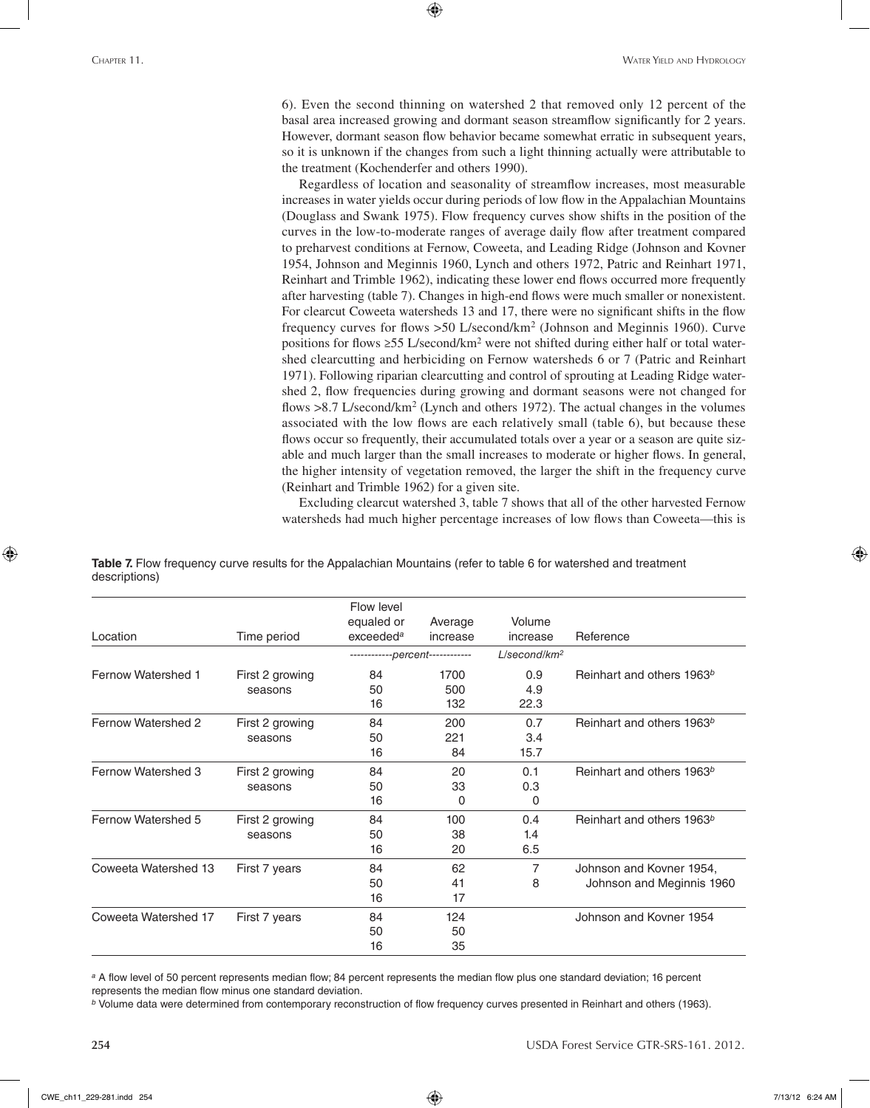6). Even the second thinning on watershed 2 that removed only 12 percent of the basal area increased growing and dormant season streamflow significantly for 2 years. However, dormant season flow behavior became somewhat erratic in subsequent years, so it is unknown if the changes from such a light thinning actually were attributable to the treatment (Kochenderfer and others 1990).

⊕

Regardless of location and seasonality of streamflow increases, most measurable increases in water yields occur during periods of low flow in the Appalachian Mountains (Douglass and Swank 1975). Flow frequency curves show shifts in the position of the curves in the low-to-moderate ranges of average daily flow after treatment compared to preharvest conditions at Fernow, Coweeta, and Leading Ridge (Johnson and Kovner 1954, Johnson and Meginnis 1960, Lynch and others 1972, Patric and Reinhart 1971, Reinhart and Trimble 1962), indicating these lower end flows occurred more frequently after harvesting (table 7). Changes in high-end flows were much smaller or nonexistent. For clearcut Coweeta watersheds 13 and 17, there were no significant shifts in the flow frequency curves for flows >50 L/second/km2 (Johnson and Meginnis 1960). Curve positions for flows ≥55 L/second/km2 were not shifted during either half or total watershed clearcutting and herbiciding on Fernow watersheds 6 or 7 (Patric and Reinhart 1971). Following riparian clearcutting and control of sprouting at Leading Ridge watershed 2, flow frequencies during growing and dormant seasons were not changed for flows >8.7 L/second/km<sup>2</sup> (Lynch and others 1972). The actual changes in the volumes associated with the low flows are each relatively small (table 6), but because these flows occur so frequently, their accumulated totals over a year or a season are quite sizable and much larger than the small increases to moderate or higher flows. In general, the higher intensity of vegetation removed, the larger the shift in the frequency curve (Reinhart and Trimble 1962) for a given site.

Excluding clearcut watershed 3, table 7 shows that all of the other harvested Fernow watersheds had much higher percentage increases of low flows than Coweeta—this is

| Location                  | Time period                | Flow level<br>equaled or<br>exceeded <sup>a</sup> | Average<br>increase | Volume<br>increase          | Reference                                             |
|---------------------------|----------------------------|---------------------------------------------------|---------------------|-----------------------------|-------------------------------------------------------|
|                           |                            | ------------percent------------                   |                     | $L/$ second/km <sup>2</sup> |                                                       |
| Fernow Watershed 1        | First 2 growing<br>seasons | 84<br>50<br>16                                    | 1700<br>500<br>132  | 0.9<br>4.9<br>22.3          | Reinhart and others 1963b                             |
| Fernow Watershed 2        | First 2 growing<br>seasons | 84<br>50<br>16                                    | 200<br>221<br>84    | 0.7<br>3.4<br>15.7          | Reinhart and others 1963b                             |
| <b>Fernow Watershed 3</b> | First 2 growing<br>seasons | 84<br>50<br>16                                    | 20<br>33<br>0       | 0.1<br>0.3<br>0             | Reinhart and others 1963b                             |
| Fernow Watershed 5        | First 2 growing<br>seasons | 84<br>50<br>16                                    | 100<br>38<br>20     | 0.4<br>1.4<br>6.5           | Reinhart and others 1963 <sup>b</sup>                 |
| Coweeta Watershed 13      | First 7 years              | 84<br>50<br>16                                    | 62<br>41<br>17      | 7<br>8                      | Johnson and Kovner 1954,<br>Johnson and Meginnis 1960 |
| Coweeta Watershed 17      | First 7 years              | 84<br>50<br>16                                    | 124<br>50<br>35     |                             | Johnson and Kovner 1954                               |

**Table 7.** Flow frequency curve results for the Appalachian Mountains (refer to table 6 for watershed and treatment descriptions)

*<sup>a</sup>* A flow level of 50 percent represents median flow; 84 percent represents the median flow plus one standard deviation; 16 percent represents the median flow minus one standard deviation.

*<sup>b</sup>* Volume data were determined from contemporary reconstruction of flow frequency curves presented in Reinhart and others (1963).

⊕

**254** USDA Forest Service GTR-SRS-161. 2012.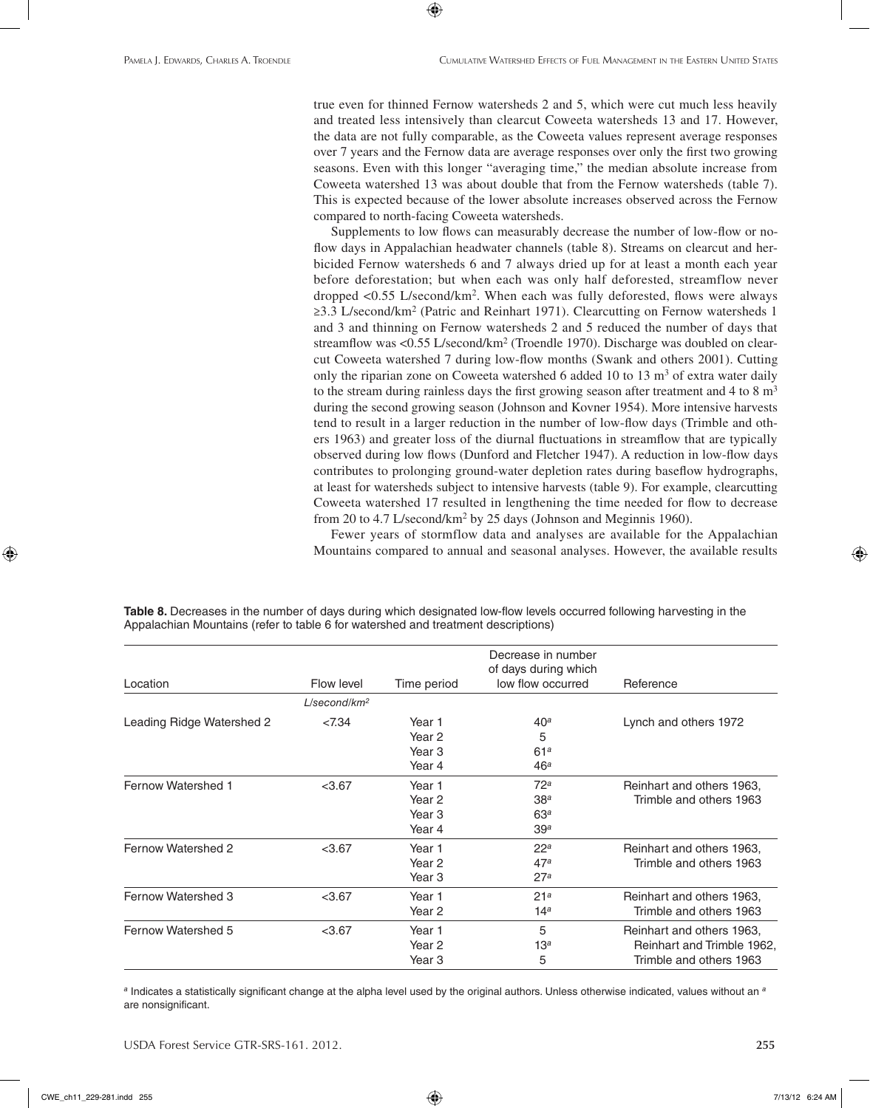true even for thinned Fernow watersheds 2 and 5, which were cut much less heavily and treated less intensively than clearcut Coweeta watersheds 13 and 17. However, the data are not fully comparable, as the Coweeta values represent average responses over 7 years and the Fernow data are average responses over only the first two growing seasons. Even with this longer "averaging time," the median absolute increase from Coweeta watershed 13 was about double that from the Fernow watersheds (table 7). This is expected because of the lower absolute increases observed across the Fernow compared to north-facing Coweeta watersheds.

Supplements to low flows can measurably decrease the number of low-flow or noflow days in Appalachian headwater channels (table 8). Streams on clearcut and herbicided Fernow watersheds 6 and 7 always dried up for at least a month each year before deforestation; but when each was only half deforested, streamflow never dropped <0.55 L/second/km2. When each was fully deforested, flows were always ≥3.3 L/second/km2 (Patric and Reinhart 1971). Clearcutting on Fernow watersheds 1 and 3 and thinning on Fernow watersheds 2 and 5 reduced the number of days that streamflow was <0.55 L/second/km<sup>2</sup> (Troendle 1970). Discharge was doubled on clearcut Coweeta watershed 7 during low-flow months (Swank and others 2001). Cutting only the riparian zone on Coweeta watershed 6 added 10 to 13  $\text{m}^3$  of extra water daily to the stream during rainless days the first growing season after treatment and 4 to 8  $\mathrm{m}^3$ during the second growing season (Johnson and Kovner 1954). More intensive harvests tend to result in a larger reduction in the number of low-flow days (Trimble and others 1963) and greater loss of the diurnal fluctuations in streamflow that are typically observed during low flows (Dunford and Fletcher 1947). A reduction in low-flow days contributes to prolonging ground-water depletion rates during baseflow hydrographs, at least for watersheds subject to intensive harvests (table 9). For example, clearcutting Coweeta watershed 17 resulted in lengthening the time needed for flow to decrease from 20 to 4.7 L/second/km2 by 25 days (Johnson and Meginnis 1960).

Fewer years of stormflow data and analyses are available for the Appalachian Mountains compared to annual and seasonal analyses. However, the available results

> 5 13*<sup>a</sup>* 5

Location **Flow level** Time period Decrease in number of days during which low flow occurred Reference *L/second/km2* Leading Ridge Watershed 2 <7.34 Year 1 Year 2 Year 3 Year 4 40*<sup>a</sup>* 5 61*<sup>a</sup>* 46*<sup>a</sup>* Lynch and others 1972 Fernow Watershed 1 <3.67 Year 1 Year 2 Year 3 Year 4 72*<sup>a</sup>* 38*<sup>a</sup>* 63*<sup>a</sup>* 39*<sup>a</sup>* Reinhart and others 1963, Trimble and others 1963 Fernow Watershed 2  $<$ 3.67 Year 1 Year 2 Year 3 22*<sup>a</sup>* 47*<sup>a</sup>* 27*<sup>a</sup>* Reinhart and others 1963, Trimble and others 1963 Fernow Watershed 3  $<$ 3.67 Year 1 Year 2 21*<sup>a</sup>* 14*<sup>a</sup>* Reinhart and others 1963, Trimble and others 1963

**Table 8.** Decreases in the number of days during which designated low-flow levels occurred following harvesting in the Appalachian Mountains (refer to table 6 for watershed and treatment descriptions)

 $\textcolor{black}{\textcircled{\footnotesize{1}}}$ 

*<sup>a</sup>* Indicates a statistically significant change at the alpha level used by the original authors. Unless otherwise indicated, values without an *<sup>a</sup>* are nonsignificant.

Year 2 Year 3

USDA Forest Service GTR-SRS-161. 2012. **255**

Fernow Watershed 5  $<$ 3.67 Year 1

Reinhart and others 1963, Reinhart and Trimble 1962, Trimble and others 1963

 $\textcircled{\scriptsize{+}}$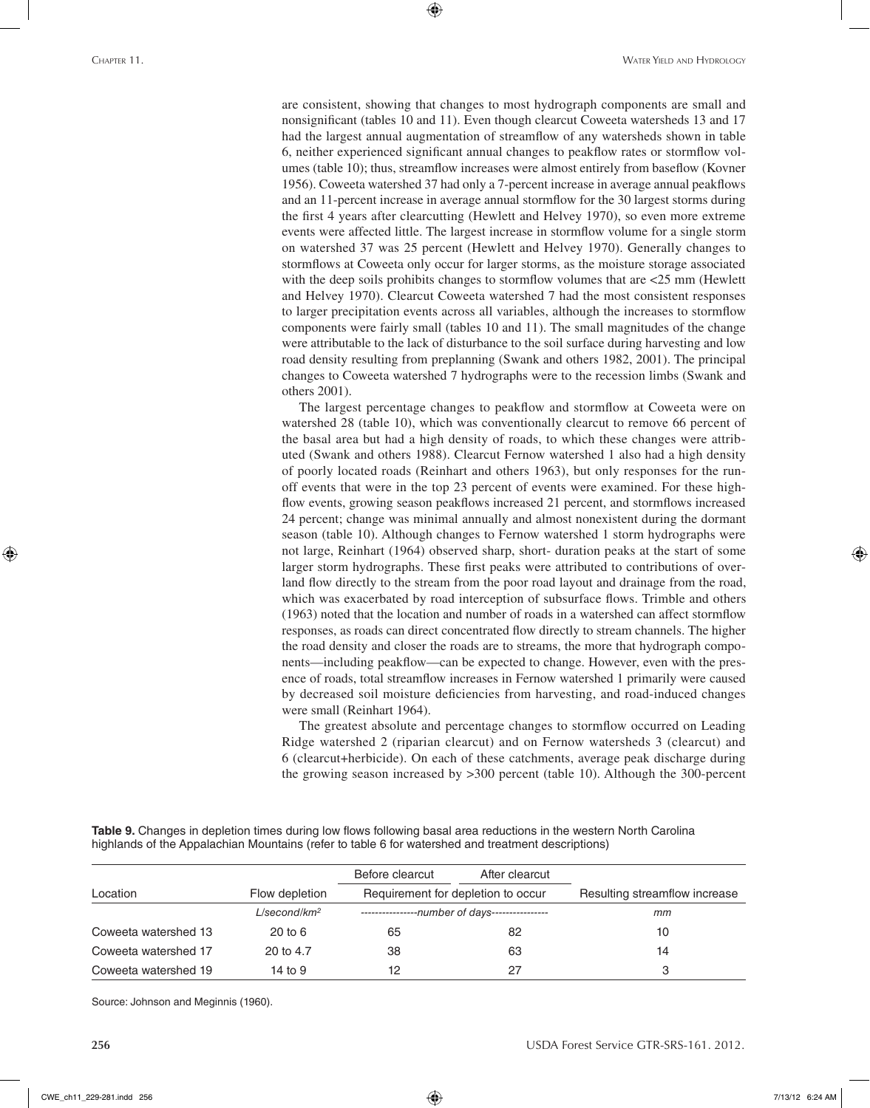are consistent, showing that changes to most hydrograph components are small and nonsignificant (tables 10 and 11). Even though clearcut Coweeta watersheds 13 and 17 had the largest annual augmentation of streamflow of any watersheds shown in table 6, neither experienced significant annual changes to peakflow rates or stormflow volumes (table 10); thus, streamflow increases were almost entirely from baseflow (Kovner 1956). Coweeta watershed 37 had only a 7-percent increase in average annual peakflows and an 11-percent increase in average annual stormflow for the 30 largest storms during the first 4 years after clearcutting (Hewlett and Helvey 1970), so even more extreme events were affected little. The largest increase in stormflow volume for a single storm on watershed 37 was 25 percent (Hewlett and Helvey 1970). Generally changes to stormflows at Coweeta only occur for larger storms, as the moisture storage associated with the deep soils prohibits changes to stormflow volumes that are <25 mm (Hewlett and Helvey 1970). Clearcut Coweeta watershed 7 had the most consistent responses to larger precipitation events across all variables, although the increases to stormflow components were fairly small (tables 10 and 11). The small magnitudes of the change were attributable to the lack of disturbance to the soil surface during harvesting and low road density resulting from preplanning (Swank and others 1982, 2001). The principal changes to Coweeta watershed 7 hydrographs were to the recession limbs (Swank and others 2001).

⊕

The largest percentage changes to peakflow and stormflow at Coweeta were on watershed 28 (table 10), which was conventionally clearcut to remove 66 percent of the basal area but had a high density of roads, to which these changes were attributed (Swank and others 1988). Clearcut Fernow watershed 1 also had a high density of poorly located roads (Reinhart and others 1963), but only responses for the runoff events that were in the top 23 percent of events were examined. For these highflow events, growing season peakflows increased 21 percent, and stormflows increased 24 percent; change was minimal annually and almost nonexistent during the dormant season (table 10). Although changes to Fernow watershed 1 storm hydrographs were not large, Reinhart (1964) observed sharp, short- duration peaks at the start of some larger storm hydrographs. These first peaks were attributed to contributions of overland flow directly to the stream from the poor road layout and drainage from the road, which was exacerbated by road interception of subsurface flows. Trimble and others (1963) noted that the location and number of roads in a watershed can affect stormflow responses, as roads can direct concentrated flow directly to stream channels. The higher the road density and closer the roads are to streams, the more that hydrograph components—including peakflow—can be expected to change. However, even with the presence of roads, total streamflow increases in Fernow watershed 1 primarily were caused by decreased soil moisture deficiencies from harvesting, and road-induced changes were small (Reinhart 1964).

The greatest absolute and percentage changes to stormflow occurred on Leading Ridge watershed 2 (riparian clearcut) and on Fernow watersheds 3 (clearcut) and 6 (clearcut+herbicide). On each of these catchments, average peak discharge during the growing season increased by >300 percent (table 10). Although the 300-percent

**Table 9.** Changes in depletion times during low flows following basal area reductions in the western North Carolina highlands of the Appalachian Mountains (refer to table 6 for watershed and treatment descriptions)

|                      |                             | Before clearcut                                | After clearcut |                               |
|----------------------|-----------------------------|------------------------------------------------|----------------|-------------------------------|
| Location             | Flow depletion              | Requirement for depletion to occur             |                | Resulting streamflow increase |
|                      | $L/$ second/km <sup>2</sup> | ----------------number of days---------------- |                | mm                            |
| Coweeta watershed 13 | $20$ to $6$                 | 65                                             | 82             | 10                            |
| Coweeta watershed 17 | 20 to 4.7                   | 38                                             | 63             | 14                            |
| Coweeta watershed 19 | 14 to $9$                   | 12                                             | 27             |                               |

Source: Johnson and Meginnis (1960).

⊕

**256** USDA Forest Service GTR-SRS-161. 2012.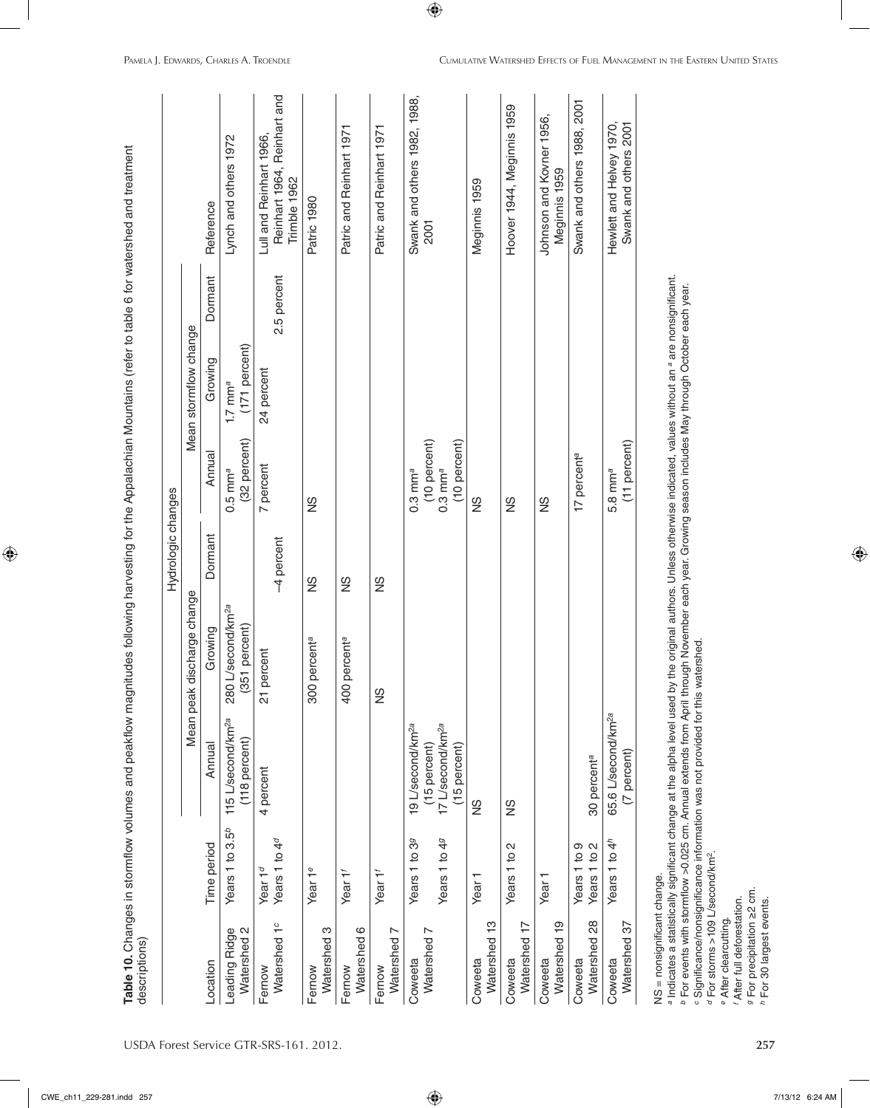| Meginnis 1959<br>Trimble 1962<br>Meginnis 1959<br>Patric 1980<br>Reference<br>2001<br>Dormant<br>2.5 percent<br>Mean stormflow change<br>(171 percent)<br>Growing<br>24 percent<br>$1.7$ mm <sup>a</sup><br>(32 percent)<br>(10 percent)<br>(10 percent)<br>(11 percent)<br>Annual<br>17 percent <sup>a</sup><br>7 percent<br>$0.3$ mm $^a$<br>5.8 mm <sup>a</sup><br>$0.5$ mm <sup>a</sup><br>$0.3$ mm <sup>a</sup><br>SN<br>SN<br>SN<br>SZ<br>Dormant<br>-4 percent<br>SN<br>SN<br>SN<br>discharge change<br>L/second/km <sup>2a</sup><br>(351 percent)<br>Growing<br>percenta<br>percenta<br>21 percent<br>280<br>300<br>400<br>Mean peak<br>SN<br>65.6 L/second/km <sup>2a</sup><br>115 L/second/km <sup>2a</sup><br>17 L/second/km <sup>2a</sup><br>19 L/second/km <sup>2a</sup><br>(118 percent)<br>Annual<br>(15 percent)<br>(15 percent)<br>(7 percent)<br>30 percent <sup>a</sup><br>4 percent<br>SZ<br>SN<br>Years 1 to 3.5 <sup>b</sup><br>Years 1 to 49<br>Years 1 to 4 <sup>d</sup><br>Years 1 to 39<br>Years 1 to 4 <sup>h</sup><br>Time period<br>Years 1 to 2<br>Years 1 to 9<br>Years 1 to 2<br>Year 1 <sup>d</sup><br>Year 1 <sup>e</sup><br>Year 1'<br>Year 1 <sup>f</sup><br>Year <sub>1</sub><br>Year<br>$\frac{8}{2}$<br>Watershed 13<br>Watershed 17<br>Watershed 19<br>Watershed 1 <sup>c</sup><br>Watershed 37<br>S<br>Watershed 6<br>Leading Ridge<br>Watershed <sub>2</sub><br>$\overline{ }$<br>Watershed 7<br>Watershed<br>Watershed<br>Watershed<br>Coweeta<br>Coweeta<br>Coweeta<br>Coweeta<br>Coweeta<br>Coweeta<br>Location<br>Fernow<br>Fernow<br>Fernow<br>Fernow |  |  | Hydrologic changes |  |                                                        |
|------------------------------------------------------------------------------------------------------------------------------------------------------------------------------------------------------------------------------------------------------------------------------------------------------------------------------------------------------------------------------------------------------------------------------------------------------------------------------------------------------------------------------------------------------------------------------------------------------------------------------------------------------------------------------------------------------------------------------------------------------------------------------------------------------------------------------------------------------------------------------------------------------------------------------------------------------------------------------------------------------------------------------------------------------------------------------------------------------------------------------------------------------------------------------------------------------------------------------------------------------------------------------------------------------------------------------------------------------------------------------------------------------------------------------------------------------------------------------------------------------------------------------------------------------------------------------------------------------|--|--|--------------------|--|--------------------------------------------------------|
|                                                                                                                                                                                                                                                                                                                                                                                                                                                                                                                                                                                                                                                                                                                                                                                                                                                                                                                                                                                                                                                                                                                                                                                                                                                                                                                                                                                                                                                                                                                                                                                                      |  |  |                    |  |                                                        |
|                                                                                                                                                                                                                                                                                                                                                                                                                                                                                                                                                                                                                                                                                                                                                                                                                                                                                                                                                                                                                                                                                                                                                                                                                                                                                                                                                                                                                                                                                                                                                                                                      |  |  |                    |  |                                                        |
|                                                                                                                                                                                                                                                                                                                                                                                                                                                                                                                                                                                                                                                                                                                                                                                                                                                                                                                                                                                                                                                                                                                                                                                                                                                                                                                                                                                                                                                                                                                                                                                                      |  |  |                    |  | Lynch and others 1972                                  |
|                                                                                                                                                                                                                                                                                                                                                                                                                                                                                                                                                                                                                                                                                                                                                                                                                                                                                                                                                                                                                                                                                                                                                                                                                                                                                                                                                                                                                                                                                                                                                                                                      |  |  |                    |  | Reinhart 1964, Reinhart and<br>Lull and Reinhart 1966, |
|                                                                                                                                                                                                                                                                                                                                                                                                                                                                                                                                                                                                                                                                                                                                                                                                                                                                                                                                                                                                                                                                                                                                                                                                                                                                                                                                                                                                                                                                                                                                                                                                      |  |  |                    |  |                                                        |
|                                                                                                                                                                                                                                                                                                                                                                                                                                                                                                                                                                                                                                                                                                                                                                                                                                                                                                                                                                                                                                                                                                                                                                                                                                                                                                                                                                                                                                                                                                                                                                                                      |  |  |                    |  | Patric and Reinhart 1971                               |
|                                                                                                                                                                                                                                                                                                                                                                                                                                                                                                                                                                                                                                                                                                                                                                                                                                                                                                                                                                                                                                                                                                                                                                                                                                                                                                                                                                                                                                                                                                                                                                                                      |  |  |                    |  | Patric and Reinhart 1971                               |
|                                                                                                                                                                                                                                                                                                                                                                                                                                                                                                                                                                                                                                                                                                                                                                                                                                                                                                                                                                                                                                                                                                                                                                                                                                                                                                                                                                                                                                                                                                                                                                                                      |  |  |                    |  | Swank and others 1982, 1988,                           |
|                                                                                                                                                                                                                                                                                                                                                                                                                                                                                                                                                                                                                                                                                                                                                                                                                                                                                                                                                                                                                                                                                                                                                                                                                                                                                                                                                                                                                                                                                                                                                                                                      |  |  |                    |  |                                                        |
|                                                                                                                                                                                                                                                                                                                                                                                                                                                                                                                                                                                                                                                                                                                                                                                                                                                                                                                                                                                                                                                                                                                                                                                                                                                                                                                                                                                                                                                                                                                                                                                                      |  |  |                    |  | Hoover 1944, Meginnis 1959                             |
|                                                                                                                                                                                                                                                                                                                                                                                                                                                                                                                                                                                                                                                                                                                                                                                                                                                                                                                                                                                                                                                                                                                                                                                                                                                                                                                                                                                                                                                                                                                                                                                                      |  |  |                    |  | Johnson and Kovner 1956,                               |
|                                                                                                                                                                                                                                                                                                                                                                                                                                                                                                                                                                                                                                                                                                                                                                                                                                                                                                                                                                                                                                                                                                                                                                                                                                                                                                                                                                                                                                                                                                                                                                                                      |  |  |                    |  | Swank and others 1988, 2001                            |
|                                                                                                                                                                                                                                                                                                                                                                                                                                                                                                                                                                                                                                                                                                                                                                                                                                                                                                                                                                                                                                                                                                                                                                                                                                                                                                                                                                                                                                                                                                                                                                                                      |  |  |                    |  | Hewlett and Helvey 1970,<br>Swank and others 2001      |

ª Indicates a statistically significant change at the alpha level used by the original authors. Unless otherwise indicated, values without an ª are nonsignificant.<br>▷ For events with stormflow >0.025 cm. Annual extends fro

*c* Significance/nonsignificance information was not provided for this watershed.

*d* For storms >109 L/second/km2. *e*<sup>e</sup> After clearcutting. After clearcutting.

After full deforestation. *f* After full deforestation.

For precipitation ≥2 cm.<br>For 30 largest events. *g* For precipitation ≥2 cm.

*h* For 30 largest events.

 $\bigoplus$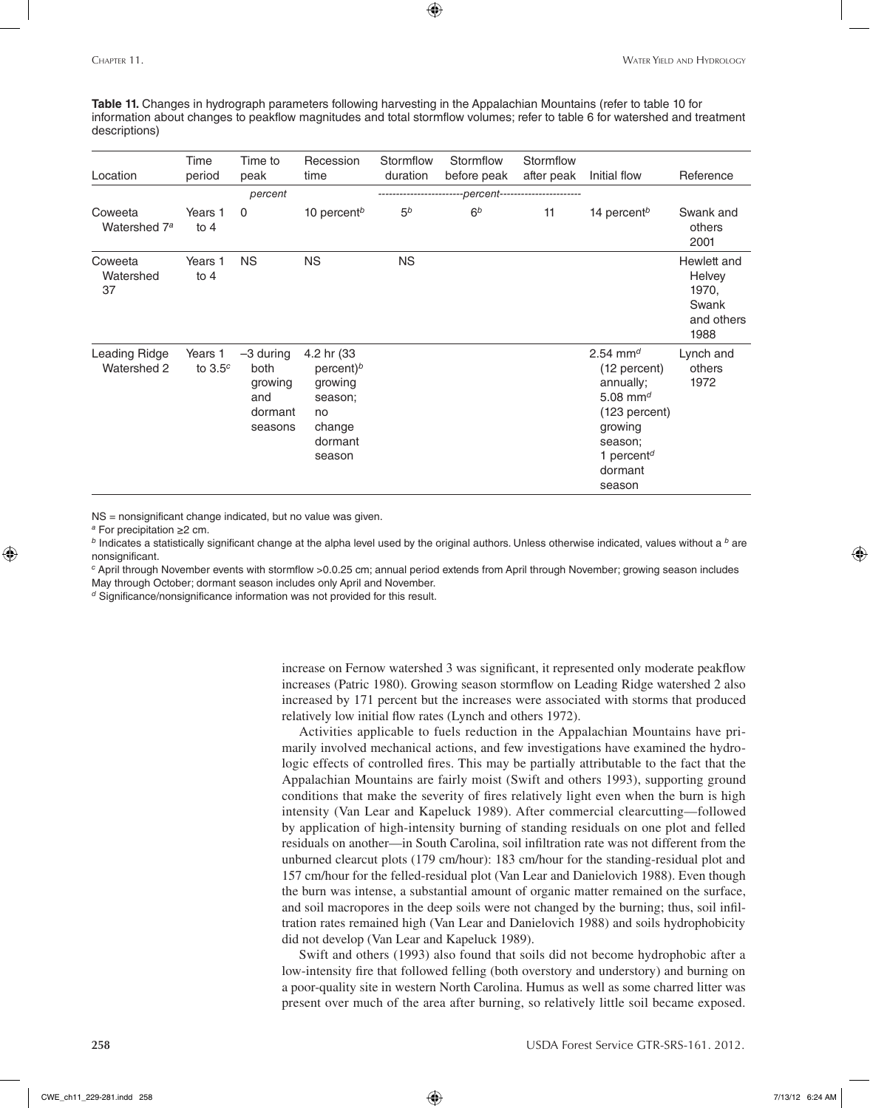**Table 11.** Changes in hydrograph parameters following harvesting in the Appalachian Mountains (refer to table 10 for information about changes to peakflow magnitudes and total stormflow volumes; refer to table 6 for watershed and treatment descriptions)

| Location                            | Time<br>period       | Time to<br>peak                                             | Recession<br>time                                                                     | Stormflow<br>duration | Stormflow<br>before peak | Stormflow<br>after peak | Initial flow                                                                                                                                                                 | Reference                                                     |
|-------------------------------------|----------------------|-------------------------------------------------------------|---------------------------------------------------------------------------------------|-----------------------|--------------------------|-------------------------|------------------------------------------------------------------------------------------------------------------------------------------------------------------------------|---------------------------------------------------------------|
|                                     |                      | percent                                                     |                                                                                       |                       | --percent--              |                         |                                                                                                                                                                              |                                                               |
| Coweeta<br>Watershed 7 <sup>a</sup> | Years 1<br>to $4$    | 0                                                           | 10 percent <sup>b</sup>                                                               | 5 <sup>b</sup>        | 6 <sup>b</sup>           | 11                      | 14 percent <sup>b</sup>                                                                                                                                                      | Swank and<br>others<br>2001                                   |
| Coweeta<br>Watershed<br>37          | Years 1<br>to $4$    | <b>NS</b>                                                   | <b>NS</b>                                                                             | <b>NS</b>             |                          |                         |                                                                                                                                                                              | Hewlett and<br>Helvey<br>1970,<br>Swank<br>and others<br>1988 |
| Leading Ridge<br>Watershed 2        | Years 1<br>to $3.5c$ | $-3$ during<br>both<br>growing<br>and<br>dormant<br>seasons | 4.2 hr (33<br>percent) $b$<br>growing<br>season;<br>no<br>change<br>dormant<br>season |                       |                          |                         | 2.54 mm <sup>d</sup><br>(12 percent)<br>annually;<br>5.08 mm <sup>d</sup><br>(123 percent)<br>growing<br>season;<br>1 percent <sup><math>d</math></sup><br>dormant<br>season | Lynch and<br>others<br>1972                                   |

NS = nonsignificant change indicated, but no value was given.

*<sup>a</sup>* For precipitation ≥2 cm.

⊕

*<sup>b</sup>* Indicates a statistically significant change at the alpha level used by the original authors. Unless otherwise indicated, values without a *<sup>b</sup>* are nonsignificant.

*<sup>c</sup>* April through November events with stormflow >0.0.25 cm; annual period extends from April through November; growing season includes May through October; dormant season includes only April and November.

*<sup>d</sup>* Significance/nonsignificance information was not provided for this result.

increase on Fernow watershed 3 was significant, it represented only moderate peakflow increases (Patric 1980). Growing season stormflow on Leading Ridge watershed 2 also increased by 171 percent but the increases were associated with storms that produced relatively low initial flow rates (Lynch and others 1972).

Activities applicable to fuels reduction in the Appalachian Mountains have primarily involved mechanical actions, and few investigations have examined the hydrologic effects of controlled fires. This may be partially attributable to the fact that the Appalachian Mountains are fairly moist (Swift and others 1993), supporting ground conditions that make the severity of fires relatively light even when the burn is high intensity (Van Lear and Kapeluck 1989). After commercial clearcutting—followed by application of high-intensity burning of standing residuals on one plot and felled residuals on another—in South Carolina, soil infiltration rate was not different from the unburned clearcut plots (179 cm/hour): 183 cm/hour for the standing-residual plot and 157 cm/hour for the felled-residual plot (Van Lear and Danielovich 1988). Even though the burn was intense, a substantial amount of organic matter remained on the surface, and soil macropores in the deep soils were not changed by the burning; thus, soil infiltration rates remained high (Van Lear and Danielovich 1988) and soils hydrophobicity did not develop (Van Lear and Kapeluck 1989).

Swift and others (1993) also found that soils did not become hydrophobic after a low-intensity fire that followed felling (both overstory and understory) and burning on a poor-quality site in western North Carolina. Humus as well as some charred litter was present over much of the area after burning, so relatively little soil became exposed.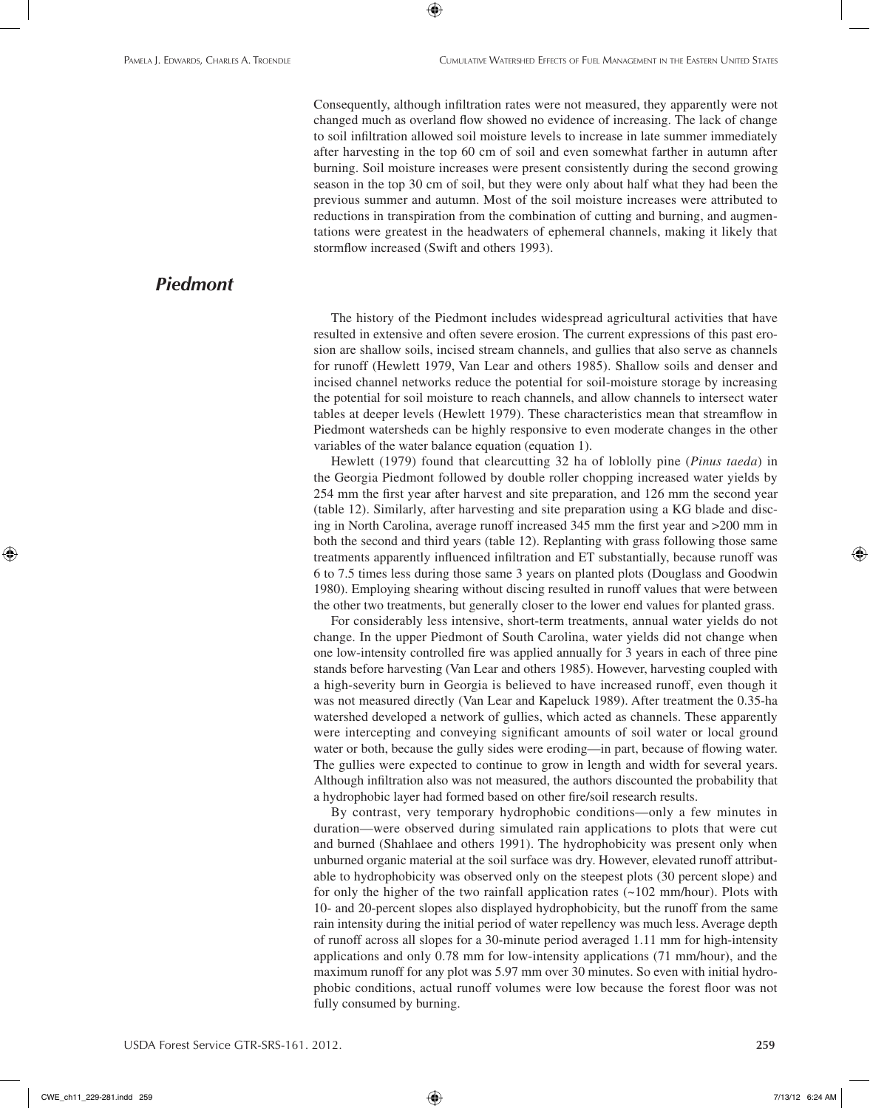Consequently, although infiltration rates were not measured, they apparently were not changed much as overland flow showed no evidence of increasing. The lack of change to soil infiltration allowed soil moisture levels to increase in late summer immediately after harvesting in the top 60 cm of soil and even somewhat farther in autumn after burning. Soil moisture increases were present consistently during the second growing season in the top 30 cm of soil, but they were only about half what they had been the previous summer and autumn. Most of the soil moisture increases were attributed to reductions in transpiration from the combination of cutting and burning, and augmentations were greatest in the headwaters of ephemeral channels, making it likely that stormflow increased (Swift and others 1993).

⊕

## *Piedmont*

The history of the Piedmont includes widespread agricultural activities that have resulted in extensive and often severe erosion. The current expressions of this past erosion are shallow soils, incised stream channels, and gullies that also serve as channels for runoff (Hewlett 1979, Van Lear and others 1985). Shallow soils and denser and incised channel networks reduce the potential for soil-moisture storage by increasing the potential for soil moisture to reach channels, and allow channels to intersect water tables at deeper levels (Hewlett 1979). These characteristics mean that streamflow in Piedmont watersheds can be highly responsive to even moderate changes in the other variables of the water balance equation (equation 1).

Hewlett (1979) found that clearcutting 32 ha of loblolly pine (*Pinus taeda*) in the Georgia Piedmont followed by double roller chopping increased water yields by 254 mm the first year after harvest and site preparation, and 126 mm the second year (table 12). Similarly, after harvesting and site preparation using a KG blade and discing in North Carolina, average runoff increased 345 mm the first year and >200 mm in both the second and third years (table 12). Replanting with grass following those same treatments apparently influenced infiltration and ET substantially, because runoff was 6 to 7.5 times less during those same 3 years on planted plots (Douglass and Goodwin 1980). Employing shearing without discing resulted in runoff values that were between the other two treatments, but generally closer to the lower end values for planted grass.

For considerably less intensive, short-term treatments, annual water yields do not change. In the upper Piedmont of South Carolina, water yields did not change when one low-intensity controlled fire was applied annually for 3 years in each of three pine stands before harvesting (Van Lear and others 1985). However, harvesting coupled with a high-severity burn in Georgia is believed to have increased runoff, even though it was not measured directly (Van Lear and Kapeluck 1989). After treatment the 0.35-ha watershed developed a network of gullies, which acted as channels. These apparently were intercepting and conveying significant amounts of soil water or local ground water or both, because the gully sides were eroding—in part, because of flowing water. The gullies were expected to continue to grow in length and width for several years. Although infiltration also was not measured, the authors discounted the probability that a hydrophobic layer had formed based on other fire/soil research results.

By contrast, very temporary hydrophobic conditions—only a few minutes in duration—were observed during simulated rain applications to plots that were cut and burned (Shahlaee and others 1991). The hydrophobicity was present only when unburned organic material at the soil surface was dry. However, elevated runoff attributable to hydrophobicity was observed only on the steepest plots (30 percent slope) and for only the higher of the two rainfall application rates  $(\sim 102 \text{ mm/hour})$ . Plots with 10- and 20-percent slopes also displayed hydrophobicity, but the runoff from the same rain intensity during the initial period of water repellency was much less. Average depth of runoff across all slopes for a 30-minute period averaged 1.11 mm for high-intensity applications and only 0.78 mm for low-intensity applications (71 mm/hour), and the maximum runoff for any plot was 5.97 mm over 30 minutes. So even with initial hydrophobic conditions, actual runoff volumes were low because the forest floor was not fully consumed by burning.

CWE\_ch11\_229-281.indd 259 7/13/12 6:24 AM

⊕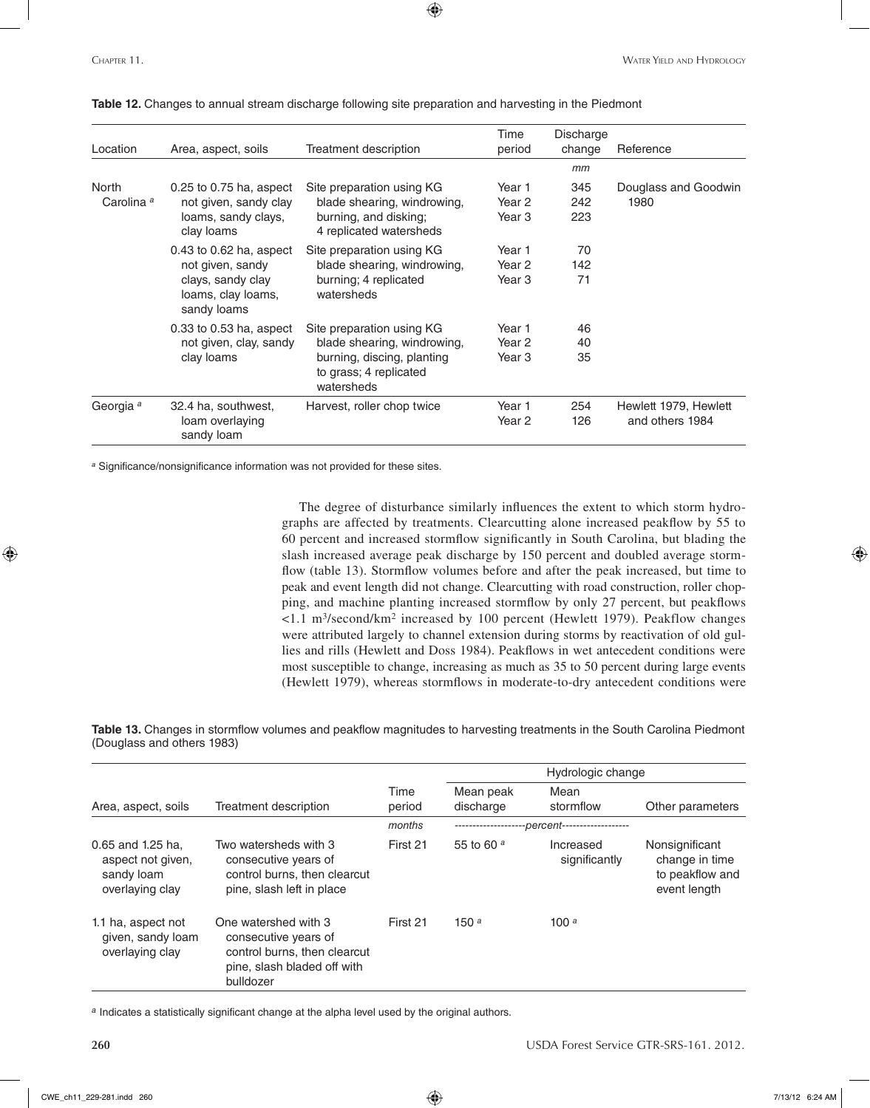| Location                       | Area, aspect, soils                                                                                       | <b>Treatment description</b>                                                                                                   | Time<br>period                        | Discharge<br>change | Reference                                |
|--------------------------------|-----------------------------------------------------------------------------------------------------------|--------------------------------------------------------------------------------------------------------------------------------|---------------------------------------|---------------------|------------------------------------------|
|                                |                                                                                                           |                                                                                                                                |                                       | mm                  |                                          |
| North<br>Carolina <sup>a</sup> | $0.25$ to 0.75 ha, aspect<br>not given, sandy clay<br>loams, sandy clays,<br>clay loams                   | Site preparation using KG<br>blade shearing, windrowing,<br>burning, and disking;<br>4 replicated watersheds                   | Year 1<br>Year 2<br>Year 3            | 345<br>242<br>223   | Douglass and Goodwin<br>1980             |
|                                | $0.43$ to $0.62$ ha, aspect<br>not given, sandy<br>clays, sandy clay<br>loams, clay loams,<br>sandy loams | Site preparation using KG<br>blade shearing, windrowing,<br>burning; 4 replicated<br>watersheds                                | Year 1<br>Year <sub>2</sub><br>Year 3 | 70<br>142<br>71     |                                          |
|                                | $0.33$ to $0.53$ ha, aspect<br>not given, clay, sandy<br>clay loams                                       | Site preparation using KG<br>blade shearing, windrowing,<br>burning, discing, planting<br>to grass; 4 replicated<br>watersheds | Year 1<br>Year 2<br>Year <sub>3</sub> | 46<br>40<br>35      |                                          |
| Georgia <sup>a</sup>           | 32.4 ha, southwest,<br>loam overlaying<br>sandy loam                                                      | Harvest, roller chop twice                                                                                                     | Year 1<br>Year 2                      | 254<br>126          | Hewlett 1979, Hewlett<br>and others 1984 |

**Table 12.** Changes to annual stream discharge following site preparation and harvesting in the Piedmont

*<sup>a</sup>* Significance/nonsignificance information was not provided for these sites.

The degree of disturbance similarly influences the extent to which storm hydrographs are affected by treatments. Clearcutting alone increased peakflow by 55 to 60 percent and increased stormflow significantly in South Carolina, but blading the slash increased average peak discharge by 150 percent and doubled average stormflow (table 13). Stormflow volumes before and after the peak increased, but time to peak and event length did not change. Clearcutting with road construction, roller chopping, and machine planting increased stormflow by only 27 percent, but peakflows <1.1 m3/second/km2 increased by 100 percent (Hewlett 1979). Peakflow changes were attributed largely to channel extension during storms by reactivation of old gullies and rills (Hewlett and Doss 1984). Peakflows in wet antecedent conditions were most susceptible to change, increasing as much as 35 to 50 percent during large events (Hewlett 1979), whereas stormflows in moderate-to-dry antecedent conditions were

**Table 13.** Changes in stormflow volumes and peakflow magnitudes to harvesting treatments in the South Carolina Piedmont (Douglass and others 1983)

|                                                                         |                                                                                                                          |                |                        | Hydrologic change           |                                                                     |
|-------------------------------------------------------------------------|--------------------------------------------------------------------------------------------------------------------------|----------------|------------------------|-----------------------------|---------------------------------------------------------------------|
| Area, aspect, soils                                                     | Treatment description                                                                                                    | Time<br>period | Mean peak<br>discharge | Mean<br>stormflow           | Other parameters                                                    |
|                                                                         |                                                                                                                          | months         | -------------------    | -percent------------------- |                                                                     |
| 0.65 and 1.25 ha.<br>aspect not given,<br>sandy loam<br>overlaying clay | Two watersheds with 3<br>consecutive years of<br>control burns, then clearcut<br>pine, slash left in place               | First 21       | 55 to 60 $a$           | Increased<br>significantly  | Nonsignificant<br>change in time<br>to peakflow and<br>event length |
| 1.1 ha, aspect not<br>given, sandy loam<br>overlaying clay              | One watershed with 3<br>consecutive years of<br>control burns, then clearcut<br>pine, slash bladed off with<br>bulldozer | First 21       | 150 $a$                | 100 $a$                     |                                                                     |

*<sup>a</sup>* Indicates a statistically significant change at the alpha level used by the original authors.

⊕

**260** USDA Forest Service GTR-SRS-161. 2012.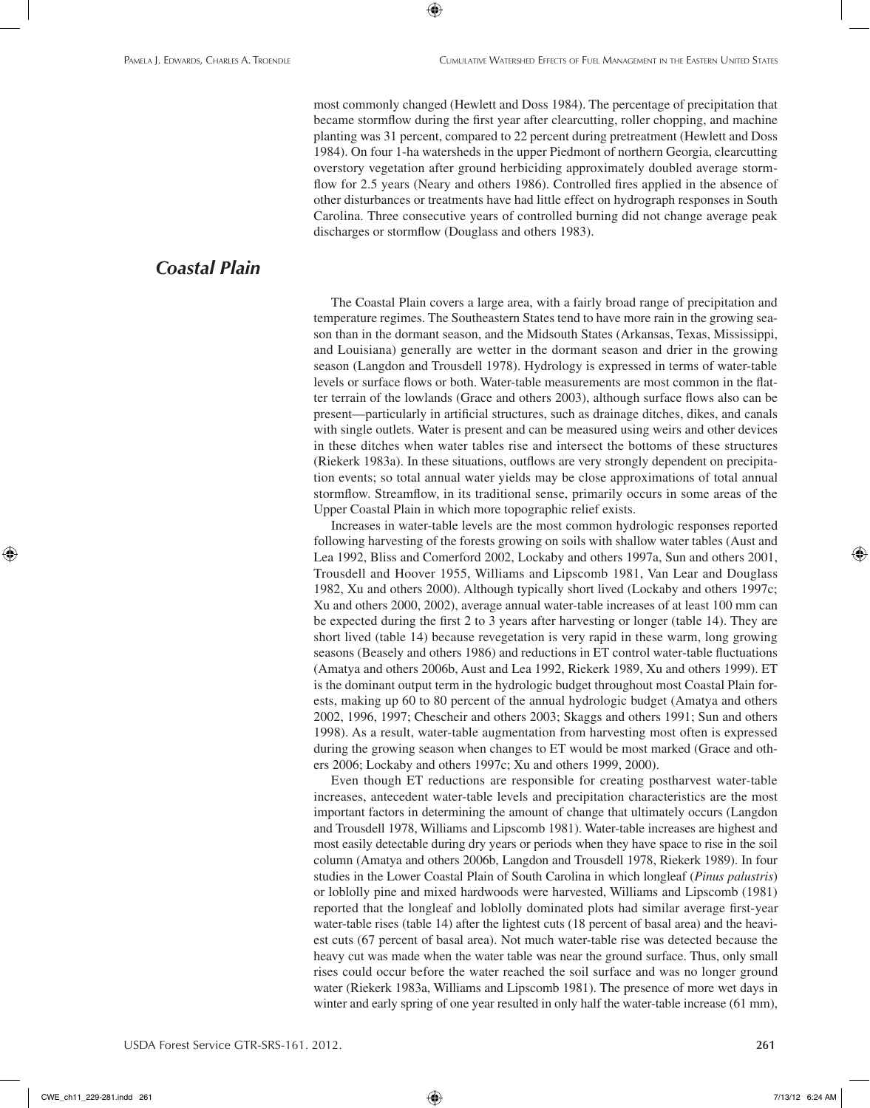most commonly changed (Hewlett and Doss 1984). The percentage of precipitation that became stormflow during the first year after clearcutting, roller chopping, and machine planting was 31 percent, compared to 22 percent during pretreatment (Hewlett and Doss 1984). On four 1-ha watersheds in the upper Piedmont of northern Georgia, clearcutting overstory vegetation after ground herbiciding approximately doubled average stormflow for 2.5 years (Neary and others 1986). Controlled fires applied in the absence of other disturbances or treatments have had little effect on hydrograph responses in South Carolina. Three consecutive years of controlled burning did not change average peak discharges or stormflow (Douglass and others 1983).

 $\textcolor{black}{\textcircled{\footnotesize{1}}}$ 

## *Coastal Plain*

The Coastal Plain covers a large area, with a fairly broad range of precipitation and temperature regimes. The Southeastern States tend to have more rain in the growing season than in the dormant season, and the Midsouth States (Arkansas, Texas, Mississippi, and Louisiana) generally are wetter in the dormant season and drier in the growing season (Langdon and Trousdell 1978). Hydrology is expressed in terms of water-table levels or surface flows or both. Water-table measurements are most common in the flatter terrain of the lowlands (Grace and others 2003), although surface flows also can be present—particularly in artificial structures, such as drainage ditches, dikes, and canals with single outlets. Water is present and can be measured using weirs and other devices in these ditches when water tables rise and intersect the bottoms of these structures (Riekerk 1983a). In these situations, outflows are very strongly dependent on precipitation events; so total annual water yields may be close approximations of total annual stormflow. Streamflow, in its traditional sense, primarily occurs in some areas of the Upper Coastal Plain in which more topographic relief exists.

Increases in water-table levels are the most common hydrologic responses reported following harvesting of the forests growing on soils with shallow water tables (Aust and Lea 1992, Bliss and Comerford 2002, Lockaby and others 1997a, Sun and others 2001, Trousdell and Hoover 1955, Williams and Lipscomb 1981, Van Lear and Douglass 1982, Xu and others 2000). Although typically short lived (Lockaby and others 1997c; Xu and others 2000, 2002), average annual water-table increases of at least 100 mm can be expected during the first 2 to 3 years after harvesting or longer (table 14). They are short lived (table 14) because revegetation is very rapid in these warm, long growing seasons (Beasely and others 1986) and reductions in ET control water-table fluctuations (Amatya and others 2006b, Aust and Lea 1992, Riekerk 1989, Xu and others 1999). ET is the dominant output term in the hydrologic budget throughout most Coastal Plain forests, making up 60 to 80 percent of the annual hydrologic budget (Amatya and others 2002, 1996, 1997; Chescheir and others 2003; Skaggs and others 1991; Sun and others 1998). As a result, water-table augmentation from harvesting most often is expressed during the growing season when changes to ET would be most marked (Grace and others 2006; Lockaby and others 1997c; Xu and others 1999, 2000).

Even though ET reductions are responsible for creating postharvest water-table increases, antecedent water-table levels and precipitation characteristics are the most important factors in determining the amount of change that ultimately occurs (Langdon and Trousdell 1978, Williams and Lipscomb 1981). Water-table increases are highest and most easily detectable during dry years or periods when they have space to rise in the soil column (Amatya and others 2006b, Langdon and Trousdell 1978, Riekerk 1989). In four studies in the Lower Coastal Plain of South Carolina in which longleaf (*Pinus palustris*) or loblolly pine and mixed hardwoods were harvested, Williams and Lipscomb (1981) reported that the longleaf and loblolly dominated plots had similar average first-year water-table rises (table 14) after the lightest cuts (18 percent of basal area) and the heaviest cuts (67 percent of basal area). Not much water-table rise was detected because the heavy cut was made when the water table was near the ground surface. Thus, only small rises could occur before the water reached the soil surface and was no longer ground water (Riekerk 1983a, Williams and Lipscomb 1981). The presence of more wet days in winter and early spring of one year resulted in only half the water-table increase (61 mm),

⊕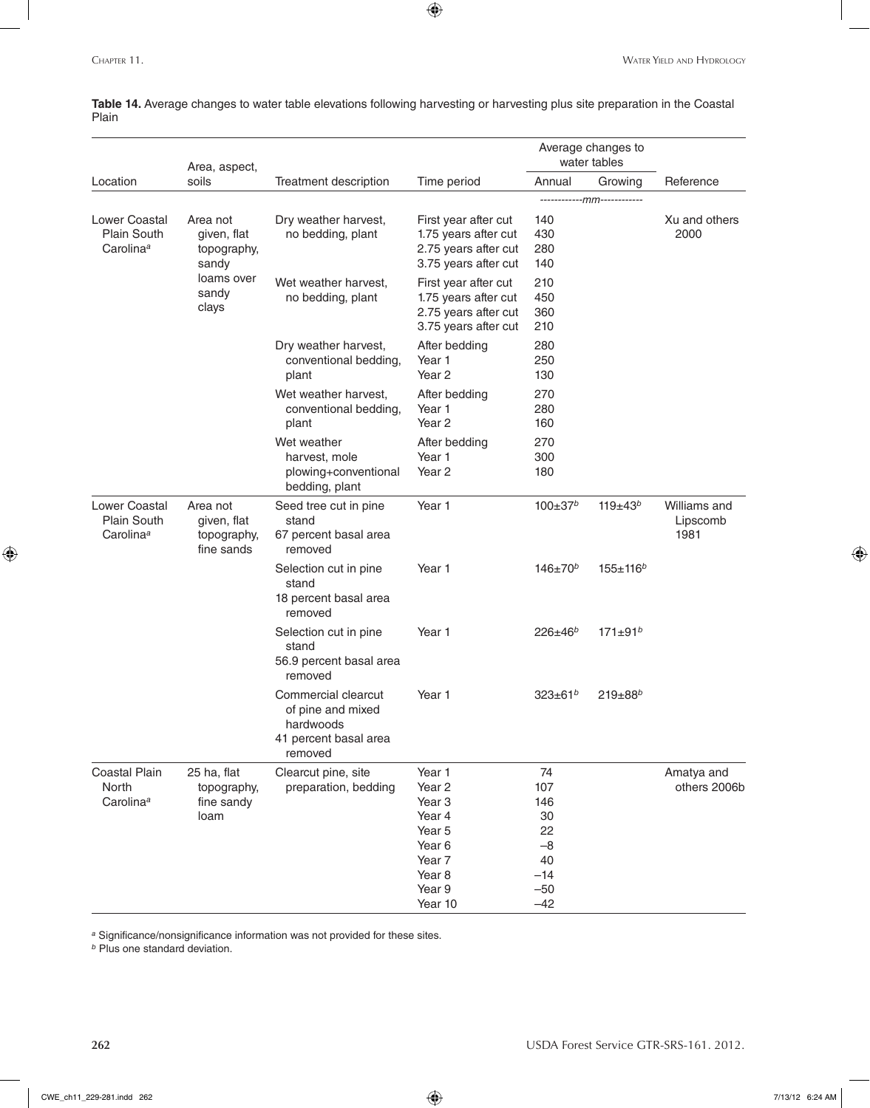**Table 14.** Average changes to water table elevations following harvesting or harvesting plus site preparation in the Coastal Plain

 $\bigoplus$ 

|                                                              | Area, aspect,                                        |                                                                                           |                                                                                                                                    |                                                                       | Average changes to<br>water tables |                                  |
|--------------------------------------------------------------|------------------------------------------------------|-------------------------------------------------------------------------------------------|------------------------------------------------------------------------------------------------------------------------------------|-----------------------------------------------------------------------|------------------------------------|----------------------------------|
| Location                                                     | soils                                                | Treatment description                                                                     | Time period                                                                                                                        | Annual                                                                | Growing                            | Reference                        |
|                                                              |                                                      |                                                                                           |                                                                                                                                    |                                                                       | -------------mm------------        |                                  |
| <b>Lower Coastal</b><br>Plain South<br>Carolina <sup>a</sup> | Area not<br>given, flat<br>topography,<br>sandy      | Dry weather harvest,<br>no bedding, plant                                                 | First year after cut<br>1.75 years after cut<br>2.75 years after cut<br>3.75 years after cut                                       | 140<br>430<br>280<br>140                                              |                                    | Xu and others<br>2000            |
|                                                              | loams over<br>sandy<br>clays                         | Wet weather harvest,<br>no bedding, plant                                                 | First year after cut<br>1.75 years after cut<br>2.75 years after cut<br>3.75 years after cut                                       | 210<br>450<br>360<br>210                                              |                                    |                                  |
|                                                              |                                                      | Dry weather harvest,<br>conventional bedding,<br>plant                                    | After bedding<br>Year 1<br>Year <sub>2</sub>                                                                                       | 280<br>250<br>130                                                     |                                    |                                  |
|                                                              |                                                      | Wet weather harvest,<br>conventional bedding,<br>plant                                    | After bedding<br>Year 1<br>Year <sub>2</sub>                                                                                       | 270<br>280<br>160                                                     |                                    |                                  |
|                                                              |                                                      | Wet weather<br>harvest, mole<br>plowing+conventional<br>bedding, plant                    | After bedding<br>Year 1<br>Year <sub>2</sub>                                                                                       | 270<br>300<br>180                                                     |                                    |                                  |
| <b>Lower Coastal</b><br>Plain South<br>Carolina <sup>a</sup> | Area not<br>given, flat<br>topography,<br>fine sands | Seed tree cut in pine<br>stand<br>67 percent basal area<br>removed                        | Year 1                                                                                                                             | $100 \pm 37$ <sup>b</sup>                                             | $119+43^{b}$                       | Williams and<br>Lipscomb<br>1981 |
|                                                              |                                                      | Selection cut in pine<br>stand<br>18 percent basal area<br>removed                        | Year 1                                                                                                                             | $146 \pm 70^b$                                                        | $155 + 116^{b}$                    |                                  |
|                                                              |                                                      | Selection cut in pine<br>stand<br>56.9 percent basal area<br>removed                      | Year 1                                                                                                                             | $226 \pm 46^{b}$                                                      | $171 \pm 91^{b}$                   |                                  |
|                                                              |                                                      | Commercial clearcut<br>of pine and mixed<br>hardwoods<br>41 percent basal area<br>removed | Year <sub>1</sub>                                                                                                                  | $323 \pm 61^{b}$                                                      | $219 \pm 88^{b}$                   |                                  |
| Coastal Plain<br>North<br>Carolina <sup>a</sup>              | 25 ha, flat<br>topography,<br>fine sandy<br>loam     | Clearcut pine, site<br>preparation, bedding                                               | Year 1<br>Year <sub>2</sub><br>Year <sub>3</sub><br>Year 4<br>Year 5<br>Year 6<br>Year 7<br>Year <sub>8</sub><br>Year 9<br>Year 10 | 74<br>107<br>146<br>30<br>22<br>$-8$<br>40<br>$-14$<br>$-50$<br>$-42$ |                                    | Amatya and<br>others 2006b       |

*<sup>a</sup>* Significance/nonsignificance information was not provided for these sites.

*<sup>b</sup>* Plus one standard deviation.

 $\bigoplus$ 

**262** USDA Forest Service GTR-SRS-161. 2012.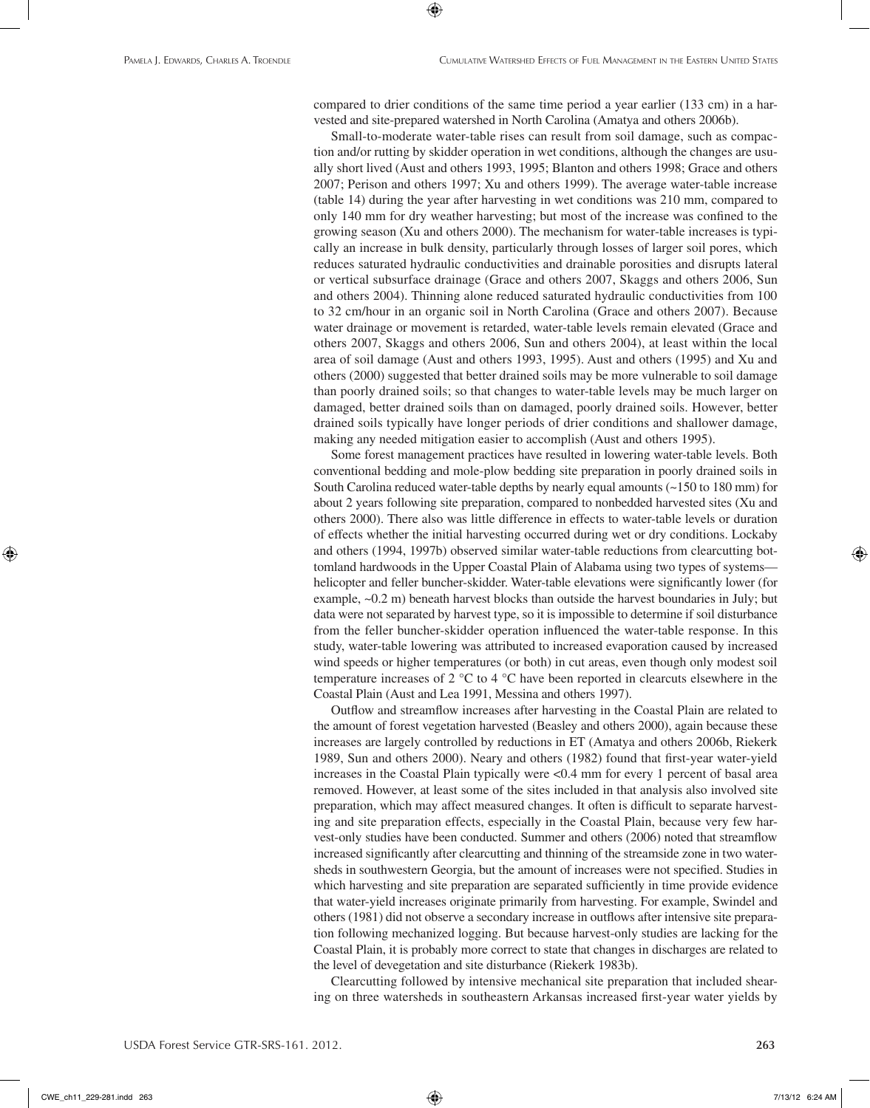compared to drier conditions of the same time period a year earlier (133 cm) in a harvested and site-prepared watershed in North Carolina (Amatya and others 2006b).

⊕

Small-to-moderate water-table rises can result from soil damage, such as compaction and/or rutting by skidder operation in wet conditions, although the changes are usually short lived (Aust and others 1993, 1995; Blanton and others 1998; Grace and others 2007; Perison and others 1997; Xu and others 1999). The average water-table increase (table 14) during the year after harvesting in wet conditions was 210 mm, compared to only 140 mm for dry weather harvesting; but most of the increase was confined to the growing season (Xu and others 2000). The mechanism for water-table increases is typically an increase in bulk density, particularly through losses of larger soil pores, which reduces saturated hydraulic conductivities and drainable porosities and disrupts lateral or vertical subsurface drainage (Grace and others 2007, Skaggs and others 2006, Sun and others 2004). Thinning alone reduced saturated hydraulic conductivities from 100 to 32 cm/hour in an organic soil in North Carolina (Grace and others 2007). Because water drainage or movement is retarded, water-table levels remain elevated (Grace and others 2007, Skaggs and others 2006, Sun and others 2004), at least within the local area of soil damage (Aust and others 1993, 1995). Aust and others (1995) and Xu and others (2000) suggested that better drained soils may be more vulnerable to soil damage than poorly drained soils; so that changes to water-table levels may be much larger on damaged, better drained soils than on damaged, poorly drained soils. However, better drained soils typically have longer periods of drier conditions and shallower damage, making any needed mitigation easier to accomplish (Aust and others 1995).

Some forest management practices have resulted in lowering water-table levels. Both conventional bedding and mole-plow bedding site preparation in poorly drained soils in South Carolina reduced water-table depths by nearly equal amounts (~150 to 180 mm) for about 2 years following site preparation, compared to nonbedded harvested sites (Xu and others 2000). There also was little difference in effects to water-table levels or duration of effects whether the initial harvesting occurred during wet or dry conditions. Lockaby and others (1994, 1997b) observed similar water-table reductions from clearcutting bottomland hardwoods in the Upper Coastal Plain of Alabama using two types of systems helicopter and feller buncher-skidder. Water-table elevations were significantly lower (for example,  $\sim 0.2$  m) beneath harvest blocks than outside the harvest boundaries in July; but data were not separated by harvest type, so it is impossible to determine if soil disturbance from the feller buncher-skidder operation influenced the water-table response. In this study, water-table lowering was attributed to increased evaporation caused by increased wind speeds or higher temperatures (or both) in cut areas, even though only modest soil temperature increases of 2 °C to 4 °C have been reported in clearcuts elsewhere in the Coastal Plain (Aust and Lea 1991, Messina and others 1997).

Outflow and streamflow increases after harvesting in the Coastal Plain are related to the amount of forest vegetation harvested (Beasley and others 2000), again because these increases are largely controlled by reductions in ET (Amatya and others 2006b, Riekerk 1989, Sun and others 2000). Neary and others (1982) found that first-year water-yield increases in the Coastal Plain typically were <0.4 mm for every 1 percent of basal area removed. However, at least some of the sites included in that analysis also involved site preparation, which may affect measured changes. It often is difficult to separate harvesting and site preparation effects, especially in the Coastal Plain, because very few harvest-only studies have been conducted. Summer and others (2006) noted that streamflow increased significantly after clearcutting and thinning of the streamside zone in two watersheds in southwestern Georgia, but the amount of increases were not specified. Studies in which harvesting and site preparation are separated sufficiently in time provide evidence that water-yield increases originate primarily from harvesting. For example, Swindel and others (1981) did not observe a secondary increase in outflows after intensive site preparation following mechanized logging. But because harvest-only studies are lacking for the Coastal Plain, it is probably more correct to state that changes in discharges are related to the level of devegetation and site disturbance (Riekerk 1983b).

Clearcutting followed by intensive mechanical site preparation that included shearing on three watersheds in southeastern Arkansas increased first-year water yields by

CWE\_ch11\_229-281.indd 263 7/13/12 6:24 AM

⊕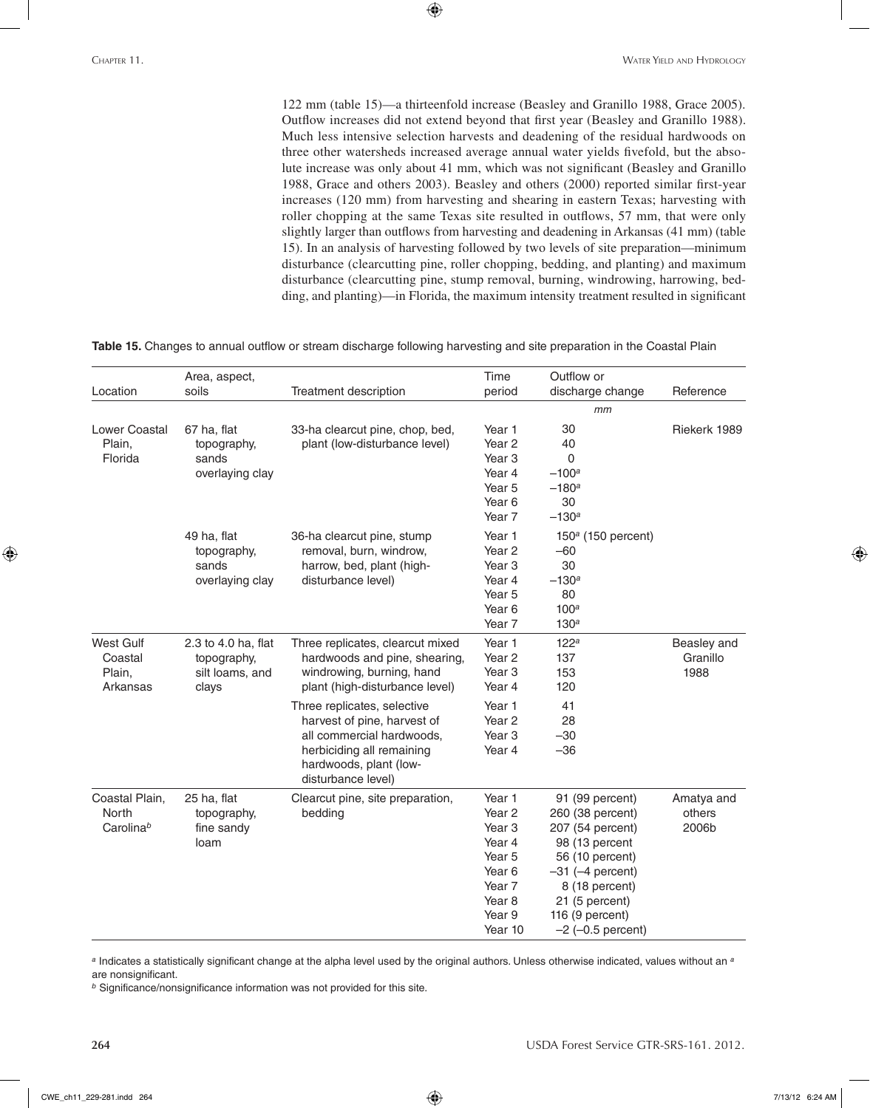122 mm (table 15)—a thirteenfold increase (Beasley and Granillo 1988, Grace 2005). Outflow increases did not extend beyond that first year (Beasley and Granillo 1988). Much less intensive selection harvests and deadening of the residual hardwoods on three other watersheds increased average annual water yields fivefold, but the absolute increase was only about 41 mm, which was not significant (Beasley and Granillo 1988, Grace and others 2003). Beasley and others (2000) reported similar first-year increases (120 mm) from harvesting and shearing in eastern Texas; harvesting with roller chopping at the same Texas site resulted in outflows, 57 mm, that were only slightly larger than outflows from harvesting and deadening in Arkansas (41 mm) (table 15). In an analysis of harvesting followed by two levels of site preparation—minimum disturbance (clearcutting pine, roller chopping, bedding, and planting) and maximum disturbance (clearcutting pine, stump removal, burning, windrowing, harrowing, bedding, and planting)—in Florida, the maximum intensity treatment resulted in significant

**Table 15.** Changes to annual outflow or stream discharge following harvesting and site preparation in the Coastal Plain

 $\bigoplus$ 

| Location                                                | Area, aspect,<br>soils                                         | Treatment description                                                                                                                                                | Time<br>period                                                                                                                                           | Outflow or<br>discharge change                                                                                                                                                                         | Reference                       |
|---------------------------------------------------------|----------------------------------------------------------------|----------------------------------------------------------------------------------------------------------------------------------------------------------------------|----------------------------------------------------------------------------------------------------------------------------------------------------------|--------------------------------------------------------------------------------------------------------------------------------------------------------------------------------------------------------|---------------------------------|
|                                                         |                                                                |                                                                                                                                                                      |                                                                                                                                                          | mm                                                                                                                                                                                                     |                                 |
| <b>Lower Coastal</b><br>Plain,<br>Florida               | 67 ha, flat<br>topography,<br>sands<br>overlaying clay         | 33-ha clearcut pine, chop, bed,<br>plant (low-disturbance level)                                                                                                     | Year 1<br>Year <sub>2</sub><br>Year <sub>3</sub><br>Year 4<br>Year <sub>5</sub><br>Year <sub>6</sub><br>Year <sub>7</sub>                                | 30<br>40<br>$\mathbf 0$<br>$-100^a$<br>$-180a$<br>30<br>$-130^a$                                                                                                                                       | Riekerk 1989                    |
|                                                         | 49 ha, flat<br>topography,<br>sands<br>overlaying clay         | 36-ha clearcut pine, stump<br>removal, burn, windrow,<br>harrow, bed, plant (high-<br>disturbance level)                                                             | Year 1<br>Year <sub>2</sub><br>Year <sub>3</sub><br>Year 4<br>Year <sub>5</sub><br>Year <sub>6</sub><br>Year 7                                           | $150a$ (150 percent)<br>$-60$<br>30<br>$-130^a$<br>80<br>100 <sup>a</sup><br>130 <sup>a</sup>                                                                                                          |                                 |
| West Gulf<br>Coastal<br>Plain,<br>Arkansas              | 2.3 to 4.0 ha, flat<br>topography,<br>silt loams, and<br>clays | Three replicates, clearcut mixed<br>hardwoods and pine, shearing,<br>windrowing, burning, hand<br>plant (high-disturbance level)                                     | Year 1<br>Year <sub>2</sub><br>Year <sub>3</sub><br>Year 4                                                                                               | 122 <sup>a</sup><br>137<br>153<br>120                                                                                                                                                                  | Beasley and<br>Granillo<br>1988 |
|                                                         |                                                                | Three replicates, selective<br>harvest of pine, harvest of<br>all commercial hardwoods,<br>herbiciding all remaining<br>hardwoods, plant (low-<br>disturbance level) | Year 1<br>Year <sub>2</sub><br>Year <sub>3</sub><br>Year 4                                                                                               | 41<br>28<br>$-30$<br>$-36$                                                                                                                                                                             |                                 |
| Coastal Plain,<br><b>North</b><br>Carolina <sup>b</sup> | 25 ha, flat<br>topography,<br>fine sandy<br>loam               | Clearcut pine, site preparation,<br>bedding                                                                                                                          | Year 1<br>Year <sub>2</sub><br>Year <sub>3</sub><br>Year 4<br>Year <sub>5</sub><br>Year 6<br>Year <sub>7</sub><br>Year <sub>8</sub><br>Year 9<br>Year 10 | 91 (99 percent)<br>260 (38 percent)<br>207 (54 percent)<br>98 (13 percent<br>56 (10 percent)<br>$-31$ ( $-4$ percent)<br>8 (18 percent)<br>21 (5 percent)<br>116 (9 percent)<br>$-2$ ( $-0.5$ percent) | Amatya and<br>others<br>2006b   |

*<sup>a</sup>* Indicates a statistically significant change at the alpha level used by the original authors. Unless otherwise indicated, values without an *<sup>a</sup>* are nonsignificant.

*<sup>b</sup>* Significance/nonsignificance information was not provided for this site.

⊕

**264** USDA Forest Service GTR-SRS-161. 2012.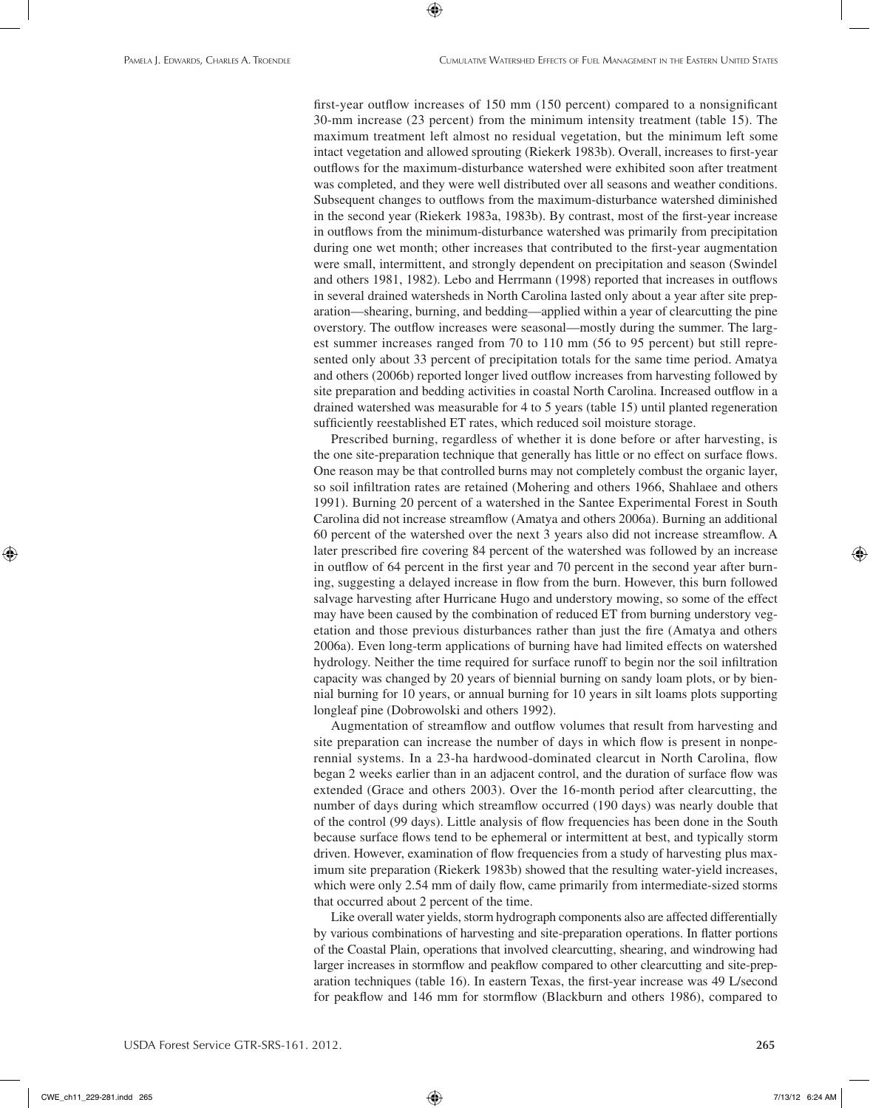first-year outflow increases of 150 mm (150 percent) compared to a nonsignificant 30-mm increase (23 percent) from the minimum intensity treatment (table 15). The maximum treatment left almost no residual vegetation, but the minimum left some intact vegetation and allowed sprouting (Riekerk 1983b). Overall, increases to first-year outflows for the maximum-disturbance watershed were exhibited soon after treatment was completed, and they were well distributed over all seasons and weather conditions. Subsequent changes to outflows from the maximum-disturbance watershed diminished in the second year (Riekerk 1983a, 1983b). By contrast, most of the first-year increase in outflows from the minimum-disturbance watershed was primarily from precipitation during one wet month; other increases that contributed to the first-year augmentation were small, intermittent, and strongly dependent on precipitation and season (Swindel and others 1981, 1982). Lebo and Herrmann (1998) reported that increases in outflows in several drained watersheds in North Carolina lasted only about a year after site preparation—shearing, burning, and bedding—applied within a year of clearcutting the pine overstory. The outflow increases were seasonal—mostly during the summer. The largest summer increases ranged from 70 to 110 mm (56 to 95 percent) but still represented only about 33 percent of precipitation totals for the same time period. Amatya and others (2006b) reported longer lived outflow increases from harvesting followed by site preparation and bedding activities in coastal North Carolina. Increased outflow in a drained watershed was measurable for 4 to 5 years (table 15) until planted regeneration sufficiently reestablished ET rates, which reduced soil moisture storage.

⊕

Prescribed burning, regardless of whether it is done before or after harvesting, is the one site-preparation technique that generally has little or no effect on surface flows. One reason may be that controlled burns may not completely combust the organic layer, so soil infiltration rates are retained (Mohering and others 1966, Shahlaee and others 1991). Burning 20 percent of a watershed in the Santee Experimental Forest in South Carolina did not increase streamflow (Amatya and others 2006a). Burning an additional 60 percent of the watershed over the next 3 years also did not increase streamflow. A later prescribed fire covering 84 percent of the watershed was followed by an increase in outflow of 64 percent in the first year and 70 percent in the second year after burning, suggesting a delayed increase in flow from the burn. However, this burn followed salvage harvesting after Hurricane Hugo and understory mowing, so some of the effect may have been caused by the combination of reduced ET from burning understory vegetation and those previous disturbances rather than just the fire (Amatya and others 2006a). Even long-term applications of burning have had limited effects on watershed hydrology. Neither the time required for surface runoff to begin nor the soil infiltration capacity was changed by 20 years of biennial burning on sandy loam plots, or by biennial burning for 10 years, or annual burning for 10 years in silt loams plots supporting longleaf pine (Dobrowolski and others 1992).

Augmentation of streamflow and outflow volumes that result from harvesting and site preparation can increase the number of days in which flow is present in nonperennial systems. In a 23-ha hardwood-dominated clearcut in North Carolina, flow began 2 weeks earlier than in an adjacent control, and the duration of surface flow was extended (Grace and others 2003). Over the 16-month period after clearcutting, the number of days during which streamflow occurred (190 days) was nearly double that of the control (99 days). Little analysis of flow frequencies has been done in the South because surface flows tend to be ephemeral or intermittent at best, and typically storm driven. However, examination of flow frequencies from a study of harvesting plus maximum site preparation (Riekerk 1983b) showed that the resulting water-yield increases, which were only 2.54 mm of daily flow, came primarily from intermediate-sized storms that occurred about 2 percent of the time.

Like overall water yields, storm hydrograph components also are affected differentially by various combinations of harvesting and site-preparation operations. In flatter portions of the Coastal Plain, operations that involved clearcutting, shearing, and windrowing had larger increases in stormflow and peakflow compared to other clearcutting and site-preparation techniques (table 16). In eastern Texas, the first-year increase was 49 L/second for peakflow and 146 mm for stormflow (Blackburn and others 1986), compared to

CWE\_ch11\_229-281.indd 265 7/13/12 6:24 AM

⊕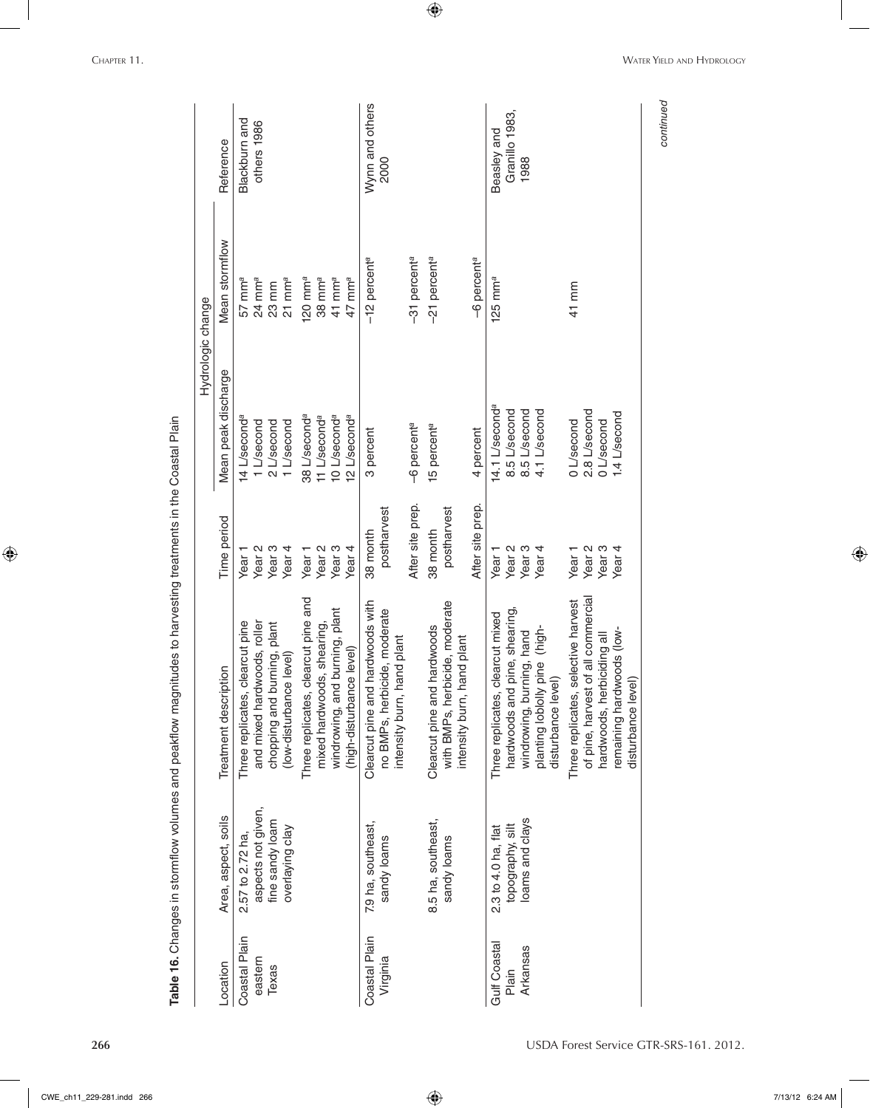|                           |                                   |                                                                                                |                         | Hydrologic change          |                            |                         |
|---------------------------|-----------------------------------|------------------------------------------------------------------------------------------------|-------------------------|----------------------------|----------------------------|-------------------------|
| Location                  | Area, aspect, soils               | Treatment description                                                                          | Time period             | Mean peak discharge        | Mean stormflow             | Reference               |
| Coastal Plain             | 2.57 to 2.72 ha,                  | Three replicates, clearcut pine                                                                | Year <sub>1</sub>       | 14 L'second <sup>e</sup>   | $57$ mm $^{\circ}$         | Blackburn and           |
| eastern                   | aspects not given,                | and mixed hardwoods, roller                                                                    | Year <sub>2</sub>       | 1 L/second                 | $24$ mm <sup>a</sup>       | others 1986             |
| Texas                     | fine sandy loam                   | chopping and burning, plant                                                                    | Year <sub>3</sub>       | 2 L/second                 | 23 mm                      |                         |
|                           | overlaying clay                   | (low-disturbance level)                                                                        | Year <sub>4</sub>       | 1 L/second                 | $21$ mm <sup>a</sup>       |                         |
|                           |                                   | Three replicates, clearcut pine and                                                            | Year <sub>1</sub>       | 38 L/second <sup>a</sup>   | 120 mm <sup>a</sup>        |                         |
|                           |                                   | mixed hardwoods, shearing,                                                                     | Year <sub>2</sub>       | 11 L/second <sup>a</sup>   | $38 \text{ mm}^a$          |                         |
|                           |                                   | windrowing, and burning, plant                                                                 | Year <sub>3</sub>       | 10 L/second <sup>a</sup>   | $41$ mm <sup>a</sup>       |                         |
|                           |                                   | (high-disturbance level)                                                                       | Year <sub>4</sub>       | 2 L/second <sup>a</sup>    | 47 mm <sup>a</sup>         |                         |
| Coastal Plain<br>Virginia | 7.9 ha, southeast,<br>sandy loams | Clearcut pine and hardwoods with<br>no BMPs, herbicide, moderate                               | postharvest<br>38 month | 3 percent                  | $-12$ percent <sup>a</sup> | Wynn and others<br>2000 |
|                           |                                   | intensity burn, hand plant                                                                     |                         |                            |                            |                         |
|                           |                                   |                                                                                                | After site prep.        | -6 percent <sup>a</sup>    | -31 percent <sup>a</sup>   |                         |
|                           | 8.5 ha, southeast,<br>sandy loams | with BMPs, herbicide, moderate<br>hardwoods<br>intensity burn, hand plant<br>Clearcut pine and | postharvest<br>38 month | 15 percent <sup>a</sup>    | -21 percent <sup>a</sup>   |                         |
|                           |                                   |                                                                                                | After site prep.        | 4 percent                  | -6 percent <sup>a</sup>    |                         |
| Gulf Coastal              | 2.3 to 4.0 ha, flat               | Three replicates, clearcut mixed                                                               | Year <sub>1</sub>       | 14.1 L/second <sup>a</sup> | $125$ mm <sup>a</sup>      | Beasley and             |
| Plain                     | topography, silt                  | pine, shearing<br>hardwoods and                                                                | Year <sub>2</sub>       | 8.5 L/second               |                            | Granillo 1983,          |
| Arkansas                  | oams and clays                    | windrowing, burning, hand                                                                      | Year <sub>3</sub>       | 8.5 L/second               |                            | 1988                    |
|                           |                                   | pine (high-<br>disturbance level)<br>planting loblolly                                         | Year <sub>4</sub>       | 4.1 L/second               |                            |                         |
|                           |                                   | Three replicates, selective harvest                                                            | Year <sub>1</sub>       | 0L/second                  | 41 mm                      |                         |
|                           |                                   | of pine, harvest of all commercial                                                             | Year <sub>2</sub>       | 2.8 L/second               |                            |                         |
|                           |                                   | hardwoods, herbiciding all                                                                     | Year <sub>3</sub>       | 0L/second                  |                            |                         |
|                           |                                   | remaining hardwoods (low-                                                                      | Year <sub>4</sub>       | 1.4 L/second               |                            |                         |
|                           |                                   | disturbance level)                                                                             |                         |                            |                            |                         |

 $\bigoplus$ 

**266** USDA Forest Service GTR-SRS-161. 2012.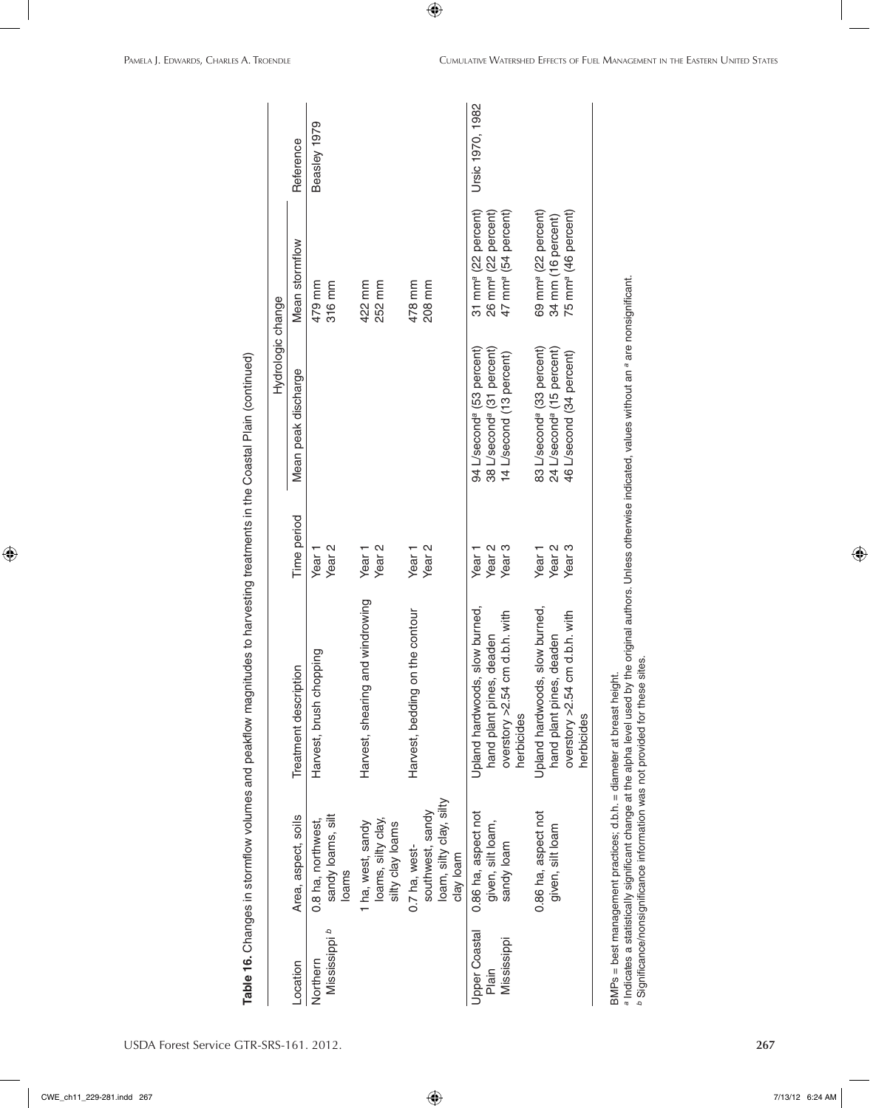|                                       |                                                                           |                                                                                                            |                                                             | Hydrologic change                                                                                          |                                                                                                       |                  |
|---------------------------------------|---------------------------------------------------------------------------|------------------------------------------------------------------------------------------------------------|-------------------------------------------------------------|------------------------------------------------------------------------------------------------------------|-------------------------------------------------------------------------------------------------------|------------------|
| Location                              | Area, aspect, soils                                                       | Treatment description                                                                                      | Time period                                                 | Mean peak discharge                                                                                        | Mean stormflow                                                                                        | Reference        |
| م<br>Mississippi<br>Northern          | sandy loams, silt<br>0.8 ha, northwest,<br>loams                          | chopping<br>Harvest, brush                                                                                 | Year <sub>2</sub><br>Year <sub>1</sub>                      |                                                                                                            | 479 mm<br>316 mm                                                                                      | Beasley 1979     |
|                                       | loams, silty clay,<br>1 ha, west, sandy<br>silty clay loams               | Harvest, shearing and windrowing                                                                           | Year <sub>2</sub><br>Year <sub>1</sub>                      |                                                                                                            | 422 mm<br>252 mm                                                                                      |                  |
|                                       | loam, silty clay, silty<br>southwest, sandy<br>0.7 ha, west-<br>clay loam | Harvest, bedding on the contour                                                                            | Year <sub>2</sub><br>Year <sub>1</sub>                      |                                                                                                            | 478 mm<br>208 mm                                                                                      |                  |
| Upper Coastal<br>Mississippi<br>Plain | 0.86 ha, aspect not<br>given, silt loam,<br>sandy loam                    | Upland hardwoods, slow burned,<br>overstory >2.54 cm d.b.h. with<br>hand plant pines, deaden<br>herbicides | Year <sub>3</sub><br>Year <sub>2</sub><br>Year <sub>1</sub> | 94 L/second <sup>a</sup> (53 percent)<br>38 L/second <sup>ª</sup> (31 percent)<br>14 L/second (13 percent) | 31 mm <sup>a</sup> (22 percent)<br>26 mm <sup>a</sup> (22 percent)<br>47 mm <sup>a</sup> (54 percent) | Ursic 1970, 1982 |
|                                       | 0.86 ha, aspect not<br>given, silt loam                                   | Upland hardwoods, slow burned,<br>overstory >2.54 cm d.b.h. with<br>hand plant pines, deaden<br>herbicides | Year <sub>3</sub><br>Year <sub>2</sub><br>Year <sub>1</sub> | 83 L/second <sup>ª</sup> (33 percent)<br>24 L/second <sup>a</sup> (15 percent)<br>46 L/second (34 percent) | 69 mm <sup>a</sup> (22 percent)<br>34 mm (16 percent)<br>75 mm <sup>a</sup> (46 percent)              |                  |

Significance/nonsignificance information was not provided for these sites.

 $\bigoplus$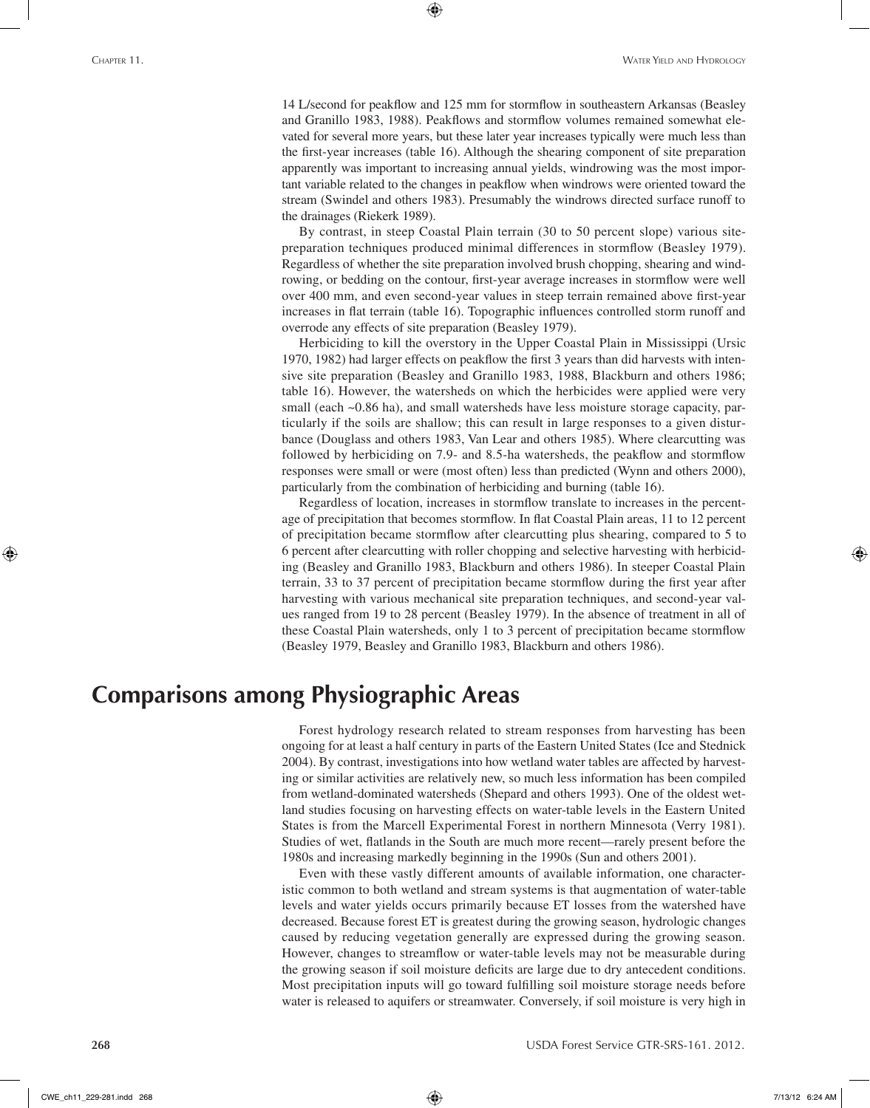14 L/second for peakflow and 125 mm for stormflow in southeastern Arkansas (Beasley and Granillo 1983, 1988). Peakflows and stormflow volumes remained somewhat elevated for several more years, but these later year increases typically were much less than the first-year increases (table 16). Although the shearing component of site preparation apparently was important to increasing annual yields, windrowing was the most important variable related to the changes in peakflow when windrows were oriented toward the stream (Swindel and others 1983). Presumably the windrows directed surface runoff to the drainages (Riekerk 1989).

⊕

By contrast, in steep Coastal Plain terrain (30 to 50 percent slope) various sitepreparation techniques produced minimal differences in stormflow (Beasley 1979). Regardless of whether the site preparation involved brush chopping, shearing and windrowing, or bedding on the contour, first-year average increases in stormflow were well over 400 mm, and even second-year values in steep terrain remained above first-year increases in flat terrain (table 16). Topographic influences controlled storm runoff and overrode any effects of site preparation (Beasley 1979).

Herbiciding to kill the overstory in the Upper Coastal Plain in Mississippi (Ursic 1970, 1982) had larger effects on peakflow the first 3 years than did harvests with intensive site preparation (Beasley and Granillo 1983, 1988, Blackburn and others 1986; table 16). However, the watersheds on which the herbicides were applied were very small (each ~0.86 ha), and small watersheds have less moisture storage capacity, particularly if the soils are shallow; this can result in large responses to a given disturbance (Douglass and others 1983, Van Lear and others 1985). Where clearcutting was followed by herbiciding on 7.9- and 8.5-ha watersheds, the peakflow and stormflow responses were small or were (most often) less than predicted (Wynn and others 2000), particularly from the combination of herbiciding and burning (table 16).

Regardless of location, increases in stormflow translate to increases in the percentage of precipitation that becomes stormflow. In flat Coastal Plain areas, 11 to 12 percent of precipitation became stormflow after clearcutting plus shearing, compared to 5 to 6 percent after clearcutting with roller chopping and selective harvesting with herbiciding (Beasley and Granillo 1983, Blackburn and others 1986). In steeper Coastal Plain terrain, 33 to 37 percent of precipitation became stormflow during the first year after harvesting with various mechanical site preparation techniques, and second-year values ranged from 19 to 28 percent (Beasley 1979). In the absence of treatment in all of these Coastal Plain watersheds, only 1 to 3 percent of precipitation became stormflow (Beasley 1979, Beasley and Granillo 1983, Blackburn and others 1986).

## **Comparisons among Physiographic Areas**

Forest hydrology research related to stream responses from harvesting has been ongoing for at least a half century in parts of the Eastern United States (Ice and Stednick 2004). By contrast, investigations into how wetland water tables are affected by harvesting or similar activities are relatively new, so much less information has been compiled from wetland-dominated watersheds (Shepard and others 1993). One of the oldest wetland studies focusing on harvesting effects on water-table levels in the Eastern United States is from the Marcell Experimental Forest in northern Minnesota (Verry 1981). Studies of wet, flatlands in the South are much more recent—rarely present before the 1980s and increasing markedly beginning in the 1990s (Sun and others 2001).

Even with these vastly different amounts of available information, one characteristic common to both wetland and stream systems is that augmentation of water-table levels and water yields occurs primarily because ET losses from the watershed have decreased. Because forest ET is greatest during the growing season, hydrologic changes caused by reducing vegetation generally are expressed during the growing season. However, changes to streamflow or water-table levels may not be measurable during the growing season if soil moisture deficits are large due to dry antecedent conditions. Most precipitation inputs will go toward fulfilling soil moisture storage needs before water is released to aquifers or streamwater. Conversely, if soil moisture is very high in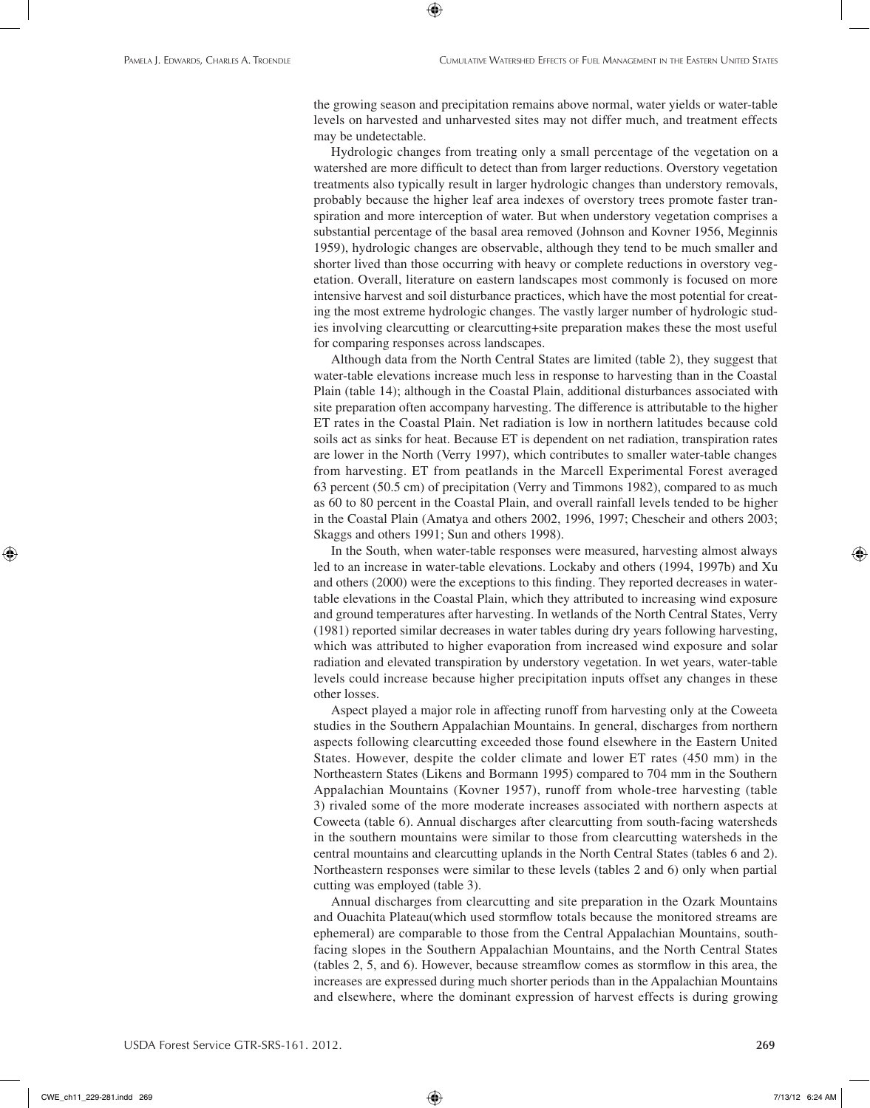the growing season and precipitation remains above normal, water yields or water-table levels on harvested and unharvested sites may not differ much, and treatment effects may be undetectable.

⊕

Hydrologic changes from treating only a small percentage of the vegetation on a watershed are more difficult to detect than from larger reductions. Overstory vegetation treatments also typically result in larger hydrologic changes than understory removals, probably because the higher leaf area indexes of overstory trees promote faster transpiration and more interception of water. But when understory vegetation comprises a substantial percentage of the basal area removed (Johnson and Kovner 1956, Meginnis 1959), hydrologic changes are observable, although they tend to be much smaller and shorter lived than those occurring with heavy or complete reductions in overstory vegetation. Overall, literature on eastern landscapes most commonly is focused on more intensive harvest and soil disturbance practices, which have the most potential for creating the most extreme hydrologic changes. The vastly larger number of hydrologic studies involving clearcutting or clearcutting+site preparation makes these the most useful for comparing responses across landscapes.

Although data from the North Central States are limited (table 2), they suggest that water-table elevations increase much less in response to harvesting than in the Coastal Plain (table 14); although in the Coastal Plain, additional disturbances associated with site preparation often accompany harvesting. The difference is attributable to the higher ET rates in the Coastal Plain. Net radiation is low in northern latitudes because cold soils act as sinks for heat. Because ET is dependent on net radiation, transpiration rates are lower in the North (Verry 1997), which contributes to smaller water-table changes from harvesting. ET from peatlands in the Marcell Experimental Forest averaged 63 percent (50.5 cm) of precipitation (Verry and Timmons 1982), compared to as much as 60 to 80 percent in the Coastal Plain, and overall rainfall levels tended to be higher in the Coastal Plain (Amatya and others 2002, 1996, 1997; Chescheir and others 2003; Skaggs and others 1991; Sun and others 1998).

In the South, when water-table responses were measured, harvesting almost always led to an increase in water-table elevations. Lockaby and others (1994, 1997b) and Xu and others (2000) were the exceptions to this finding. They reported decreases in watertable elevations in the Coastal Plain, which they attributed to increasing wind exposure and ground temperatures after harvesting. In wetlands of the North Central States, Verry (1981) reported similar decreases in water tables during dry years following harvesting, which was attributed to higher evaporation from increased wind exposure and solar radiation and elevated transpiration by understory vegetation. In wet years, water-table levels could increase because higher precipitation inputs offset any changes in these other losses.

Aspect played a major role in affecting runoff from harvesting only at the Coweeta studies in the Southern Appalachian Mountains. In general, discharges from northern aspects following clearcutting exceeded those found elsewhere in the Eastern United States. However, despite the colder climate and lower ET rates (450 mm) in the Northeastern States (Likens and Bormann 1995) compared to 704 mm in the Southern Appalachian Mountains (Kovner 1957), runoff from whole-tree harvesting (table 3) rivaled some of the more moderate increases associated with northern aspects at Coweeta (table 6). Annual discharges after clearcutting from south-facing watersheds in the southern mountains were similar to those from clearcutting watersheds in the central mountains and clearcutting uplands in the North Central States (tables 6 and 2). Northeastern responses were similar to these levels (tables 2 and 6) only when partial cutting was employed (table 3).

Annual discharges from clearcutting and site preparation in the Ozark Mountains and Ouachita Plateau(which used stormflow totals because the monitored streams are ephemeral) are comparable to those from the Central Appalachian Mountains, southfacing slopes in the Southern Appalachian Mountains, and the North Central States (tables 2, 5, and 6). However, because streamflow comes as stormflow in this area, the increases are expressed during much shorter periods than in the Appalachian Mountains and elsewhere, where the dominant expression of harvest effects is during growing

CWE\_ch11\_229-281.indd 269 7/13/12 6:24 AM

⊕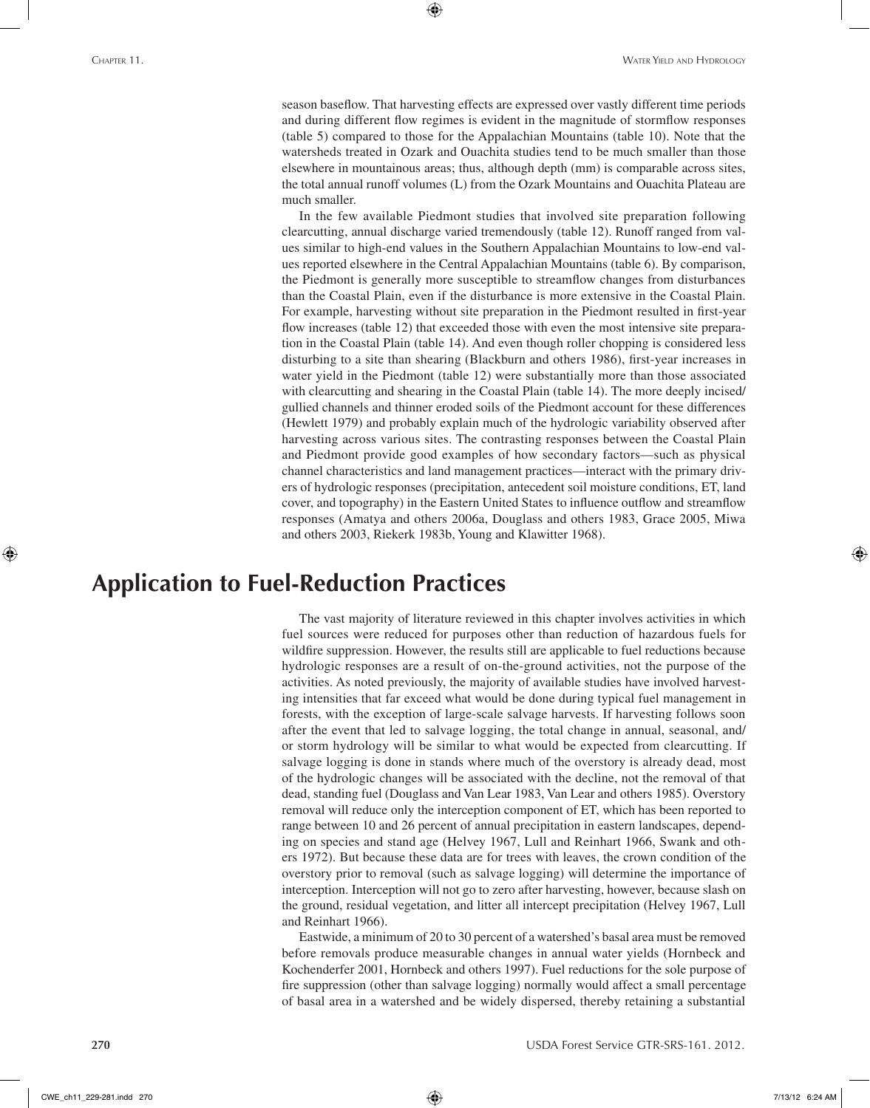season baseflow. That harvesting effects are expressed over vastly different time periods and during different flow regimes is evident in the magnitude of stormflow responses (table 5) compared to those for the Appalachian Mountains (table 10). Note that the watersheds treated in Ozark and Ouachita studies tend to be much smaller than those elsewhere in mountainous areas; thus, although depth (mm) is comparable across sites, the total annual runoff volumes (L) from the Ozark Mountains and Ouachita Plateau are much smaller.

⊕

In the few available Piedmont studies that involved site preparation following clearcutting, annual discharge varied tremendously (table 12). Runoff ranged from values similar to high-end values in the Southern Appalachian Mountains to low-end values reported elsewhere in the Central Appalachian Mountains (table 6). By comparison, the Piedmont is generally more susceptible to streamflow changes from disturbances than the Coastal Plain, even if the disturbance is more extensive in the Coastal Plain. For example, harvesting without site preparation in the Piedmont resulted in first-year flow increases (table 12) that exceeded those with even the most intensive site preparation in the Coastal Plain (table 14). And even though roller chopping is considered less disturbing to a site than shearing (Blackburn and others 1986), first-year increases in water yield in the Piedmont (table 12) were substantially more than those associated with clearcutting and shearing in the Coastal Plain (table 14). The more deeply incised/ gullied channels and thinner eroded soils of the Piedmont account for these differences (Hewlett 1979) and probably explain much of the hydrologic variability observed after harvesting across various sites. The contrasting responses between the Coastal Plain and Piedmont provide good examples of how secondary factors—such as physical channel characteristics and land management practices—interact with the primary drivers of hydrologic responses (precipitation, antecedent soil moisture conditions, ET, land cover, and topography) in the Eastern United States to influence outflow and streamflow responses (Amatya and others 2006a, Douglass and others 1983, Grace 2005, Miwa and others 2003, Riekerk 1983b, Young and Klawitter 1968).

# **Application to Fuel-Reduction Practices**

The vast majority of literature reviewed in this chapter involves activities in which fuel sources were reduced for purposes other than reduction of hazardous fuels for wildfire suppression. However, the results still are applicable to fuel reductions because hydrologic responses are a result of on-the-ground activities, not the purpose of the activities. As noted previously, the majority of available studies have involved harvesting intensities that far exceed what would be done during typical fuel management in forests, with the exception of large-scale salvage harvests. If harvesting follows soon after the event that led to salvage logging, the total change in annual, seasonal, and/ or storm hydrology will be similar to what would be expected from clearcutting. If salvage logging is done in stands where much of the overstory is already dead, most of the hydrologic changes will be associated with the decline, not the removal of that dead, standing fuel (Douglass and Van Lear 1983, Van Lear and others 1985). Overstory removal will reduce only the interception component of ET, which has been reported to range between 10 and 26 percent of annual precipitation in eastern landscapes, depending on species and stand age (Helvey 1967, Lull and Reinhart 1966, Swank and others 1972). But because these data are for trees with leaves, the crown condition of the overstory prior to removal (such as salvage logging) will determine the importance of interception. Interception will not go to zero after harvesting, however, because slash on the ground, residual vegetation, and litter all intercept precipitation (Helvey 1967, Lull and Reinhart 1966).

Eastwide, a minimum of 20 to 30 percent of a watershed's basal area must be removed before removals produce measurable changes in annual water yields (Hornbeck and Kochenderfer 2001, Hornbeck and others 1997). Fuel reductions for the sole purpose of fire suppression (other than salvage logging) normally would affect a small percentage of basal area in a watershed and be widely dispersed, thereby retaining a substantial

⊕

CWE\_ch11\_229-281.indd 270 7/13/12 6:24 AM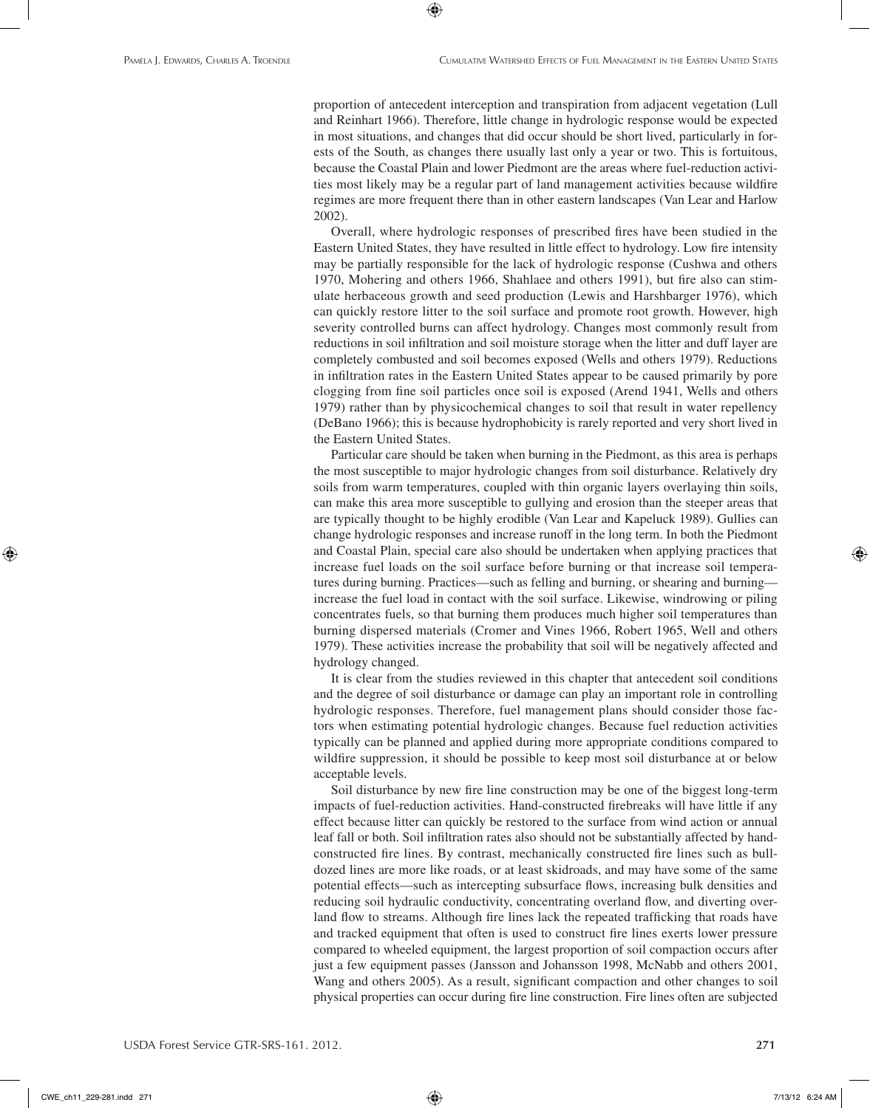proportion of antecedent interception and transpiration from adjacent vegetation (Lull and Reinhart 1966). Therefore, little change in hydrologic response would be expected in most situations, and changes that did occur should be short lived, particularly in forests of the South, as changes there usually last only a year or two. This is fortuitous, because the Coastal Plain and lower Piedmont are the areas where fuel-reduction activities most likely may be a regular part of land management activities because wildfire regimes are more frequent there than in other eastern landscapes (Van Lear and Harlow 2002).

⊕

Overall, where hydrologic responses of prescribed fires have been studied in the Eastern United States, they have resulted in little effect to hydrology. Low fire intensity may be partially responsible for the lack of hydrologic response (Cushwa and others 1970, Mohering and others 1966, Shahlaee and others 1991), but fire also can stimulate herbaceous growth and seed production (Lewis and Harshbarger 1976), which can quickly restore litter to the soil surface and promote root growth. However, high severity controlled burns can affect hydrology. Changes most commonly result from reductions in soil infiltration and soil moisture storage when the litter and duff layer are completely combusted and soil becomes exposed (Wells and others 1979). Reductions in infiltration rates in the Eastern United States appear to be caused primarily by pore clogging from fine soil particles once soil is exposed (Arend 1941, Wells and others 1979) rather than by physicochemical changes to soil that result in water repellency (DeBano 1966); this is because hydrophobicity is rarely reported and very short lived in the Eastern United States.

Particular care should be taken when burning in the Piedmont, as this area is perhaps the most susceptible to major hydrologic changes from soil disturbance. Relatively dry soils from warm temperatures, coupled with thin organic layers overlaying thin soils, can make this area more susceptible to gullying and erosion than the steeper areas that are typically thought to be highly erodible (Van Lear and Kapeluck 1989). Gullies can change hydrologic responses and increase runoff in the long term. In both the Piedmont and Coastal Plain, special care also should be undertaken when applying practices that increase fuel loads on the soil surface before burning or that increase soil temperatures during burning. Practices—such as felling and burning, or shearing and burning increase the fuel load in contact with the soil surface. Likewise, windrowing or piling concentrates fuels, so that burning them produces much higher soil temperatures than burning dispersed materials (Cromer and Vines 1966, Robert 1965, Well and others 1979). These activities increase the probability that soil will be negatively affected and hydrology changed.

It is clear from the studies reviewed in this chapter that antecedent soil conditions and the degree of soil disturbance or damage can play an important role in controlling hydrologic responses. Therefore, fuel management plans should consider those factors when estimating potential hydrologic changes. Because fuel reduction activities typically can be planned and applied during more appropriate conditions compared to wildfire suppression, it should be possible to keep most soil disturbance at or below acceptable levels.

Soil disturbance by new fire line construction may be one of the biggest long-term impacts of fuel-reduction activities. Hand-constructed firebreaks will have little if any effect because litter can quickly be restored to the surface from wind action or annual leaf fall or both. Soil infiltration rates also should not be substantially affected by handconstructed fire lines. By contrast, mechanically constructed fire lines such as bulldozed lines are more like roads, or at least skidroads, and may have some of the same potential effects—such as intercepting subsurface flows, increasing bulk densities and reducing soil hydraulic conductivity, concentrating overland flow, and diverting overland flow to streams. Although fire lines lack the repeated trafficking that roads have and tracked equipment that often is used to construct fire lines exerts lower pressure compared to wheeled equipment, the largest proportion of soil compaction occurs after just a few equipment passes (Jansson and Johansson 1998, McNabb and others 2001, Wang and others 2005). As a result, significant compaction and other changes to soil physical properties can occur during fire line construction. Fire lines often are subjected

CWE\_ch11\_229-281.indd 271 7/13/12 6:24 AM

⊕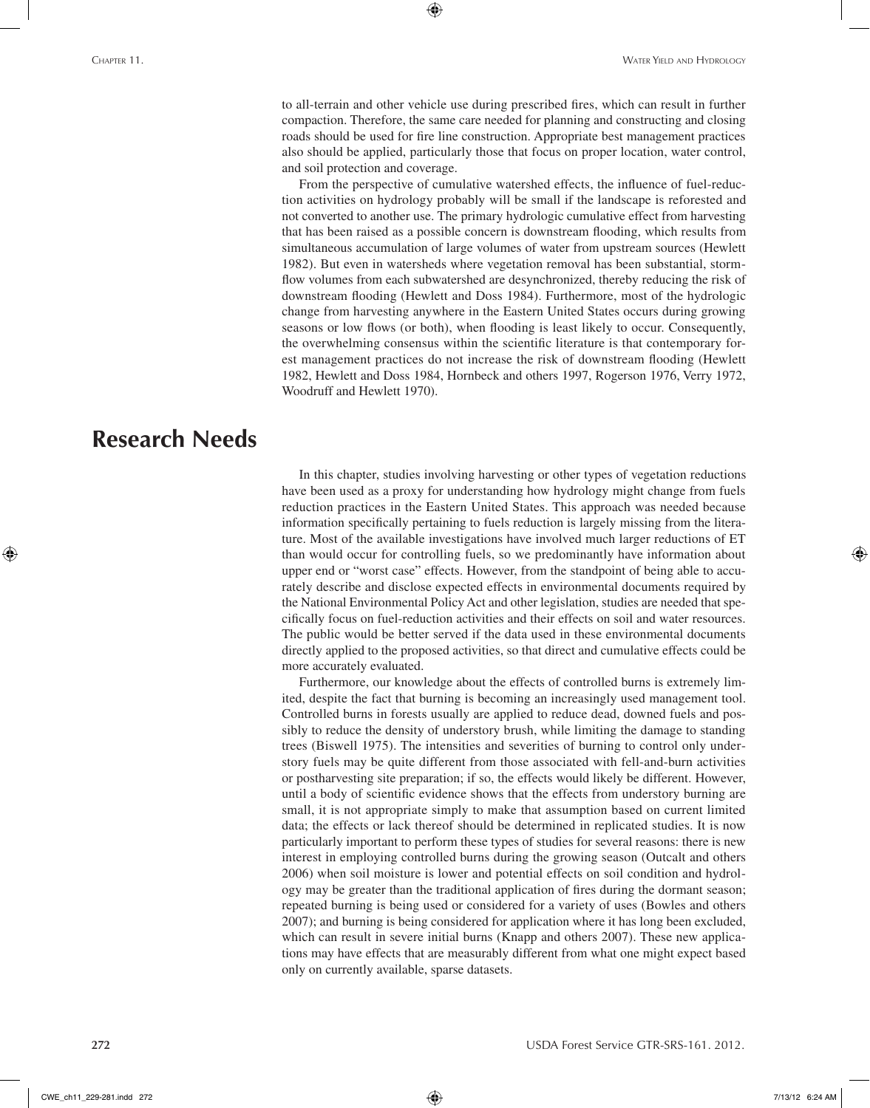to all-terrain and other vehicle use during prescribed fires, which can result in further compaction. Therefore, the same care needed for planning and constructing and closing roads should be used for fire line construction. Appropriate best management practices also should be applied, particularly those that focus on proper location, water control, and soil protection and coverage.

⊕

From the perspective of cumulative watershed effects, the influence of fuel-reduction activities on hydrology probably will be small if the landscape is reforested and not converted to another use. The primary hydrologic cumulative effect from harvesting that has been raised as a possible concern is downstream flooding, which results from simultaneous accumulation of large volumes of water from upstream sources (Hewlett 1982). But even in watersheds where vegetation removal has been substantial, stormflow volumes from each subwatershed are desynchronized, thereby reducing the risk of downstream flooding (Hewlett and Doss 1984). Furthermore, most of the hydrologic change from harvesting anywhere in the Eastern United States occurs during growing seasons or low flows (or both), when flooding is least likely to occur. Consequently, the overwhelming consensus within the scientific literature is that contemporary forest management practices do not increase the risk of downstream flooding (Hewlett 1982, Hewlett and Doss 1984, Hornbeck and others 1997, Rogerson 1976, Verry 1972, Woodruff and Hewlett 1970).

## **Research Needs**

⊕

In this chapter, studies involving harvesting or other types of vegetation reductions have been used as a proxy for understanding how hydrology might change from fuels reduction practices in the Eastern United States. This approach was needed because information specifically pertaining to fuels reduction is largely missing from the literature. Most of the available investigations have involved much larger reductions of ET than would occur for controlling fuels, so we predominantly have information about upper end or "worst case" effects. However, from the standpoint of being able to accurately describe and disclose expected effects in environmental documents required by the National Environmental Policy Act and other legislation, studies are needed that specifically focus on fuel-reduction activities and their effects on soil and water resources. The public would be better served if the data used in these environmental documents directly applied to the proposed activities, so that direct and cumulative effects could be more accurately evaluated.

Furthermore, our knowledge about the effects of controlled burns is extremely limited, despite the fact that burning is becoming an increasingly used management tool. Controlled burns in forests usually are applied to reduce dead, downed fuels and possibly to reduce the density of understory brush, while limiting the damage to standing trees (Biswell 1975). The intensities and severities of burning to control only understory fuels may be quite different from those associated with fell-and-burn activities or postharvesting site preparation; if so, the effects would likely be different. However, until a body of scientific evidence shows that the effects from understory burning are small, it is not appropriate simply to make that assumption based on current limited data; the effects or lack thereof should be determined in replicated studies. It is now particularly important to perform these types of studies for several reasons: there is new interest in employing controlled burns during the growing season (Outcalt and others 2006) when soil moisture is lower and potential effects on soil condition and hydrology may be greater than the traditional application of fires during the dormant season; repeated burning is being used or considered for a variety of uses (Bowles and others 2007); and burning is being considered for application where it has long been excluded, which can result in severe initial burns (Knapp and others 2007). These new applications may have effects that are measurably different from what one might expect based only on currently available, sparse datasets.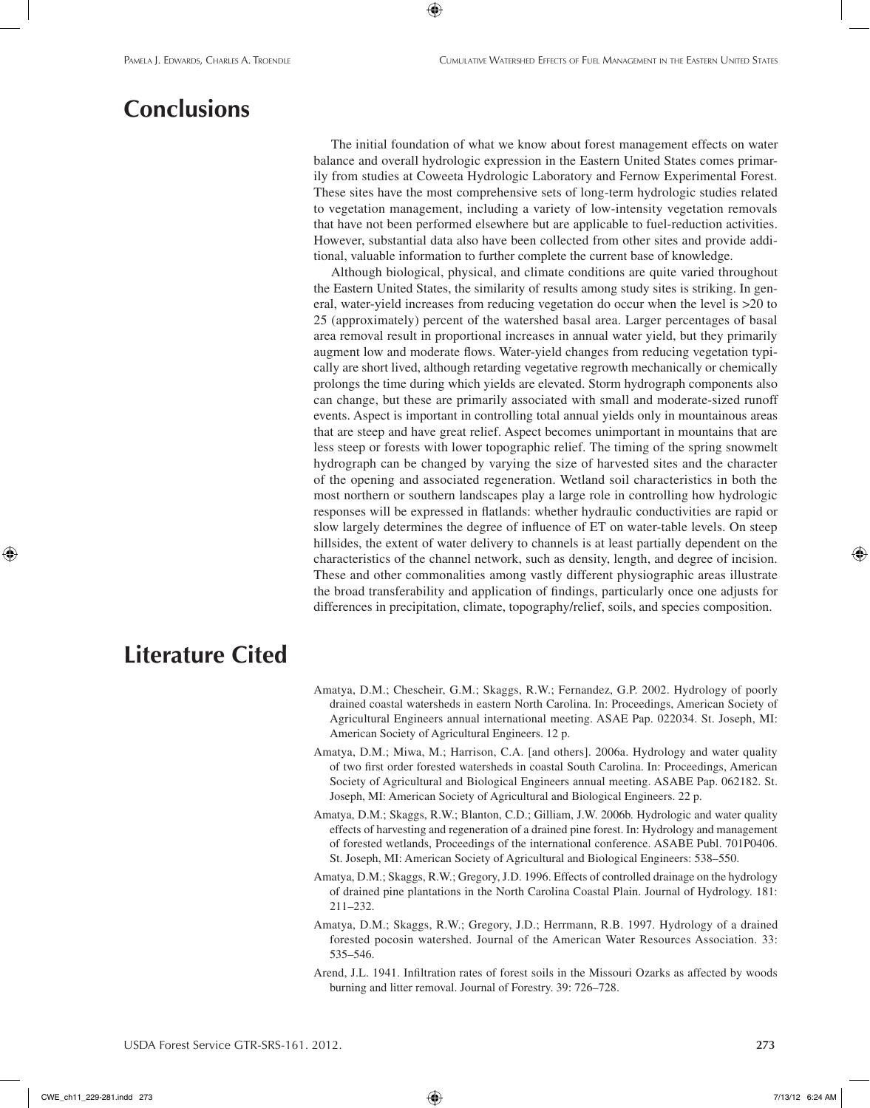# **Conclusions**

The initial foundation of what we know about forest management effects on water balance and overall hydrologic expression in the Eastern United States comes primarily from studies at Coweeta Hydrologic Laboratory and Fernow Experimental Forest. These sites have the most comprehensive sets of long-term hydrologic studies related to vegetation management, including a variety of low-intensity vegetation removals that have not been performed elsewhere but are applicable to fuel-reduction activities. However, substantial data also have been collected from other sites and provide additional, valuable information to further complete the current base of knowledge.

⊕

Although biological, physical, and climate conditions are quite varied throughout the Eastern United States, the similarity of results among study sites is striking. In general, water-yield increases from reducing vegetation do occur when the level is >20 to 25 (approximately) percent of the watershed basal area. Larger percentages of basal area removal result in proportional increases in annual water yield, but they primarily augment low and moderate flows. Water-yield changes from reducing vegetation typically are short lived, although retarding vegetative regrowth mechanically or chemically prolongs the time during which yields are elevated. Storm hydrograph components also can change, but these are primarily associated with small and moderate-sized runoff events. Aspect is important in controlling total annual yields only in mountainous areas that are steep and have great relief. Aspect becomes unimportant in mountains that are less steep or forests with lower topographic relief. The timing of the spring snowmelt hydrograph can be changed by varying the size of harvested sites and the character of the opening and associated regeneration. Wetland soil characteristics in both the most northern or southern landscapes play a large role in controlling how hydrologic responses will be expressed in flatlands: whether hydraulic conductivities are rapid or slow largely determines the degree of influence of ET on water-table levels. On steep hillsides, the extent of water delivery to channels is at least partially dependent on the characteristics of the channel network, such as density, length, and degree of incision. These and other commonalities among vastly different physiographic areas illustrate the broad transferability and application of findings, particularly once one adjusts for differences in precipitation, climate, topography/relief, soils, and species composition.

# **Literature Cited**

- Amatya, D.M.; Chescheir, G.M.; Skaggs, R.W.; Fernandez, G.P. 2002. Hydrology of poorly drained coastal watersheds in eastern North Carolina. In: Proceedings, American Society of Agricultural Engineers annual international meeting. ASAE Pap. 022034. St. Joseph, MI: American Society of Agricultural Engineers. 12 p.
- Amatya, D.M.; Miwa, M.; Harrison, C.A. [and others]. 2006a. Hydrology and water quality of two first order forested watersheds in coastal South Carolina. In: Proceedings, American Society of Agricultural and Biological Engineers annual meeting. ASABE Pap. 062182. St. Joseph, MI: American Society of Agricultural and Biological Engineers. 22 p.
- Amatya, D.M.; Skaggs, R.W.; Blanton, C.D.; Gilliam, J.W. 2006b. Hydrologic and water quality effects of harvesting and regeneration of a drained pine forest. In: Hydrology and management of forested wetlands, Proceedings of the international conference. ASABE Publ. 701P0406. St. Joseph, MI: American Society of Agricultural and Biological Engineers: 538–550.
- Amatya, D.M.; Skaggs, R.W.; Gregory, J.D. 1996. Effects of controlled drainage on the hydrology of drained pine plantations in the North Carolina Coastal Plain. Journal of Hydrology. 181: 211–232.
- Amatya, D.M.; Skaggs, R.W.; Gregory, J.D.; Herrmann, R.B. 1997. Hydrology of a drained forested pocosin watershed. Journal of the American Water Resources Association. 33: 535–546.
- Arend, J.L. 1941. Infiltration rates of forest soils in the Missouri Ozarks as affected by woods burning and litter removal. Journal of Forestry. 39: 726–728.

CWE\_ch11\_229-281.indd 273 7/13/12 6:24 AM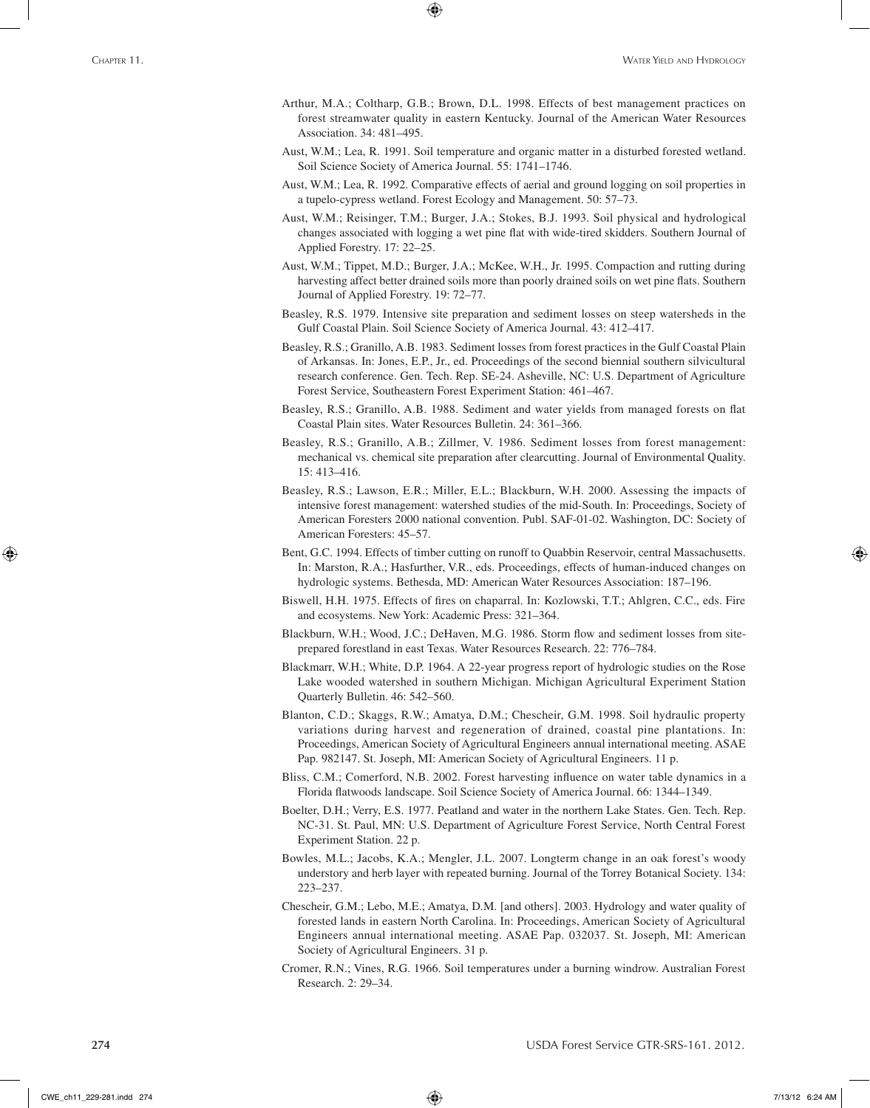Arthur, M.A.; Coltharp, G.B.; Brown, D.L. 1998. Effects of best management practices on forest streamwater quality in eastern Kentucky. Journal of the American Water Resources Association. 34: 481–495.

⊕

- Aust, W.M.; Lea, R. 1991. Soil temperature and organic matter in a disturbed forested wetland. Soil Science Society of America Journal. 55: 1741–1746.
- Aust, W.M.; Lea, R. 1992. Comparative effects of aerial and ground logging on soil properties in a tupelo-cypress wetland. Forest Ecology and Management. 50: 57–73.
- Aust, W.M.; Reisinger, T.M.; Burger, J.A.; Stokes, B.J. 1993. Soil physical and hydrological changes associated with logging a wet pine flat with wide-tired skidders. Southern Journal of Applied Forestry. 17: 22–25.
- Aust, W.M.; Tippet, M.D.; Burger, J.A.; McKee, W.H., Jr. 1995. Compaction and rutting during harvesting affect better drained soils more than poorly drained soils on wet pine flats. Southern Journal of Applied Forestry. 19: 72–77.
- Beasley, R.S. 1979. Intensive site preparation and sediment losses on steep watersheds in the Gulf Coastal Plain. Soil Science Society of America Journal. 43: 412–417.
- Beasley, R.S.; Granillo, A.B. 1983. Sediment losses from forest practices in the Gulf Coastal Plain of Arkansas. In: Jones, E.P., Jr., ed. Proceedings of the second biennial southern silvicultural research conference. Gen. Tech. Rep. SE-24. Asheville, NC: U.S. Department of Agriculture Forest Service, Southeastern Forest Experiment Station: 461–467.
- Beasley, R.S.; Granillo, A.B. 1988. Sediment and water yields from managed forests on flat Coastal Plain sites. Water Resources Bulletin. 24: 361–366.
- Beasley, R.S.; Granillo, A.B.; Zillmer, V. 1986. Sediment losses from forest management: mechanical vs. chemical site preparation after clearcutting. Journal of Environmental Quality. 15: 413–416.
- Beasley, R.S.; Lawson, E.R.; Miller, E.L.; Blackburn, W.H. 2000. Assessing the impacts of intensive forest management: watershed studies of the mid-South. In: Proceedings, Society of American Foresters 2000 national convention. Publ. SAF-01-02. Washington, DC: Society of American Foresters: 45–57.
- Bent, G.C. 1994. Effects of timber cutting on runoff to Quabbin Reservoir, central Massachusetts. In: Marston, R.A.; Hasfurther, V.R., eds. Proceedings, effects of human-induced changes on hydrologic systems. Bethesda, MD: American Water Resources Association: 187–196.
- Biswell, H.H. 1975. Effects of fires on chaparral. In: Kozlowski, T.T.; Ahlgren, C.C., eds. Fire and ecosystems. New York: Academic Press: 321–364.
- Blackburn, W.H.; Wood, J.C.; DeHaven, M.G. 1986. Storm flow and sediment losses from siteprepared forestland in east Texas. Water Resources Research. 22: 776–784.
- Blackmarr, W.H.; White, D.P. 1964. A 22-year progress report of hydrologic studies on the Rose Lake wooded watershed in southern Michigan. Michigan Agricultural Experiment Station Quarterly Bulletin. 46: 542–560.
- Blanton, C.D.; Skaggs, R.W.; Amatya, D.M.; Chescheir, G.M. 1998. Soil hydraulic property variations during harvest and regeneration of drained, coastal pine plantations. In: Proceedings, American Society of Agricultural Engineers annual international meeting. ASAE Pap. 982147. St. Joseph, MI: American Society of Agricultural Engineers. 11 p.
- Bliss, C.M.; Comerford, N.B. 2002. Forest harvesting influence on water table dynamics in a Florida flatwoods landscape. Soil Science Society of America Journal. 66: 1344–1349.
- Boelter, D.H.; Verry, E.S. 1977. Peatland and water in the northern Lake States. Gen. Tech. Rep. NC-31. St. Paul, MN: U.S. Department of Agriculture Forest Service, North Central Forest Experiment Station. 22 p.
- Bowles, M.L.; Jacobs, K.A.; Mengler, J.L. 2007. Longterm change in an oak forest's woody understory and herb layer with repeated burning. Journal of the Torrey Botanical Society. 134: 223–237.
- Chescheir, G.M.; Lebo, M.E.; Amatya, D.M. [and others]. 2003. Hydrology and water quality of forested lands in eastern North Carolina. In: Proceedings, American Society of Agricultural Engineers annual international meeting. ASAE Pap. 032037. St. Joseph, MI: American Society of Agricultural Engineers. 31 p.
- Cromer, R.N.; Vines, R.G. 1966. Soil temperatures under a burning windrow. Australian Forest Research. 2: 29–34.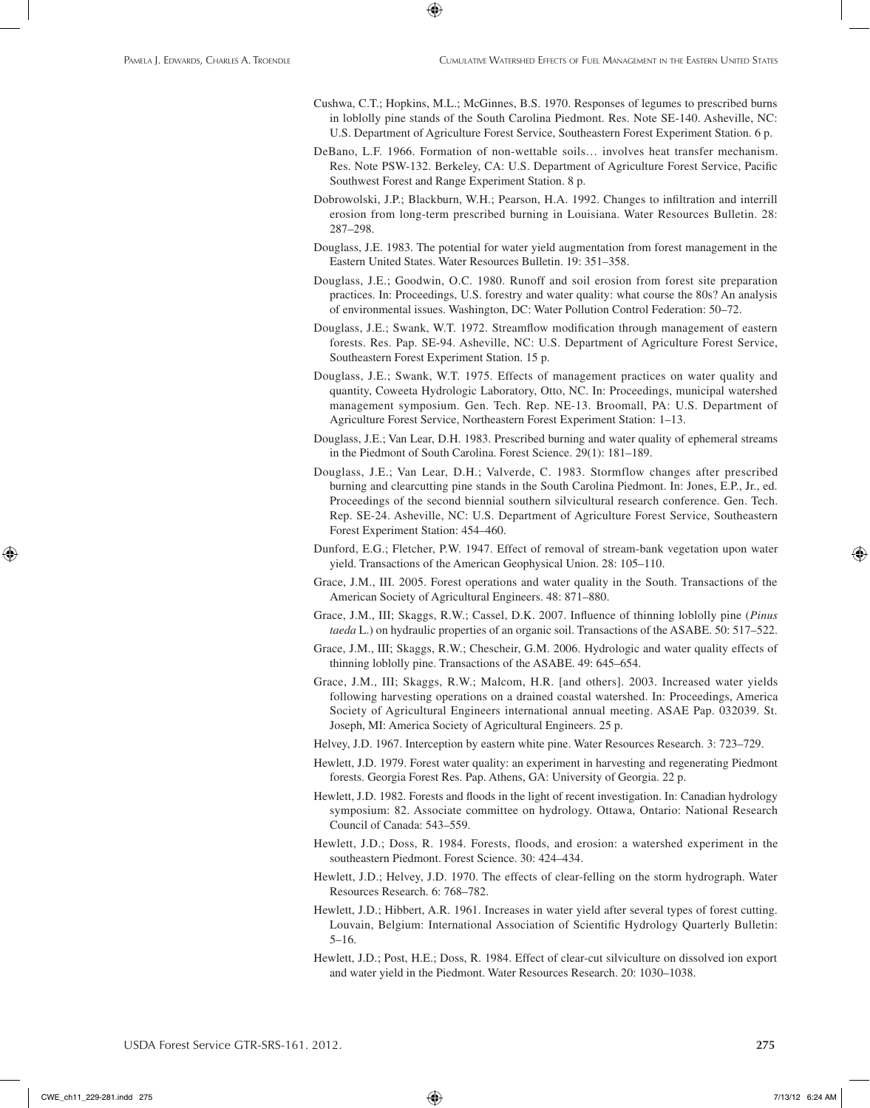Cushwa, C.T.; Hopkins, M.L.; McGinnes, B.S. 1970. Responses of legumes to prescribed burns in loblolly pine stands of the South Carolina Piedmont. Res. Note SE-140. Asheville, NC: U.S. Department of Agriculture Forest Service, Southeastern Forest Experiment Station. 6 p.

⊕

- DeBano, L.F. 1966. Formation of non-wettable soils… involves heat transfer mechanism. Res. Note PSW-132. Berkeley, CA: U.S. Department of Agriculture Forest Service, Pacific Southwest Forest and Range Experiment Station. 8 p.
- Dobrowolski, J.P.; Blackburn, W.H.; Pearson, H.A. 1992. Changes to infiltration and interrill erosion from long-term prescribed burning in Louisiana. Water Resources Bulletin. 28: 287–298.
- Douglass, J.E. 1983. The potential for water yield augmentation from forest management in the Eastern United States. Water Resources Bulletin. 19: 351–358.
- Douglass, J.E.; Goodwin, O.C. 1980. Runoff and soil erosion from forest site preparation practices. In: Proceedings, U.S. forestry and water quality: what course the 80s? An analysis of environmental issues. Washington, DC: Water Pollution Control Federation: 50–72.
- Douglass, J.E.; Swank, W.T. 1972. Streamflow modification through management of eastern forests. Res. Pap. SE-94. Asheville, NC: U.S. Department of Agriculture Forest Service, Southeastern Forest Experiment Station. 15 p.
- Douglass, J.E.; Swank, W.T. 1975. Effects of management practices on water quality and quantity, Coweeta Hydrologic Laboratory, Otto, NC. In: Proceedings, municipal watershed management symposium. Gen. Tech. Rep. NE-13. Broomall, PA: U.S. Department of Agriculture Forest Service, Northeastern Forest Experiment Station: 1–13.
- Douglass, J.E.; Van Lear, D.H. 1983. Prescribed burning and water quality of ephemeral streams in the Piedmont of South Carolina. Forest Science. 29(1): 181–189.
- Douglass, J.E.; Van Lear, D.H.; Valverde, C. 1983. Stormflow changes after prescribed burning and clearcutting pine stands in the South Carolina Piedmont. In: Jones, E.P., Jr., ed. Proceedings of the second biennial southern silvicultural research conference. Gen. Tech. Rep. SE-24. Asheville, NC: U.S. Department of Agriculture Forest Service, Southeastern Forest Experiment Station: 454–460.
- Dunford, E.G.; Fletcher, P.W. 1947. Effect of removal of stream-bank vegetation upon water yield. Transactions of the American Geophysical Union. 28: 105–110.
- Grace, J.M., III. 2005. Forest operations and water quality in the South. Transactions of the American Society of Agricultural Engineers. 48: 871–880.
- Grace, J.M., III; Skaggs, R.W.; Cassel, D.K. 2007. Influence of thinning loblolly pine (*Pinus taeda* L.) on hydraulic properties of an organic soil. Transactions of the ASABE. 50: 517–522.
- Grace, J.M., III; Skaggs, R.W.; Chescheir, G.M. 2006. Hydrologic and water quality effects of thinning loblolly pine. Transactions of the ASABE. 49: 645–654.
- Grace, J.M., III; Skaggs, R.W.; Malcom, H.R. [and others]. 2003. Increased water yields following harvesting operations on a drained coastal watershed. In: Proceedings, America Society of Agricultural Engineers international annual meeting. ASAE Pap. 032039. St. Joseph, MI: America Society of Agricultural Engineers. 25 p.
- Helvey, J.D. 1967. Interception by eastern white pine. Water Resources Research. 3: 723–729.
- Hewlett, J.D. 1979. Forest water quality: an experiment in harvesting and regenerating Piedmont forests. Georgia Forest Res. Pap. Athens, GA: University of Georgia. 22 p.
- Hewlett, J.D. 1982. Forests and floods in the light of recent investigation. In: Canadian hydrology symposium: 82. Associate committee on hydrology. Ottawa, Ontario: National Research Council of Canada: 543–559.
- Hewlett, J.D.; Doss, R. 1984. Forests, floods, and erosion: a watershed experiment in the southeastern Piedmont. Forest Science. 30: 424–434.
- Hewlett, J.D.; Helvey, J.D. 1970. The effects of clear-felling on the storm hydrograph. Water Resources Research. 6: 768–782.
- Hewlett, J.D.; Hibbert, A.R. 1961. Increases in water yield after several types of forest cutting. Louvain, Belgium: International Association of Scientific Hydrology Quarterly Bulletin: 5–16.
- Hewlett, J.D.; Post, H.E.; Doss, R. 1984. Effect of clear-cut silviculture on dissolved ion export and water yield in the Piedmont. Water Resources Research. 20: 1030–1038.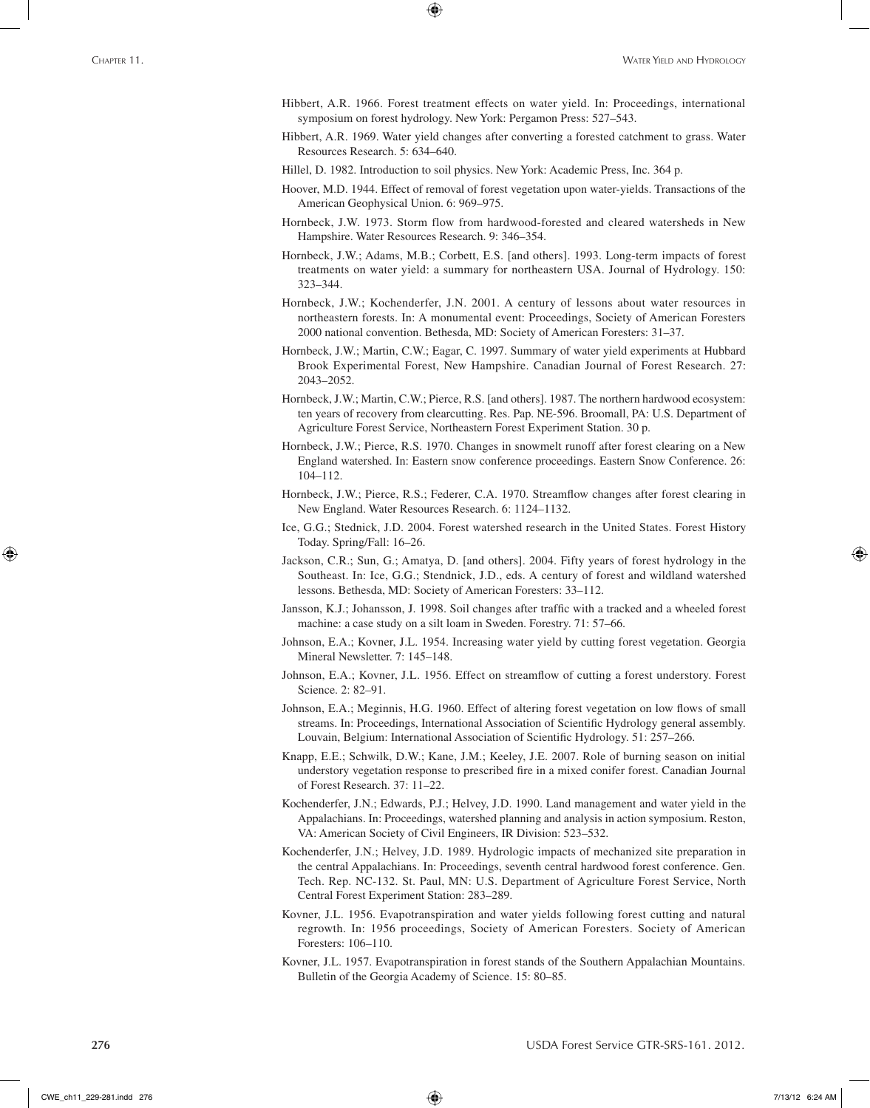- Hibbert, A.R. 1966. Forest treatment effects on water yield. In: Proceedings, international symposium on forest hydrology. New York: Pergamon Press: 527–543.
- Hibbert, A.R. 1969. Water yield changes after converting a forested catchment to grass. Water Resources Research. 5: 634–640.

Hillel, D. 1982. Introduction to soil physics. New York: Academic Press, Inc. 364 p.

⊕

- Hoover, M.D. 1944. Effect of removal of forest vegetation upon water-yields. Transactions of the American Geophysical Union. 6: 969–975.
- Hornbeck, J.W. 1973. Storm flow from hardwood-forested and cleared watersheds in New Hampshire. Water Resources Research. 9: 346–354.
- Hornbeck, J.W.; Adams, M.B.; Corbett, E.S. [and others]. 1993. Long-term impacts of forest treatments on water yield: a summary for northeastern USA. Journal of Hydrology. 150: 323–344.
- Hornbeck, J.W.; Kochenderfer, J.N. 2001. A century of lessons about water resources in northeastern forests. In: A monumental event: Proceedings, Society of American Foresters 2000 national convention. Bethesda, MD: Society of American Foresters: 31–37.
- Hornbeck, J.W.; Martin, C.W.; Eagar, C. 1997. Summary of water yield experiments at Hubbard Brook Experimental Forest, New Hampshire. Canadian Journal of Forest Research. 27: 2043–2052.
- Hornbeck, J.W.; Martin, C.W.; Pierce, R.S. [and others]. 1987. The northern hardwood ecosystem: ten years of recovery from clearcutting. Res. Pap. NE-596. Broomall, PA: U.S. Department of Agriculture Forest Service, Northeastern Forest Experiment Station. 30 p.
- Hornbeck, J.W.; Pierce, R.S. 1970. Changes in snowmelt runoff after forest clearing on a New England watershed. In: Eastern snow conference proceedings. Eastern Snow Conference. 26: 104–112.
- Hornbeck, J.W.; Pierce, R.S.; Federer, C.A. 1970. Streamflow changes after forest clearing in New England. Water Resources Research. 6: 1124–1132.
- Ice, G.G.; Stednick, J.D. 2004. Forest watershed research in the United States. Forest History Today. Spring/Fall: 16–26.
- Jackson, C.R.; Sun, G.; Amatya, D. [and others]. 2004. Fifty years of forest hydrology in the Southeast. In: Ice, G.G.; Stendnick, J.D., eds. A century of forest and wildland watershed lessons. Bethesda, MD: Society of American Foresters: 33–112.
- Jansson, K.J.; Johansson, J. 1998. Soil changes after traffic with a tracked and a wheeled forest machine: a case study on a silt loam in Sweden. Forestry. 71: 57–66.
- Johnson, E.A.; Kovner, J.L. 1954. Increasing water yield by cutting forest vegetation. Georgia Mineral Newsletter. 7: 145–148.
- Johnson, E.A.; Kovner, J.L. 1956. Effect on streamflow of cutting a forest understory. Forest Science. 2: 82–91.
- Johnson, E.A.; Meginnis, H.G. 1960. Effect of altering forest vegetation on low flows of small streams. In: Proceedings, International Association of Scientific Hydrology general assembly. Louvain, Belgium: International Association of Scientific Hydrology. 51: 257–266.
- Knapp, E.E.; Schwilk, D.W.; Kane, J.M.; Keeley, J.E. 2007. Role of burning season on initial understory vegetation response to prescribed fire in a mixed conifer forest. Canadian Journal of Forest Research. 37: 11–22.
- Kochenderfer, J.N.; Edwards, P.J.; Helvey, J.D. 1990. Land management and water yield in the Appalachians. In: Proceedings, watershed planning and analysis in action symposium. Reston, VA: American Society of Civil Engineers, IR Division: 523–532.
- Kochenderfer, J.N.; Helvey, J.D. 1989. Hydrologic impacts of mechanized site preparation in the central Appalachians. In: Proceedings, seventh central hardwood forest conference. Gen. Tech. Rep. NC-132. St. Paul, MN: U.S. Department of Agriculture Forest Service, North Central Forest Experiment Station: 283–289.
- Kovner, J.L. 1956. Evapotranspiration and water yields following forest cutting and natural regrowth. In: 1956 proceedings, Society of American Foresters. Society of American Foresters: 106–110.
- Kovner, J.L. 1957. Evapotranspiration in forest stands of the Southern Appalachian Mountains. Bulletin of the Georgia Academy of Science. 15: 80–85.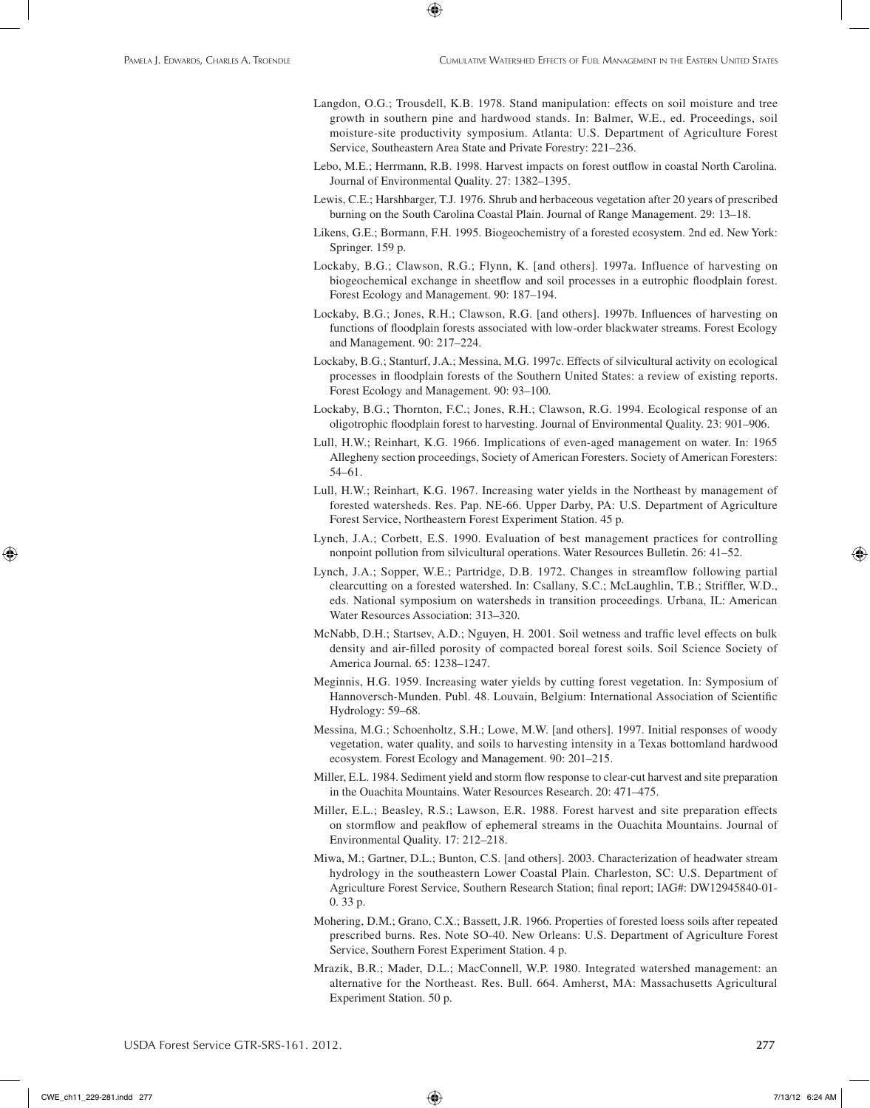Langdon, O.G.; Trousdell, K.B. 1978. Stand manipulation: effects on soil moisture and tree growth in southern pine and hardwood stands. In: Balmer, W.E., ed. Proceedings, soil moisture-site productivity symposium. Atlanta: U.S. Department of Agriculture Forest Service, Southeastern Area State and Private Forestry: 221–236.

⊕

- Lebo, M.E.; Herrmann, R.B. 1998. Harvest impacts on forest outflow in coastal North Carolina. Journal of Environmental Quality. 27: 1382–1395.
- Lewis, C.E.; Harshbarger, T.J. 1976. Shrub and herbaceous vegetation after 20 years of prescribed burning on the South Carolina Coastal Plain. Journal of Range Management. 29: 13–18.
- Likens, G.E.; Bormann, F.H. 1995. Biogeochemistry of a forested ecosystem. 2nd ed. New York: Springer. 159 p.
- Lockaby, B.G.; Clawson, R.G.; Flynn, K. [and others]. 1997a. Influence of harvesting on biogeochemical exchange in sheetflow and soil processes in a eutrophic floodplain forest. Forest Ecology and Management. 90: 187–194.
- Lockaby, B.G.; Jones, R.H.; Clawson, R.G. [and others]. 1997b. Influences of harvesting on functions of floodplain forests associated with low-order blackwater streams. Forest Ecology and Management. 90: 217–224.
- Lockaby, B.G.; Stanturf, J.A.; Messina, M.G. 1997c. Effects of silvicultural activity on ecological processes in floodplain forests of the Southern United States: a review of existing reports. Forest Ecology and Management. 90: 93–100.
- Lockaby, B.G.; Thornton, F.C.; Jones, R.H.; Clawson, R.G. 1994. Ecological response of an oligotrophic floodplain forest to harvesting. Journal of Environmental Quality. 23: 901–906.
- Lull, H.W.; Reinhart, K.G. 1966. Implications of even-aged management on water. In: 1965 Allegheny section proceedings, Society of American Foresters. Society of American Foresters: 54–61.
- Lull, H.W.; Reinhart, K.G. 1967. Increasing water yields in the Northeast by management of forested watersheds. Res. Pap. NE-66. Upper Darby, PA: U.S. Department of Agriculture Forest Service, Northeastern Forest Experiment Station. 45 p.
- Lynch, J.A.; Corbett, E.S. 1990. Evaluation of best management practices for controlling nonpoint pollution from silvicultural operations. Water Resources Bulletin. 26: 41–52.
- Lynch, J.A.; Sopper, W.E.; Partridge, D.B. 1972. Changes in streamflow following partial clearcutting on a forested watershed. In: Csallany, S.C.; McLaughlin, T.B.; Striffler, W.D., eds. National symposium on watersheds in transition proceedings. Urbana, IL: American Water Resources Association: 313–320.
- McNabb, D.H.; Startsev, A.D.; Nguyen, H. 2001. Soil wetness and traffic level effects on bulk density and air-filled porosity of compacted boreal forest soils. Soil Science Society of America Journal. 65: 1238–1247.
- Meginnis, H.G. 1959. Increasing water yields by cutting forest vegetation. In: Symposium of Hannoversch-Munden. Publ. 48. Louvain, Belgium: International Association of Scientific Hydrology: 59–68.
- Messina, M.G.; Schoenholtz, S.H.; Lowe, M.W. [and others]. 1997. Initial responses of woody vegetation, water quality, and soils to harvesting intensity in a Texas bottomland hardwood ecosystem. Forest Ecology and Management. 90: 201–215.
- Miller, E.L. 1984. Sediment yield and storm flow response to clear-cut harvest and site preparation in the Ouachita Mountains. Water Resources Research. 20: 471–475.
- Miller, E.L.; Beasley, R.S.; Lawson, E.R. 1988. Forest harvest and site preparation effects on stormflow and peakflow of ephemeral streams in the Ouachita Mountains. Journal of Environmental Quality. 17: 212–218.
- Miwa, M.; Gartner, D.L.; Bunton, C.S. [and others]. 2003. Characterization of headwater stream hydrology in the southeastern Lower Coastal Plain. Charleston, SC: U.S. Department of Agriculture Forest Service, Southern Research Station; final report; IAG#: DW12945840-01- 0. 33 p.
- Mohering, D.M.; Grano, C.X.; Bassett, J.R. 1966. Properties of forested loess soils after repeated prescribed burns. Res. Note SO-40. New Orleans: U.S. Department of Agriculture Forest Service, Southern Forest Experiment Station. 4 p.
- Mrazik, B.R.; Mader, D.L.; MacConnell, W.P. 1980. Integrated watershed management: an alternative for the Northeast. Res. Bull. 664. Amherst, MA: Massachusetts Agricultural Experiment Station. 50 p.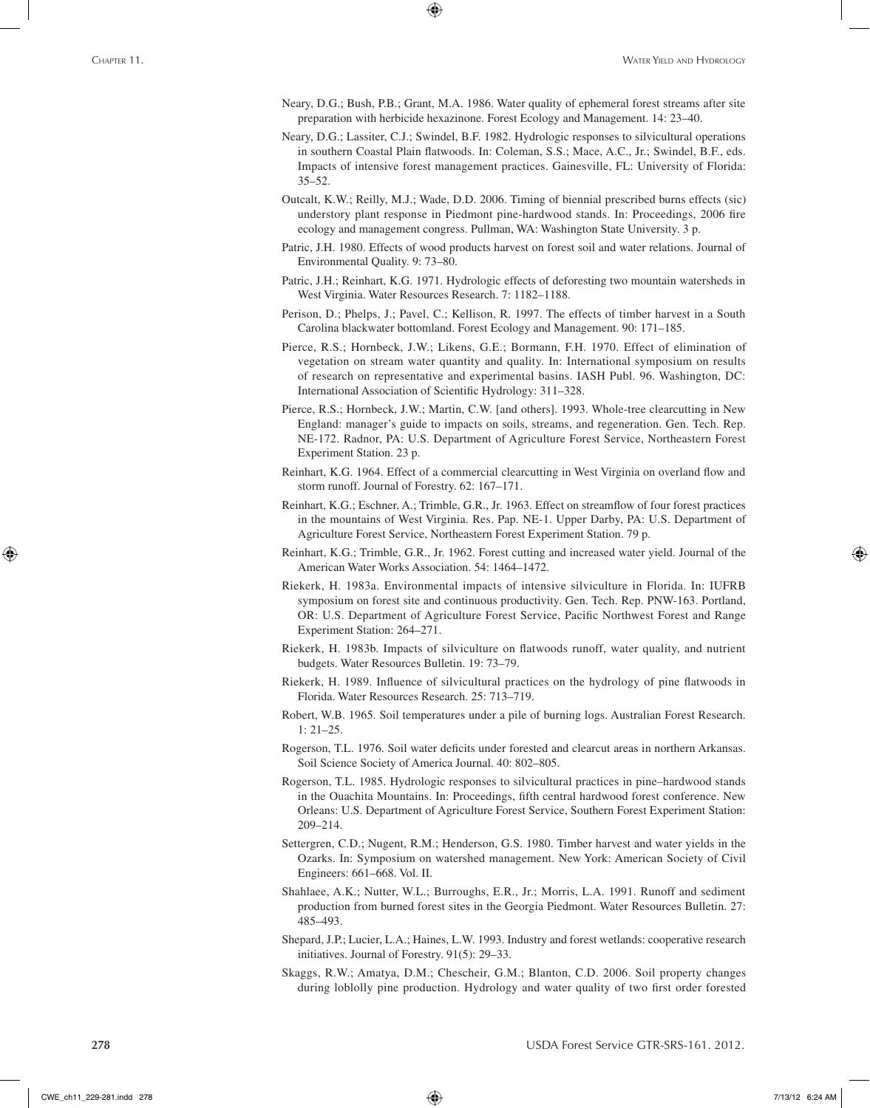Neary, D.G.; Bush, P.B.; Grant, M.A. 1986. Water quality of ephemeral forest streams after site preparation with herbicide hexazinone. Forest Ecology and Management. 14: 23–40.

⊕

- Neary, D.G.; Lassiter, C.J.; Swindel, B.F. 1982. Hydrologic responses to silvicultural operations in southern Coastal Plain flatwoods. In: Coleman, S.S.; Mace, A.C., Jr.; Swindel, B.F., eds. Impacts of intensive forest management practices. Gainesville, FL: University of Florida: 35–52.
- Outcalt, K.W.; Reilly, M.J.; Wade, D.D. 2006. Timing of biennial prescribed burns effects (sic) understory plant response in Piedmont pine-hardwood stands. In: Proceedings, 2006 fire ecology and management congress. Pullman, WA: Washington State University. 3 p.
- Patric, J.H. 1980. Effects of wood products harvest on forest soil and water relations. Journal of Environmental Quality. 9: 73–80.
- Patric, J.H.; Reinhart, K.G. 1971. Hydrologic effects of deforesting two mountain watersheds in West Virginia. Water Resources Research. 7: 1182–1188.
- Perison, D.; Phelps, J.; Pavel, C.; Kellison, R. 1997. The effects of timber harvest in a South Carolina blackwater bottomland. Forest Ecology and Management. 90: 171–185.
- Pierce, R.S.; Hornbeck, J.W.; Likens, G.E.; Bormann, F.H. 1970. Effect of elimination of vegetation on stream water quantity and quality. In: International symposium on results of research on representative and experimental basins. IASH Publ. 96. Washington, DC: International Association of Scientific Hydrology: 311–328.
- Pierce, R.S.; Hornbeck, J.W.; Martin, C.W. [and others]. 1993. Whole-tree clearcutting in New England: manager's guide to impacts on soils, streams, and regeneration. Gen. Tech. Rep. NE-172. Radnor, PA: U.S. Department of Agriculture Forest Service, Northeastern Forest Experiment Station. 23 p.
- Reinhart, K.G. 1964. Effect of a commercial clearcutting in West Virginia on overland flow and storm runoff. Journal of Forestry. 62: 167–171.
- Reinhart, K.G.; Eschner, A.; Trimble, G.R., Jr. 1963. Effect on streamflow of four forest practices in the mountains of West Virginia. Res. Pap. NE-1. Upper Darby, PA: U.S. Department of Agriculture Forest Service, Northeastern Forest Experiment Station. 79 p.
- Reinhart, K.G.; Trimble, G.R., Jr. 1962. Forest cutting and increased water yield. Journal of the American Water Works Association. 54: 1464–1472.
- Riekerk, H. 1983a. Environmental impacts of intensive silviculture in Florida. In: IUFRB symposium on forest site and continuous productivity. Gen. Tech. Rep. PNW-163. Portland, OR: U.S. Department of Agriculture Forest Service, Pacific Northwest Forest and Range Experiment Station: 264–271.
- Riekerk, H. 1983b. Impacts of silviculture on flatwoods runoff, water quality, and nutrient budgets. Water Resources Bulletin. 19: 73–79.
- Riekerk, H. 1989. Influence of silvicultural practices on the hydrology of pine flatwoods in Florida. Water Resources Research. 25: 713–719.
- Robert, W.B. 1965. Soil temperatures under a pile of burning logs. Australian Forest Research. 1: 21–25.
- Rogerson, T.L. 1976. Soil water deficits under forested and clearcut areas in northern Arkansas. Soil Science Society of America Journal. 40: 802–805.
- Rogerson, T.L. 1985. Hydrologic responses to silvicultural practices in pine–hardwood stands in the Ouachita Mountains. In: Proceedings, fifth central hardwood forest conference. New Orleans: U.S. Department of Agriculture Forest Service, Southern Forest Experiment Station: 209–214.
- Settergren, C.D.; Nugent, R.M.; Henderson, G.S. 1980. Timber harvest and water yields in the Ozarks. In: Symposium on watershed management. New York: American Society of Civil Engineers: 661–668. Vol. II.
- Shahlaee, A.K.; Nutter, W.L.; Burroughs, E.R., Jr.; Morris, L.A. 1991. Runoff and sediment production from burned forest sites in the Georgia Piedmont. Water Resources Bulletin. 27: 485–493.
- Shepard, J.P.; Lucier, L.A.; Haines, L.W. 1993. Industry and forest wetlands: cooperative research initiatives. Journal of Forestry. 91(5): 29–33.
- Skaggs, R.W.; Amatya, D.M.; Chescheir, G.M.; Blanton, C.D. 2006. Soil property changes during loblolly pine production. Hydrology and water quality of two first order forested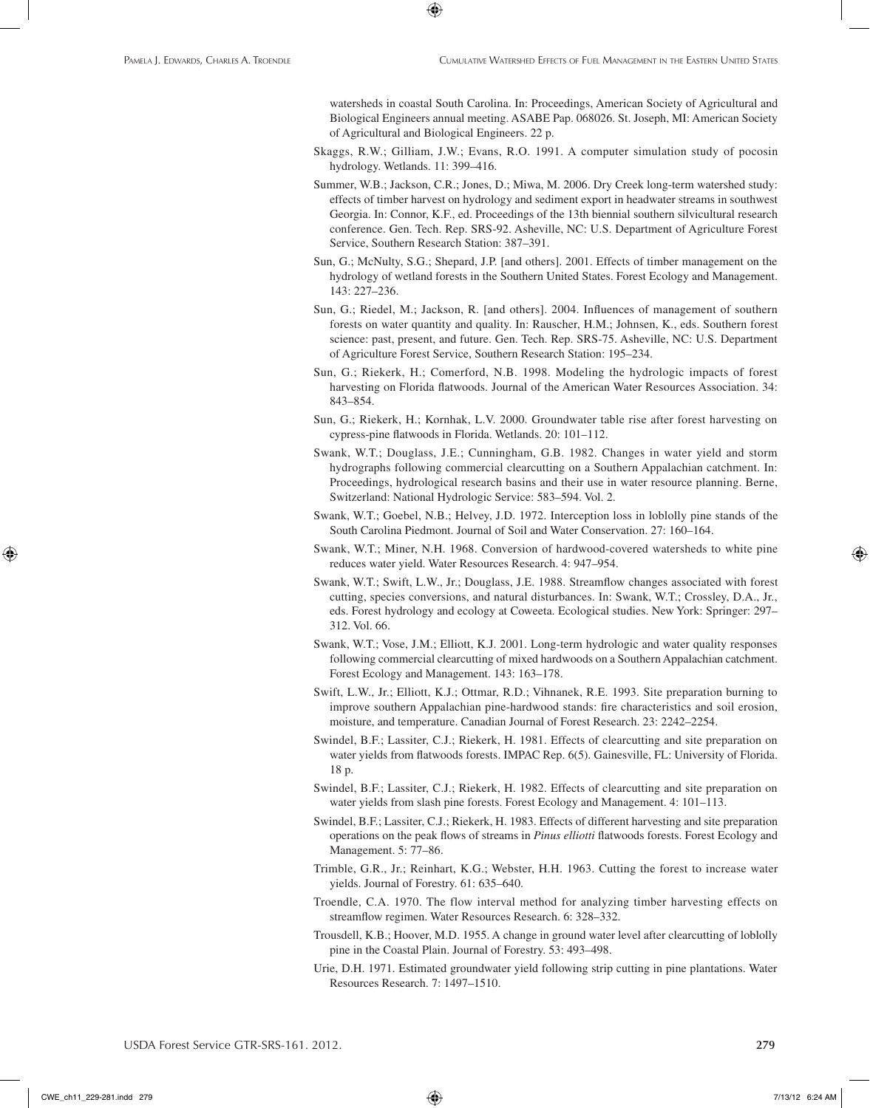watersheds in coastal South Carolina. In: Proceedings, American Society of Agricultural and Biological Engineers annual meeting. ASABE Pap. 068026. St. Joseph, MI: American Society of Agricultural and Biological Engineers. 22 p.

⊕

- Skaggs, R.W.; Gilliam, J.W.; Evans, R.O. 1991. A computer simulation study of pocosin hydrology. Wetlands. 11: 399–416.
- Summer, W.B.; Jackson, C.R.; Jones, D.; Miwa, M. 2006. Dry Creek long-term watershed study: effects of timber harvest on hydrology and sediment export in headwater streams in southwest Georgia. In: Connor, K.F., ed. Proceedings of the 13th biennial southern silvicultural research conference. Gen. Tech. Rep. SRS-92. Asheville, NC: U.S. Department of Agriculture Forest Service, Southern Research Station: 387–391.
- Sun, G.; McNulty, S.G.; Shepard, J.P. [and others]. 2001. Effects of timber management on the hydrology of wetland forests in the Southern United States. Forest Ecology and Management. 143: 227–236.
- Sun, G.; Riedel, M.; Jackson, R. [and others]. 2004. Influences of management of southern forests on water quantity and quality. In: Rauscher, H.M.; Johnsen, K., eds. Southern forest science: past, present, and future. Gen. Tech. Rep. SRS-75. Asheville, NC: U.S. Department of Agriculture Forest Service, Southern Research Station: 195–234.
- Sun, G.; Riekerk, H.; Comerford, N.B. 1998. Modeling the hydrologic impacts of forest harvesting on Florida flatwoods. Journal of the American Water Resources Association. 34: 843–854.
- Sun, G.; Riekerk, H.; Kornhak, L.V. 2000. Groundwater table rise after forest harvesting on cypress-pine flatwoods in Florida. Wetlands. 20: 101–112.
- Swank, W.T.; Douglass, J.E.; Cunningham, G.B. 1982. Changes in water yield and storm hydrographs following commercial clearcutting on a Southern Appalachian catchment. In: Proceedings, hydrological research basins and their use in water resource planning. Berne, Switzerland: National Hydrologic Service: 583–594. Vol. 2.
- Swank, W.T.; Goebel, N.B.; Helvey, J.D. 1972. Interception loss in loblolly pine stands of the South Carolina Piedmont. Journal of Soil and Water Conservation. 27: 160–164.
- Swank, W.T.; Miner, N.H. 1968. Conversion of hardwood-covered watersheds to white pine reduces water yield. Water Resources Research. 4: 947–954.
- Swank, W.T.; Swift, L.W., Jr.; Douglass, J.E. 1988. Streamflow changes associated with forest cutting, species conversions, and natural disturbances. In: Swank, W.T.; Crossley, D.A., Jr., eds. Forest hydrology and ecology at Coweeta. Ecological studies. New York: Springer: 297– 312. Vol. 66.
- Swank, W.T.; Vose, J.M.; Elliott, K.J. 2001. Long-term hydrologic and water quality responses following commercial clearcutting of mixed hardwoods on a Southern Appalachian catchment. Forest Ecology and Management. 143: 163–178.
- Swift, L.W., Jr.; Elliott, K.J.; Ottmar, R.D.; Vihnanek, R.E. 1993. Site preparation burning to improve southern Appalachian pine-hardwood stands: fire characteristics and soil erosion, moisture, and temperature. Canadian Journal of Forest Research. 23: 2242–2254.
- Swindel, B.F.; Lassiter, C.J.; Riekerk, H. 1981. Effects of clearcutting and site preparation on water yields from flatwoods forests. IMPAC Rep. 6(5). Gainesville, FL: University of Florida. 18 p.
- Swindel, B.F.; Lassiter, C.J.; Riekerk, H. 1982. Effects of clearcutting and site preparation on water yields from slash pine forests. Forest Ecology and Management. 4: 101–113.
- Swindel, B.F.; Lassiter, C.J.; Riekerk, H. 1983. Effects of different harvesting and site preparation operations on the peak flows of streams in *Pinus elliotti* flatwoods forests. Forest Ecology and Management. 5: 77–86.
- Trimble, G.R., Jr.; Reinhart, K.G.; Webster, H.H. 1963. Cutting the forest to increase water yields. Journal of Forestry. 61: 635–640.
- Troendle, C.A. 1970. The flow interval method for analyzing timber harvesting effects on streamflow regimen. Water Resources Research. 6: 328–332.
- Trousdell, K.B.; Hoover, M.D. 1955. A change in ground water level after clearcutting of loblolly pine in the Coastal Plain. Journal of Forestry. 53: 493–498.
- Urie, D.H. 1971. Estimated groundwater yield following strip cutting in pine plantations. Water Resources Research. 7: 1497–1510.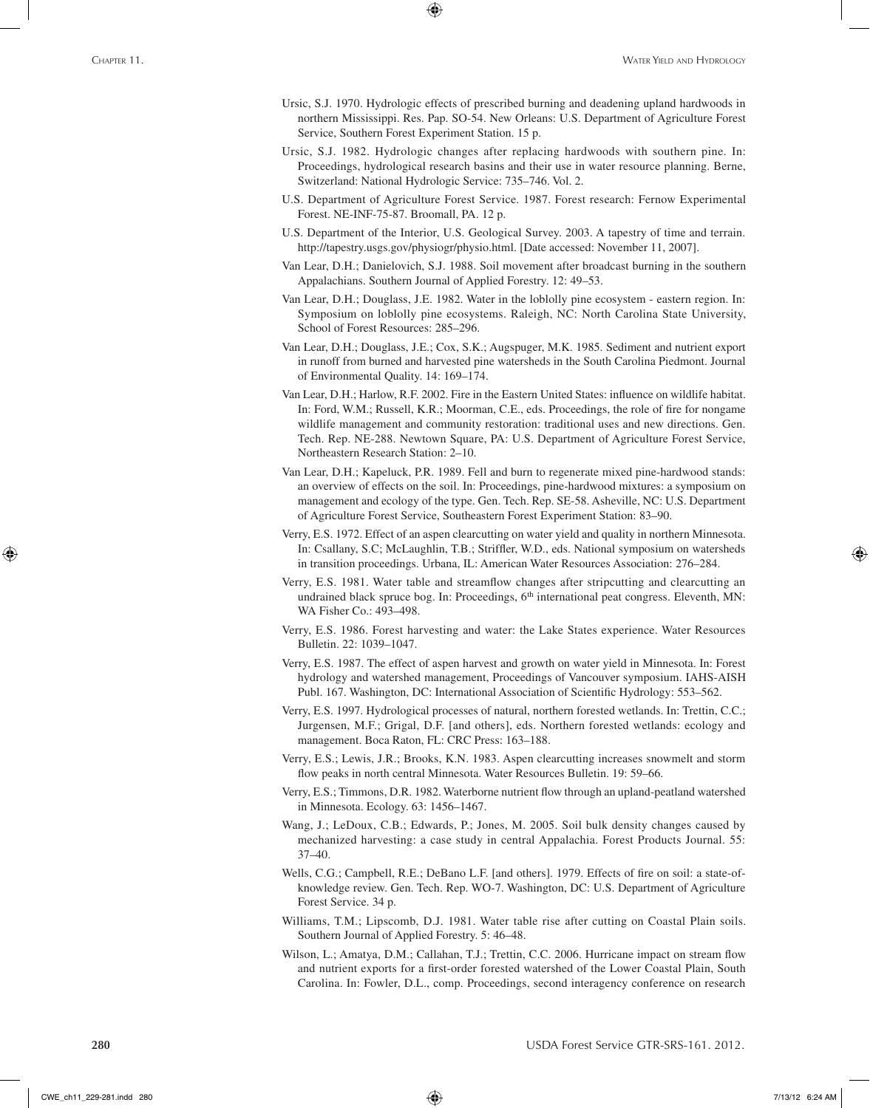Ursic, S.J. 1970. Hydrologic effects of prescribed burning and deadening upland hardwoods in northern Mississippi. Res. Pap. SO-54. New Orleans: U.S. Department of Agriculture Forest Service, Southern Forest Experiment Station. 15 p.

⊕

- Ursic, S.J. 1982. Hydrologic changes after replacing hardwoods with southern pine. In: Proceedings, hydrological research basins and their use in water resource planning. Berne, Switzerland: National Hydrologic Service: 735–746. Vol. 2.
- U.S. Department of Agriculture Forest Service. 1987. Forest research: Fernow Experimental Forest. NE-INF-75-87. Broomall, PA. 12 p.
- U.S. Department of the Interior, U.S. Geological Survey. 2003. A tapestry of time and terrain. http://tapestry.usgs.gov/physiogr/physio.html. [Date accessed: November 11, 2007].
- Van Lear, D.H.; Danielovich, S.J. 1988. Soil movement after broadcast burning in the southern Appalachians. Southern Journal of Applied Forestry. 12: 49–53.
- Van Lear, D.H.; Douglass, J.E. 1982. Water in the loblolly pine ecosystem eastern region. In: Symposium on loblolly pine ecosystems. Raleigh, NC: North Carolina State University, School of Forest Resources: 285–296.
- Van Lear, D.H.; Douglass, J.E.; Cox, S.K.; Augspuger, M.K. 1985. Sediment and nutrient export in runoff from burned and harvested pine watersheds in the South Carolina Piedmont. Journal of Environmental Quality. 14: 169–174.
- Van Lear, D.H.; Harlow, R.F. 2002. Fire in the Eastern United States: influence on wildlife habitat. In: Ford, W.M.; Russell, K.R.; Moorman, C.E., eds. Proceedings, the role of fire for nongame wildlife management and community restoration: traditional uses and new directions. Gen. Tech. Rep. NE-288. Newtown Square, PA: U.S. Department of Agriculture Forest Service, Northeastern Research Station: 2–10.
- Van Lear, D.H.; Kapeluck, P.R. 1989. Fell and burn to regenerate mixed pine-hardwood stands: an overview of effects on the soil. In: Proceedings, pine-hardwood mixtures: a symposium on management and ecology of the type. Gen. Tech. Rep. SE-58. Asheville, NC: U.S. Department of Agriculture Forest Service, Southeastern Forest Experiment Station: 83–90.
- Verry, E.S. 1972. Effect of an aspen clearcutting on water yield and quality in northern Minnesota. In: Csallany, S.C; McLaughlin, T.B.; Striffler, W.D., eds. National symposium on watersheds in transition proceedings. Urbana, IL: American Water Resources Association: 276–284.
- Verry, E.S. 1981. Water table and streamflow changes after stripcutting and clearcutting an undrained black spruce bog. In: Proceedings, 6<sup>th</sup> international peat congress. Eleventh, MN: WA Fisher Co.: 493–498.
- Verry, E.S. 1986. Forest harvesting and water: the Lake States experience. Water Resources Bulletin. 22: 1039–1047.
- Verry, E.S. 1987. The effect of aspen harvest and growth on water yield in Minnesota. In: Forest hydrology and watershed management, Proceedings of Vancouver symposium. IAHS-AISH Publ. 167. Washington, DC: International Association of Scientific Hydrology: 553–562.
- Verry, E.S. 1997. Hydrological processes of natural, northern forested wetlands. In: Trettin, C.C.; Jurgensen, M.F.; Grigal, D.F. [and others], eds. Northern forested wetlands: ecology and management. Boca Raton, FL: CRC Press: 163–188.
- Verry, E.S.; Lewis, J.R.; Brooks, K.N. 1983. Aspen clearcutting increases snowmelt and storm flow peaks in north central Minnesota. Water Resources Bulletin. 19: 59–66.
- Verry, E.S.; Timmons, D.R. 1982. Waterborne nutrient flow through an upland-peatland watershed in Minnesota. Ecology. 63: 1456–1467.
- Wang, J.; LeDoux, C.B.; Edwards, P.; Jones, M. 2005. Soil bulk density changes caused by mechanized harvesting: a case study in central Appalachia. Forest Products Journal. 55: 37–40.
- Wells, C.G.; Campbell, R.E.; DeBano L.F. [and others]. 1979. Effects of fire on soil: a state-ofknowledge review. Gen. Tech. Rep. WO-7. Washington, DC: U.S. Department of Agriculture Forest Service. 34 p.
- Williams, T.M.; Lipscomb, D.J. 1981. Water table rise after cutting on Coastal Plain soils. Southern Journal of Applied Forestry. 5: 46–48.
- Wilson, L.; Amatya, D.M.; Callahan, T.J.; Trettin, C.C. 2006. Hurricane impact on stream flow and nutrient exports for a first-order forested watershed of the Lower Coastal Plain, South Carolina. In: Fowler, D.L., comp. Proceedings, second interagency conference on research